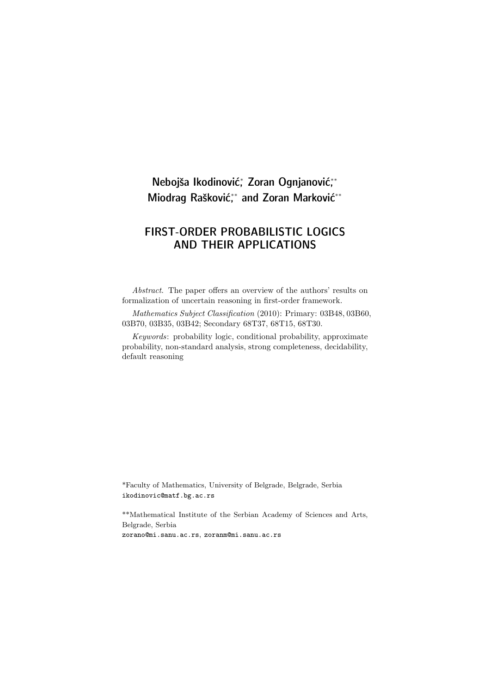# Nebojša Ikodinović; Zoran Ognjanović;\* Miodrag Rašković,\* and Zoran Marković\*\*

## FIRST-ORDER PROBABILISTIC LOGICS AND THEIR APPLICATIONS

Abstract. The paper offers an overview of the authors' results on formalization of uncertain reasoning in first-order framework.

Mathematics Subject Classification (2010): Primary: 03B48, 03B60, 03B70, 03B35, 03B42; Secondary 68T37, 68T15, 68T30.

Keywords: probability logic, conditional probability, approximate probability, non-standard analysis, strong completeness, decidability, default reasoning

\*Faculty of Mathematics, University of Belgrade, Belgrade, Serbia ikodinovic@matf.bg.ac.rs

\*\*Mathematical Institute of the Serbian Academy of Sciences and Arts, Belgrade, Serbia zorano@mi.sanu.ac.rs, zoranm@mi.sanu.ac.rs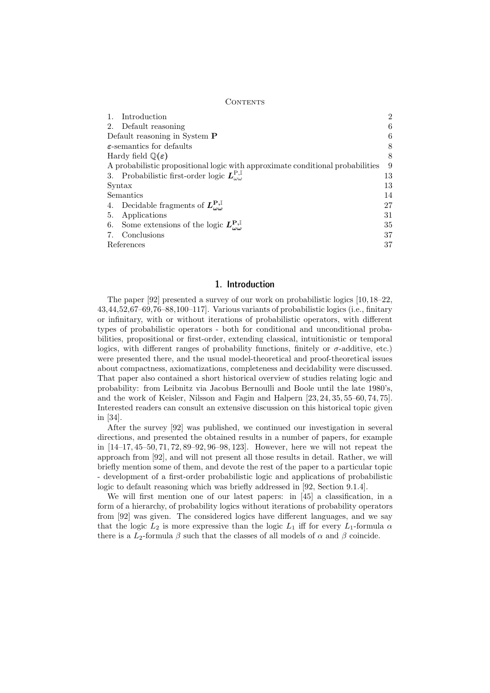#### CONTENTS

| Introduction                                                                   | $\overline{2}$ |  |  |  |  |  |  |
|--------------------------------------------------------------------------------|----------------|--|--|--|--|--|--|
| Default reasoning<br>2.                                                        | 6              |  |  |  |  |  |  |
| Default reasoning in System P                                                  |                |  |  |  |  |  |  |
| $\varepsilon$ -semantics for defaults                                          | 8              |  |  |  |  |  |  |
| Hardy field $\mathbb{Q}(\varepsilon)$                                          | 8              |  |  |  |  |  |  |
| A probabilistic propositional logic with approximate conditional probabilities | 9              |  |  |  |  |  |  |
| 3. Probabilistic first-order logic $L_{\alpha\alpha}^{P,\mathbb{I}}$           | 13             |  |  |  |  |  |  |
| Syntax                                                                         | 13             |  |  |  |  |  |  |
| Semantics                                                                      | 14             |  |  |  |  |  |  |
| Decidable fragments of $L_{\alpha\alpha}^{\mathbf{P},\mathbb{I}}$<br>4.        | 27             |  |  |  |  |  |  |
| Applications<br>5.                                                             | 31             |  |  |  |  |  |  |
| Some extensions of the logic $L_{\omega\omega}^{\mathbf{P},\mathbb{I}}$<br>6.  | 35             |  |  |  |  |  |  |
| Conclusions                                                                    | 37             |  |  |  |  |  |  |
| References                                                                     | 37             |  |  |  |  |  |  |

## 1. Introduction

The paper [92] presented a survey of our work on probabilistic logics [10, 18–22, 43,44,52,67–69,76–88,100–117]. Various variants of probabilistic logics (i.e., finitary or infinitary, with or without iterations of probabilistic operators, with different types of probabilistic operators - both for conditional and unconditional probabilities, propositional or first-order, extending classical, intuitionistic or temporal logics, with different ranges of probability functions, finitely or  $\sigma$ -additive, etc.) were presented there, and the usual model-theoretical and proof-theoretical issues about compactness, axiomatizations, completeness and decidability were discussed. That paper also contained a short historical overview of studies relating logic and probability: from Leibnitz via Jacobus Bernoulli and Boole until the late 1980's, and the work of Keisler, Nilsson and Fagin and Halpern [23, 24, 35, 55–60, 74, 75]. Interested readers can consult an extensive discussion on this historical topic given in [34].

After the survey [92] was published, we continued our investigation in several directions, and presented the obtained results in a number of papers, for example in [14–17, 45–50, 71, 72, 89–92, 96–98, 123]. However, here we will not repeat the approach from [92], and will not present all those results in detail. Rather, we will briefly mention some of them, and devote the rest of the paper to a particular topic - development of a first-order probabilistic logic and applications of probabilistic logic to default reasoning which was briefly addressed in [92, Section 9.1.4].

We will first mention one of our latest papers: in [45] a classification, in a form of a hierarchy, of probability logics without iterations of probability operators from [92] was given. The considered logics have different languages, and we say that the logic  $L_2$  is more expressive than the logic  $L_1$  iff for every  $L_1$ -formula  $\alpha$ there is a  $L_2$ -formula  $\beta$  such that the classes of all models of  $\alpha$  and  $\beta$  coincide.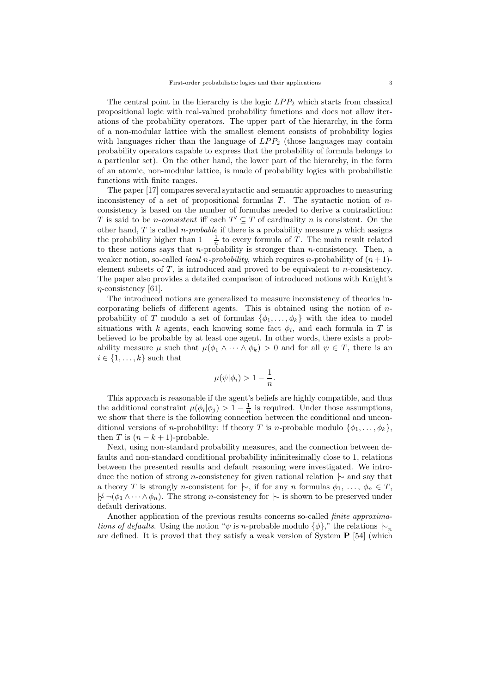The central point in the hierarchy is the logic  $LPP_2$  which starts from classical propositional logic with real-valued probability functions and does not allow iterations of the probability operators. The upper part of the hierarchy, in the form of a non-modular lattice with the smallest element consists of probability logics with languages richer than the language of  $LPP_2$  (those languages may contain probability operators capable to express that the probability of formula belongs to a particular set). On the other hand, the lower part of the hierarchy, in the form of an atomic, non-modular lattice, is made of probability logics with probabilistic functions with finite ranges.

The paper [17] compares several syntactic and semantic approaches to measuring inconsistency of a set of propositional formulas  $T$ . The syntactic notion of  $n$ consistency is based on the number of formulas needed to derive a contradiction: T is said to be *n*-consistent iff each  $T' \subseteq T$  of cardinality *n* is consistent. On the other hand, T is called *n-probable* if there is a probability measure  $\mu$  which assigns the probability higher than  $1 - \frac{1}{n}$  to every formula of T. The main result related to these notions says that *n*-probability is stronger than *n*-consistency. Then, a weaker notion, so-called *local n-probability*, which requires n-probability of  $(n+1)$ element subsets of  $T$ , is introduced and proved to be equivalent to *n*-consistency. The paper also provides a detailed comparison of introduced notions with Knight's  $n$ -consistency [61].

The introduced notions are generalized to measure inconsistency of theories incorporating beliefs of different agents. This is obtained using the notion of  $n$ probability of T modulo a set of formulas  $\{\phi_1, \ldots, \phi_k\}$  with the idea to model situations with k agents, each knowing some fact  $\phi_i$ , and each formula in T is believed to be probable by at least one agent. In other words, there exists a probability measure  $\mu$  such that  $\mu(\phi_1 \wedge \cdots \wedge \phi_k) > 0$  and for all  $\psi \in T$ , there is an  $i \in \{1, \ldots, k\}$  such that

$$
\mu(\psi|\phi_i) > 1 - \frac{1}{n}.
$$

This approach is reasonable if the agent's beliefs are highly compatible, and thus the additional constraint  $\mu(\phi_i|\phi_j) > 1 - \frac{1}{n}$  is required. Under those assumptions, we show that there is the following connection between the conditional and unconditional versions of *n*-probability: if theory T is *n*-probable modulo  $\{\phi_1, \ldots, \phi_k\}$ , then T is  $(n - k + 1)$ -probable.

Next, using non-standard probability measures, and the connection between defaults and non-standard conditional probability infinitesimally close to 1, relations between the presented results and default reasoning were investigated. We introduce the notion of strong n-consistency for given rational relation |∼ and say that a theory T is strongly n-consistent for  $\mid \sim$ , if for any n formulas  $\phi_1, \ldots, \phi_n \in T$ ,  $\forall \neg(\phi_1 \land \cdots \land \phi_n)$ . The strong *n*-consistency for  $\vdash$  is shown to be preserved under default derivations.

Another application of the previous results concerns so-called finite approximations of defaults. Using the notion " $\psi$  is n-probable modulo { $\phi$ }," the relations  $\vdash_n$ are defined. It is proved that they satisfy a weak version of System P [54] (which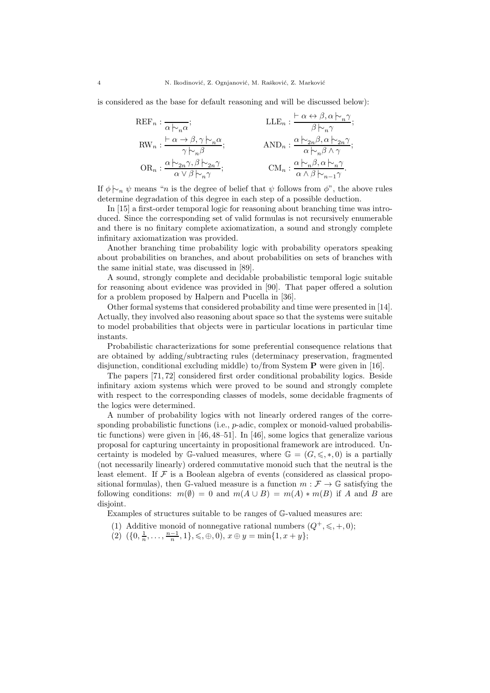is considered as the base for default reasoning and will be discussed below):

$$
\begin{aligned} \operatorname{REF}_n: \frac{\cdot}{\alpha\hspace{0.2em}\sim_n\hspace{0.2em}\alpha}; & & & \operatorname{LLE}_n: \frac{\vdash\alpha \leftrightarrow \beta, \alpha\hspace{0.2em}\sim_n\hspace{0.2em}\gamma}{\beta\hspace{0.2em}\sim_n\hspace{0.2em}\gamma}; \\ \operatorname{RW}_n: \frac{\vdash\alpha \to \beta, \gamma\hspace{0.2em}\sim_n\hspace{0.2em}\alpha}{\gamma\hspace{0.2em}\sim_n\hspace{0.2em}\beta}; & & & \operatorname{AND}_n: \frac{\alpha\hspace{0.2em}\sim_n\hspace{0.2em}\beta, \alpha\hspace{0.2em}\sim_n\hspace{0.2em}\gamma}{\alpha\hspace{0.2em}\sim_n\hspace{0.2em}\beta\hspace{0.2em}\sim_n\hspace{0.2em}\gamma}; \\ \operatorname{OR}_n: \frac{\alpha\hspace{0.2em}\sim_n\hspace{0.2em}\gamma, \beta\hspace{0.2em}\sim_{2n}\hspace{0.2em}\gamma}{\alpha\hspace{0.2em}\sim\hspace{0.2em}\beta\hspace{0.2em}\sim_n\hspace{0.2em}\gamma}; & & & \operatorname{CM}_n: \frac{\alpha\hspace{0.2em}\sim_n\hspace{0.2em}\beta, \alpha\hspace{0.2em}\sim_n\hspace{0.2em}\gamma}{\alpha\hspace{0.2em}\sim\hspace{0.2em}\beta\hspace{0.2em}\sim_{n\hspace{0.2em}\gamma}\gamma}. \end{aligned}
$$

If  $\phi \sim_n \psi$  means "*n* is the degree of belief that  $\psi$  follows from  $\phi$ ", the above rules determine degradation of this degree in each step of a possible deduction.

In [15] a first-order temporal logic for reasoning about branching time was introduced. Since the corresponding set of valid formulas is not recursively enumerable and there is no finitary complete axiomatization, a sound and strongly complete infinitary axiomatization was provided.

Another branching time probability logic with probability operators speaking about probabilities on branches, and about probabilities on sets of branches with the same initial state, was discussed in [89].

A sound, strongly complete and decidable probabilistic temporal logic suitable for reasoning about evidence was provided in [90]. That paper offered a solution for a problem proposed by Halpern and Pucella in [36].

Other formal systems that considered probability and time were presented in [14]. Actually, they involved also reasoning about space so that the systems were suitable to model probabilities that objects were in particular locations in particular time instants.

Probabilistic characterizations for some preferential consequence relations that are obtained by adding/subtracting rules (determinacy preservation, fragmented disjunction, conditional excluding middle) to/from System P were given in [16].

The papers [71, 72] considered first order conditional probability logics. Beside infinitary axiom systems which were proved to be sound and strongly complete with respect to the corresponding classes of models, some decidable fragments of the logics were determined.

A number of probability logics with not linearly ordered ranges of the corresponding probabilistic functions (i.e., p-adic, complex or monoid-valued probabilistic functions) were given in [46, 48–51]. In [46], some logics that generalize various proposal for capturing uncertainty in propositional framework are introduced. Uncertainty is modeled by G-valued measures, where  $\mathbb{G} = (G, \leqslant, *, 0)$  is a partially (not necessarily linearly) ordered commutative monoid such that the neutral is the least element. If  $F$  is a Boolean algebra of events (considered as classical propositional formulas), then G-valued measure is a function  $m : \mathcal{F} \to \mathbb{G}$  satisfying the following conditions:  $m(\emptyset) = 0$  and  $m(A \cup B) = m(A) * m(B)$  if A and B are disjoint.

Examples of structures suitable to be ranges of G-valued measures are:

- (1) Additive monoid of nonnegative rational numbers  $(Q^+,\leq, +, 0);$
- (2)  $({0, \frac{1}{n}, \ldots, \frac{n-1}{n}, 1}, \leq, \oplus, 0), x \oplus y = \min\{1, x + y\};$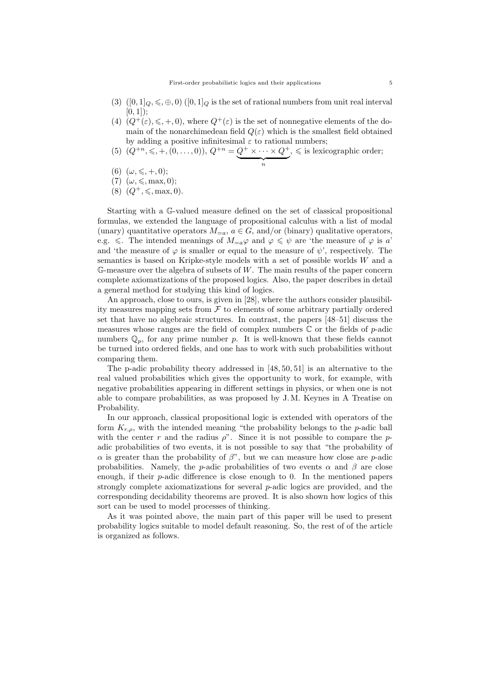- (3)  $([0,1]_Q, \leq, \oplus, 0) ([0,1]_Q)$  is the set of rational numbers from unit real interval  $[0, 1]$ :
- (4)  $(Q^+(\varepsilon), \leq, +, 0)$ , where  $Q^+(\varepsilon)$  is the set of nonnegative elements of the domain of the nonarchimedean field  $Q(\varepsilon)$  which is the smallest field obtained by adding a positive infinitesimal  $\varepsilon$  to rational numbers;
- (5)  $(Q^{+n}, \leq, +, (0, \ldots, 0)), Q^{+n} = Q^{+} \times \cdots \times Q^{+}$  $\overbrace{n}$  $, \leq$  is lexicographic order;
- (6)  $(\omega, \leq, +, 0);$
- (7)  $(\omega, \leq, \max, 0);$
- $(8)$   $(Q^+, \leq, \text{max}, 0)$ .

Starting with a G-valued measure defined on the set of classical propositional formulas, we extended the language of propositional calculus with a list of modal (unary) quantitative operators  $M_{=a}$ ,  $a \in G$ , and/or (binary) qualitative operators, e.g.  $\leq$ . The intended meanings of  $M_{=a}\varphi$  and  $\varphi \leq \psi$  are 'the measure of  $\varphi$  is a' and 'the measure of  $\varphi$  is smaller or equal to the measure of  $\psi$ ', respectively. The semantics is based on Kripke-style models with a set of possible worlds W and a  $\mathbb{G}$ -measure over the algebra of subsets of W. The main results of the paper concern complete axiomatizations of the proposed logics. Also, the paper describes in detail a general method for studying this kind of logics.

An approach, close to ours, is given in [28], where the authors consider plausibility measures mapping sets from  $\mathcal F$  to elements of some arbitrary partially ordered set that have no algebraic structures. In contrast, the papers [48–51] discuss the measures whose ranges are the field of complex numbers  $\mathbb C$  or the fields of p-adic numbers  $\mathbb{Q}_p$ , for any prime number p. It is well-known that these fields cannot be turned into ordered fields, and one has to work with such probabilities without comparing them.

The p-adic probability theory addressed in [48, 50, 51] is an alternative to the real valued probabilities which gives the opportunity to work, for example, with negative probabilities appearing in different settings in physics, or when one is not able to compare probabilities, as was proposed by J. M. Keynes in A Treatise on Probability.

In our approach, classical propositional logic is extended with operators of the form  $K_{r,\rho}$ , with the intended meaning "the probability belongs to the p-adic ball with the center r and the radius  $\rho$ ". Since it is not possible to compare the padic probabilities of two events, it is not possible to say that "the probability of  $\alpha$  is greater than the probability of  $\beta$ ", but we can measure how close are p-adic probabilities. Namely, the p-adic probabilities of two events  $\alpha$  and  $\beta$  are close enough, if their p-adic difference is close enough to 0. In the mentioned papers strongly complete axiomatizations for several p-adic logics are provided, and the corresponding decidability theorems are proved. It is also shown how logics of this sort can be used to model processes of thinking.

As it was pointed above, the main part of this paper will be used to present probability logics suitable to model default reasoning. So, the rest of of the article is organized as follows.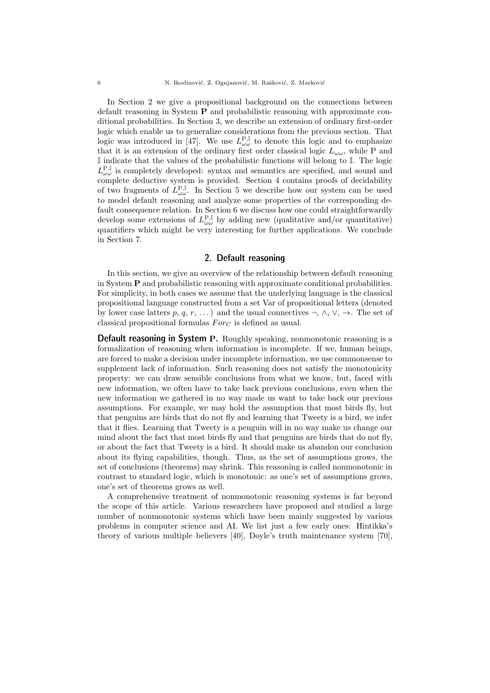In Section 2 we give a propositional background on the connections between default reasoning in System P and probabilistic reasoning with approximate conditional probabilities. In Section 3, we describe an extension of ordinary first-order logic which enable us to generalize considerations from the previous section. That logic was introduced in [47]. We use  $L_{\omega\omega}^{\mathbf{P},\mathbb{I}}$  to denote this logic and to emphasize that it is an extension of the ordinary first order classical logic  $L_{\omega\omega}$ , while P and I indicate that the values of the probabilistic functions will belong to I. The logic  $L_{\omega\omega}^{\text{P,I}}$  is completely developed: syntax and semantics are specified, and sound and complete deductive system is provided. Section 4 contains proofs of decidability of two fragments of  $L^{\mathcal{P},\mathbb{I}}_{\omega\omega}$ . In Section 5 we describe how our system can be used to model default reasoning and analyze some properties of the corresponding default consequence relation. In Section 6 we discuss how one could straightforwardly develop some extensions of  $L^{\mathbf{P},\mathbb{I}}_{\omega\omega}$  by adding new (qualitative and/or quantitative) quantifiers which might be very interesting for further applications. We conclude in Section 7.

### 2. Default reasoning

In this section, we give an overview of the relationship between default reasoning in System P and probabilistic reasoning with approximate conditional probabilities. For simplicity, in both cases we assume that the underlying language is the classical propositional language constructed from a set Var of propositional letters (denoted by lower case latters p, q, r, ...) and the usual connectives  $\neg$ ,  $\wedge$ ,  $\vee$ ,  $\rightarrow$ . The set of classical propositional formulas  $For_C$  is defined as usual.

Default reasoning in System P. Roughly speaking, nonmonotonic reasoning is a formalization of reasoning when information is incomplete. If we, human beings, are forced to make a decision under incomplete information, we use commonsense to supplement lack of information. Such reasoning does not satisfy the monotonicity property: we can draw sensible conclusions from what we know, but, faced with new information, we often have to take back previous conclusions, even when the new information we gathered in no way made us want to take back our previous assumptions. For example, we may hold the assumption that most birds fly, but that penguins are birds that do not fly and learning that Tweety is a bird, we infer that it flies. Learning that Tweety is a penguin will in no way make us change our mind about the fact that most birds fly and that penguins are birds that do not fly, or about the fact that Tweety is a bird. It should make us abandon our conclusion about its flying capabilities, though. Thus, as the set of assumptions grows, the set of conclusions (theorems) may shrink. This reasoning is called nonmonotonic in contrast to standard logic, which is monotonic: as one's set of assumptions grows, one's set of theorems grows as well.

A comprehensive treatment of nonmonotonic reasoning systems is far beyond the scope of this article. Various researchers have proposed and studied a large number of nonmonotonic systems which have been mainly suggested by various problems in computer science and AI. We list just a few early ones: Hintikka's theory of various multiple believers [40], Doyle's truth maintenance system [70],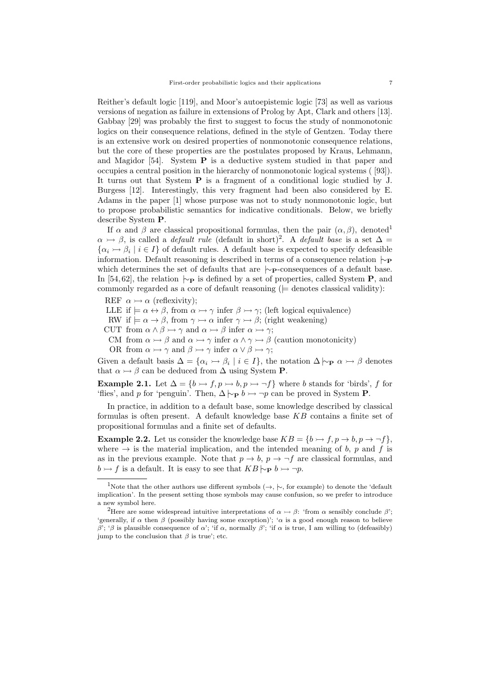Reither's default logic [119], and Moor's autoepistemic logic [73] as well as various versions of negation as failure in extensions of Prolog by Apt, Clark and others [13]. Gabbay [29] was probably the first to suggest to focus the study of nonmonotonic logics on their consequence relations, defined in the style of Gentzen. Today there is an extensive work on desired properties of nonmonotonic consequence relations, but the core of these properties are the postulates proposed by Kraus, Lehmann, and Magidor [54]. System P is a deductive system studied in that paper and occupies a central position in the hierarchy of nonmonotonic logical systems ( [93]). It turns out that System P is a fragment of a conditional logic studied by J. Burgess [12]. Interestingly, this very fragment had been also considered by E. Adams in the paper [1] whose purpose was not to study nonmonotonic logic, but to propose probabilistic semantics for indicative conditionals. Below, we briefly describe System P.

If  $\alpha$  and  $\beta$  are classical propositional formulas, then the pair  $(\alpha, \beta)$ , denoted<sup>1</sup>  $\alpha \rightarrow \beta$ , is called a *default rule* (default in short)<sup>2</sup>. A *default base* is a set  $\Delta =$  $\{\alpha_i \rightarrow \beta_i \mid i \in I\}$  of default rules. A default base is expected to specify defeasible information. Default reasoning is described in terms of a consequence relation  $\sim_{\mathbf{P}}$ which determines the set of defaults that are  $\sim$  p-consequences of a default base. In [54, 62], the relation  $\sim_{\mathbf{P}}$  is defined by a set of properties, called System **P**, and commonly regarded as a core of default reasoning ( $\models$  denotes classical validity):

REF  $\alpha \rightarrow \alpha$  (reflexivity);

- LLE if  $\models \alpha \leftrightarrow \beta$ , from  $\alpha \rightarrow \gamma$  infer  $\beta \rightarrow \gamma$ ; (left logical equivalence)
- RW if  $\models \alpha \rightarrow \beta$ , from  $\gamma \rightarrow \alpha$  infer  $\gamma \rightarrow \beta$ ; (right weakening)
- CUT from  $\alpha \wedge \beta \rightarrow \gamma$  and  $\alpha \rightarrow \beta$  infer  $\alpha \rightarrow \gamma$ ;
- CM from  $\alpha \rightarrow \beta$  and  $\alpha \rightarrow \gamma$  infer  $\alpha \wedge \gamma \rightarrow \beta$  (caution monotonicity)
- OR from  $\alpha \rightarrow \gamma$  and  $\beta \rightarrow \gamma$  infer  $\alpha \vee \beta \rightarrow \gamma$ ;

Given a default basis  $\Delta = {\alpha_i \rightarrow \beta_i \mid i \in I}$ , the notation  $\Delta \vdash_{\mathbf{P}} \alpha \rightarrow \beta$  denotes that  $\alpha \rightarrow \beta$  can be deduced from  $\Delta$  using System **P**.

Example 2.1. Let  $\Delta = \{b \rightarrow f, p \rightarrow b, p \rightarrow f\}$  where b stands for 'birds', f for 'flies', and p for 'penguin'. Then,  $\Delta \vdash_{\mathbf{P}} b \rightarrow \neg p$  can be proved in System **P**.

In practice, in addition to a default base, some knowledge described by classical formulas is often present. A default knowledge base KB contains a finite set of propositional formulas and a finite set of defaults.

**Example 2.2.** Let us consider the knowledge base  $KB = \{b \rightarrow f, p \rightarrow b, p \rightarrow \neg f\}$ , where  $\rightarrow$  is the material implication, and the intended meaning of b, p and f is as in the previous example. Note that  $p \to b$ ,  $p \to -f$  are classical formulas, and  $b \rightarrow f$  is a default. It is easy to see that  $KB \rightarrow p$  b  $\rightarrow \neg p$ .

<sup>&</sup>lt;sup>1</sup>Note that the other authors use different symbols  $(\rightarrow, \sim)$ , for example) to denote the 'default implication'. In the present setting those symbols may cause confusion, so we prefer to introduce a new symbol here.

<sup>&</sup>lt;sup>2</sup>Here are some widespread intuitive interpretations of  $\alpha \rightarrow \beta$ : 'from  $\alpha$  sensibly conclude  $\beta$ '; 'generally, if  $\alpha$  then  $\beta$  (possibly having some exception)'; ' $\alpha$  is a good enough reason to believe β'; 'β is plausible consequence of  $\alpha$ '; 'if  $\alpha$ , normally β'; 'if  $\alpha$  is true, I am willing to (defeasibly) jump to the conclusion that  $\beta$  is true'; etc.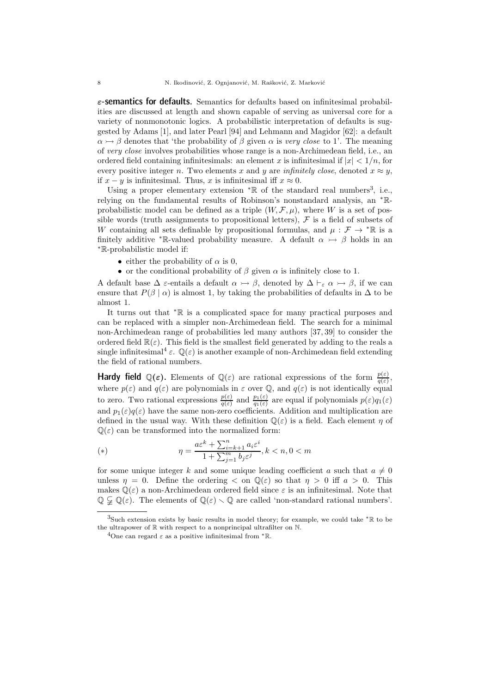$\varepsilon$ -semantics for defaults. Semantics for defaults based on infinitesimal probabilities are discussed at length and shown capable of serving as universal core for a variety of nonmonotonic logics. A probabilistic interpretation of defaults is suggested by Adams [1], and later Pearl [94] and Lehmann and Magidor [62]: a default  $\alpha \rightarrow \beta$  denotes that 'the probability of  $\beta$  given  $\alpha$  is very close to 1'. The meaning of very close involves probabilities whose range is a non-Archimedean field, i.e., an ordered field containing infinitesimals: an element x is infinitesimal if  $|x| < 1/n$ , for every positive integer n. Two elements x and y are infinitely close, denoted  $x \approx y$ , if  $x - y$  is infinitesimal. Thus, x is infinitesimal iff  $x \approx 0$ .

Using a proper elementary extension  $*\mathbb{R}$  of the standard real numbers<sup>3</sup>, i.e., relying on the fundamental results of Robinson's nonstandard analysis, an <sup>∗</sup>Rprobabilistic model can be defined as a triple  $(W, \mathcal{F}, \mu)$ , where W is a set of possible words (truth assignments to propositional letters),  $\mathcal F$  is a field of subsets of W containing all sets definable by propositional formulas, and  $\mu : \mathcal{F} \to {}^* \mathbb{R}$  is a finitely additive \*R-valued probability measure. A default  $\alpha \rightarrow \beta$  holds in an <sup>∗</sup>R-probabilistic model if:

- either the probability of  $\alpha$  is 0,
- or the conditional probability of  $\beta$  given  $\alpha$  is infinitely close to 1.

A default base  $\Delta \varepsilon$ -entails a default  $\alpha \rightarrow \beta$ , denoted by  $\Delta \vdash_{\varepsilon} \alpha \rightarrow \beta$ , if we can ensure that  $P(\beta | \alpha)$  is almost 1, by taking the probabilities of defaults in  $\Delta$  to be almost 1.

It turns out that <sup>∗</sup>R is a complicated space for many practical purposes and can be replaced with a simpler non-Archimedean field. The search for a minimal non-Archimedean range of probabilities led many authors [37, 39] to consider the ordered field  $\mathbb{R}(\varepsilon)$ . This field is the smallest field generated by adding to the reals a single infinitesimal<sup>4</sup>  $\varepsilon$ .  $\mathbb{Q}(\varepsilon)$  is another example of non-Archimedean field extending the field of rational numbers.

**Hardy field**  $\mathbb{Q}(\varepsilon)$ . Elements of  $\mathbb{Q}(\varepsilon)$  are rational expressions of the form  $\frac{p(\varepsilon)}{q(\varepsilon)}$ , where  $p(\varepsilon)$  and  $q(\varepsilon)$  are polynomials in  $\varepsilon$  over  $\mathbb Q$ , and  $q(\varepsilon)$  is not identically equal to zero. Two rational expressions  $\frac{p(\varepsilon)}{q(\varepsilon)}$  and  $\frac{p_1(\varepsilon)}{q_1(\varepsilon)}$  are equal if polynomials  $p(\varepsilon)q_1(\varepsilon)$ and  $p_1(\varepsilon)q(\varepsilon)$  have the same non-zero coefficients. Addition and multiplication are defined in the usual way. With these definition  $\mathbb{Q}(\varepsilon)$  is a field. Each element  $\eta$  of  $\mathbb{Q}(\varepsilon)$  can be transformed into the normalized form:

(\*)  
\n
$$
\eta = \frac{a\varepsilon^k + \sum_{i=k+1}^n a_i \varepsilon^i}{1 + \sum_{j=1}^m b_j \varepsilon^j}, k < n, 0 < m
$$

for some unique integer k and some unique leading coefficient a such that  $a \neq 0$ unless  $\eta = 0$ . Define the ordering  $\langle$  on  $\mathbb{Q}(\varepsilon)$  so that  $\eta > 0$  iff  $a > 0$ . This makes  $\mathbb{Q}(\varepsilon)$  a non-Archimedean ordered field since  $\varepsilon$  is an infinitesimal. Note that  $\mathbb{Q} \subsetneq \mathbb{Q}(\varepsilon)$ . The elements of  $\mathbb{Q}(\varepsilon) \setminus \mathbb{Q}$  are called 'non-standard rational numbers'.

<sup>&</sup>lt;sup>3</sup>Such extension exists by basic results in model theory; for example, we could take  $* \mathbb{R}$  to be the ultrapower of R with respect to a nonprincipal ultrafilter on N.

<sup>&</sup>lt;sup>4</sup>One can regard  $\varepsilon$  as a positive infinitesimal from  ${}^* \mathbb{R}$ .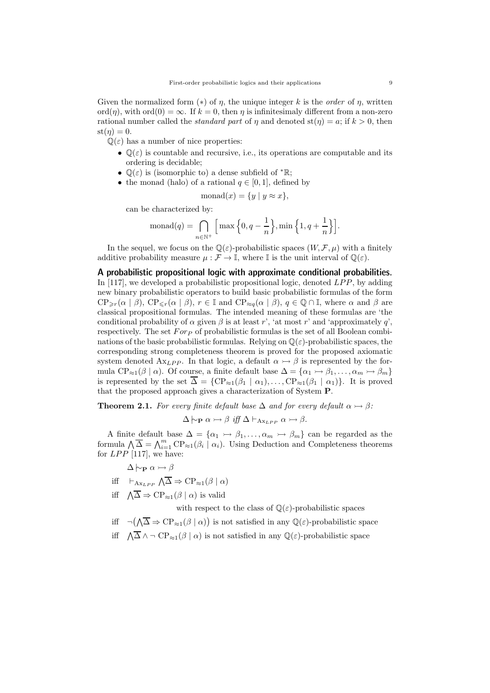Given the normalized form  $(*)$  of  $\eta$ , the unique integer k is the *order* of  $\eta$ , written ord $(\eta)$ , with ord $(0) = \infty$ . If  $k = 0$ , then  $\eta$  is infinitesimaly different from a non-zero rational number called the *standard part* of  $\eta$  and denoted  $\text{st}(\eta) = a$ ; if  $k > 0$ , then  $st(n) = 0.$ 

 $\mathbb{Q}(\varepsilon)$  has a number of nice properties:

- $\mathbb{Q}(\varepsilon)$  is countable and recursive, i.e., its operations are computable and its ordering is decidable;
- $\mathbb{Q}(\varepsilon)$  is (isomorphic to) a dense subfield of  ${}^* \mathbb{R}$ ;
- the monad (halo) of a rational  $q \in [0, 1]$ , defined by

$$
\text{monad}(x) = \{ y \mid y \approx x \},
$$

can be characterized by:

$$
\text{monad}(q) = \bigcap_{n \in \mathbb{N}^+} \Big[ \max \Big\{ 0, q - \frac{1}{n} \Big\}, \min \Big\{ 1, q + \frac{1}{n} \Big\} \Big].
$$

In the sequel, we focus on the  $\mathbb{Q}(\varepsilon)$ -probabilistic spaces  $(W, \mathcal{F}, \mu)$  with a finitely additive probability measure  $\mu : \mathcal{F} \to \mathbb{I}$ , where  $\mathbb{I}$  is the unit interval of  $\mathbb{Q}(\varepsilon)$ .

A probabilistic propositional logic with approximate conditional probabilities. In [117], we developed a probabilistic propositional logic, denoted  $LPP$ , by adding new binary probabilistic operators to build basic probabilistic formulas of the form  $\text{CP}_{\geq r}(\alpha \mid \beta)$ ,  $\text{CP}_{\leq r}(\alpha \mid \beta)$ ,  $r \in \mathbb{I}$  and  $\text{CP}_{\approx q}(\alpha \mid \beta)$ ,  $q \in \mathbb{Q} \cap \mathbb{I}$ , where  $\alpha$  and  $\beta$  are classical propositional formulas. The intended meaning of these formulas are 'the conditional probability of  $\alpha$  given  $\beta$  is at least r', 'at most r' and 'approximately q', respectively. The set  $For_{\mathcal{P}}$  of probabilistic formulas is the set of all Boolean combinations of the basic probabilistic formulas. Relying on  $\mathbb{O}(\varepsilon)$ -probabilistic spaces, the corresponding strong completeness theorem is proved for the proposed axiomatic system denoted  $\Lambda x_{LPP}$ . In that logic, a default  $\alpha \rightarrow \beta$  is represented by the formula CP<sub>≈1</sub>( $\beta | \alpha$ ). Of course, a finite default base  $\Delta = {\alpha_1 \rightarrow \beta_1, \ldots, \alpha_m \rightarrow \beta_m}$ is represented by the set  $\overline{\Delta} = \{ CP_{\approx 1}(\beta_1 \mid \alpha_1), \ldots, CP_{\approx 1}(\beta_1 \mid \alpha_1)\}.$  It is proved that the proposed approach gives a characterization of System P.

**Theorem 2.1.** For every finite default base  $\Delta$  and for every default  $\alpha \rightarrow \beta$ :

$$
\Delta \vdash_{\mathbf{P}} \alpha \rightarrowtail \beta \text{ iff } \Delta \vdash_{A_{\mathbf{X} LPP}} \alpha \rightarrowtail \beta.
$$

A finite default base  $\Delta = {\alpha_1 \rightarrow \beta_1, ..., \alpha_m \rightarrow \beta_m}$  can be regarded as the formula  $\bigwedge \overline{\Delta} = \bigwedge_{i=1}^m \text{CP}_{\approx 1}(\beta_i \mid \alpha_i)$ . Using Deduction and Completeness theorems for  $LPP$  [117], we have:

$$
\Delta \vdash_{\mathbf{P}} \alpha \rightarrowtail \beta
$$

- iff  $\vdash_{A_{\mathbf{x}_LPP}} \bigwedge \overline{\Delta} \Rightarrow \mathrm{CP}_{\approx 1}(\beta \mid \alpha)$
- iff  $\Lambda \overline{\Delta} \Rightarrow CP_{\approx 1}(\beta \mid \alpha)$  is valid

with respect to the class of  $\mathbb{Q}(\varepsilon)$ -probabilistic spaces

- iff  $\neg(\overline{\Lambda} \Rightarrow CP_{\approx 1}(\beta \mid \alpha))$  is not satisfied in any  $\mathbb{Q}(\varepsilon)$ -probabilistic space
- iff  $\Lambda \overline{\Delta} \wedge \neg \text{CP}_{\approx 1}(\beta \mid \alpha)$  is not satisfied in any  $\mathbb{Q}(\varepsilon)$ -probabilistic space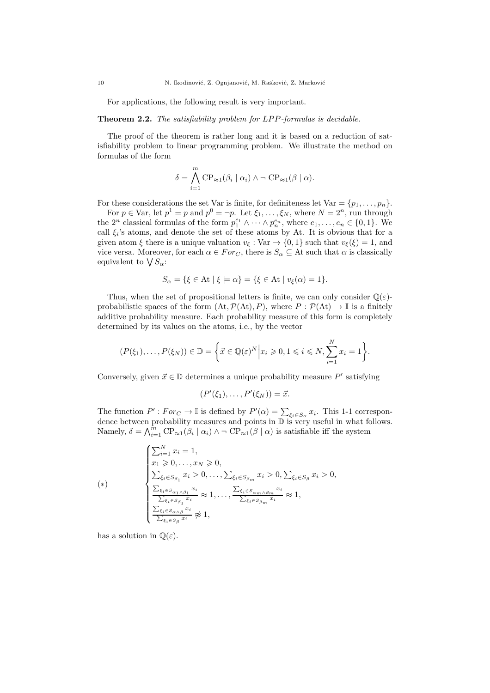For applications, the following result is very important.

### Theorem 2.2. The satisfiability problem for LPP-formulas is decidable.

The proof of the theorem is rather long and it is based on a reduction of satisfiability problem to linear programming problem. We illustrate the method on formulas of the form

$$
\delta = \bigwedge_{i=1}^{m} \mathrm{CP}_{\approx 1}(\beta_i \mid \alpha_i) \land \neg \mathrm{CP}_{\approx 1}(\beta \mid \alpha).
$$

For these considerations the set Var is finite, for definiteness let  $Var = \{p_1, \ldots, p_n\}$ .

For  $p \in \text{Var}$ , let  $p^1 = p$  and  $p^0 = \neg p$ . Let  $\xi_1, \dots, \xi_N$ , where  $N = 2^n$ , run through the  $2^n$  classical formulas of the form  $p_1^{e_1} \wedge \cdots \wedge p_n^{e_n}$ , where  $e_1, \ldots, e_n \in \{0, 1\}$ . We call  $\xi_i$ 's atoms, and denote the set of these atoms by At. It is obvious that for a given atom  $\xi$  there is a unique valuation  $v_{\xi}: Var \rightarrow \{0, 1\}$  such that  $v_{\xi}(\xi) = 1$ , and vice versa. Moreover, for each  $\alpha \in For_C$ , there is  $S_\alpha \subseteq$  At such that  $\alpha$  is classically equivalent to  $\bigvee S_{\alpha}$ :

$$
S_{\alpha} = \{ \xi \in \text{At} \mid \xi \models \alpha \} = \{ \xi \in \text{At} \mid v_{\xi}(\alpha) = 1 \}.
$$

Thus, when the set of propositional letters is finite, we can only consider  $\mathbb{Q}(\varepsilon)$ probabilistic spaces of the form  $(At, \mathcal{P}(At), P)$ , where  $P : \mathcal{P}(At) \to \mathbb{I}$  is a finitely additive probability measure. Each probability measure of this form is completely determined by its values on the atoms, i.e., by the vector

$$
(P(\xi_1),\ldots,P(\xi_N))\in\mathbb{D}=\bigg\{\vec{x}\in\mathbb{Q}(\varepsilon)^N\Big|x_i\geqslant 0,1\leqslant i\leqslant N,\sum_{i=1}^N x_i=1\bigg\}.
$$

Conversely, given  $\vec{x} \in \mathbb{D}$  determines a unique probability measure P' satisfying

$$
(P'(\xi_1),\ldots,P'(\xi_N))=\vec{x}.
$$

The function  $P': For_C \to \mathbb{I}$  is defined by  $P'(\alpha) = \sum_{\xi_i \in S_\alpha} x_i$ . This 1-1 correspondence between probability measures and points in D is very useful in what follows. Namely,  $\delta = \bigwedge_{i=1}^{m} \text{CP}_{\approx 1}(\beta_i \mid \alpha_i) \land \neg \text{CP}_{\approx 1}(\beta \mid \alpha)$  is satisfiable iff the system

$$
(*)\qquad\begin{cases}\n\sum_{i=1}^{N} x_i = 1, \\
x_1 \geq 0, \dots, x_N \geq 0, \\
\sum_{\xi_i \in S_{\beta_1}} x_i > 0, \dots, \sum_{\xi_i \in S_{\beta_m}} x_i > 0, \sum_{\xi_i \in S_{\beta}} x_i > 0, \\
\frac{\sum_{\xi_i \in S_{\alpha_1} \wedge \beta_1} x_i}{\sum_{\xi_i \in S_{\beta_1}} x_i} \approx 1, \dots, \frac{\sum_{\xi_i \in S_{\alpha_m} \wedge \beta_m} x_i}{\sum_{\xi_i \in S_{\beta_m}} x_i} \approx 1, \\
\frac{\sum_{\xi_i \in S_{\alpha} \wedge \beta} x_i}{\sum_{\xi_i \in S_{\beta}} x_i} \not\approx 1,\n\end{cases}
$$

has a solution in  $\mathbb{Q}(\varepsilon)$ .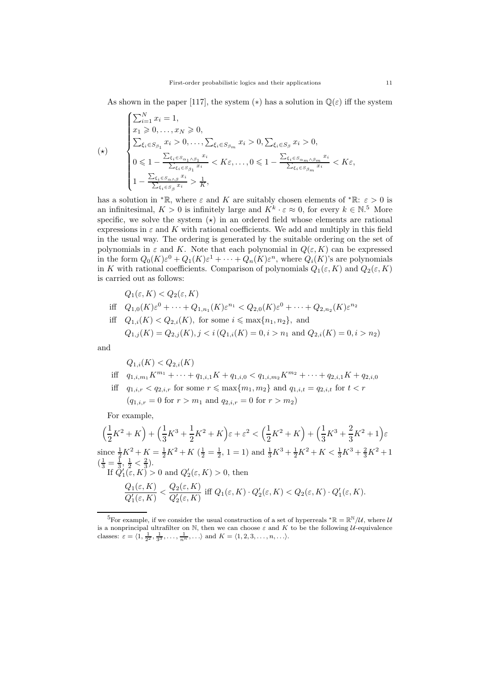As shown in the paper [117], the system (\*) has a solution in  $\mathbb{Q}(\varepsilon)$  iff the system

$$
(\star) \qquad \begin{cases} \sum_{i=1}^{N} x_i = 1, \\ x_1 \geq 0, \dots, x_N \geq 0, \\ \sum_{\xi_i \in S_{\beta_1}} x_i > 0, \dots, \sum_{\xi_i \in S_{\beta_m}} x_i > 0, \sum_{\xi_i \in S_{\beta}} x_i > 0, \\ 0 \leq 1 - \frac{\sum_{\xi_i \in S_{\alpha_1} \wedge \beta_1} x_i}{\sum_{\xi_i \in S_{\beta_1}} x_i} < K\varepsilon, \dots, 0 \leq 1 - \frac{\sum_{\xi_i \in S_{\alpha_m} \wedge \beta_m} x_i}{\sum_{\xi_i \in S_{\beta_m}} x_i} < K\varepsilon, \\ 1 - \frac{\sum_{\xi_i \in S_{\alpha} \wedge \beta} x_i}{\sum_{\xi_i \in S_{\beta}} x_i} > \frac{1}{K}, \end{cases}
$$

has a solution in \*R, where  $\varepsilon$  and K are suitably chosen elements of \*R:  $\varepsilon > 0$  is an infinitesimal,  $K > 0$  is infinitely large and  $K^k \cdot \varepsilon \approx 0$ , for every  $k \in \mathbb{N}$ .<sup>5</sup> More specific, we solve the system  $(\star)$  in an ordered field whose elements are rational expressions in  $\varepsilon$  and  $K$  with rational coefficients. We add and multiply in this field in the usual way. The ordering is generated by the suitable ordering on the set of polynomials in  $\varepsilon$  and K. Note that each polynomial in  $Q(\varepsilon, K)$  can be expressed in the form  $Q_0(K)\varepsilon^0 + Q_1(K)\varepsilon^1 + \cdots + Q_n(K)\varepsilon^n$ , where  $Q_i(K)$ 's are polynomials in K with rational coefficients. Comparison of polynomials  $Q_1(\varepsilon, K)$  and  $Q_2(\varepsilon, K)$ is carried out as follows:

$$
Q_1(\varepsilon, K) < Q_2(\varepsilon, K)
$$
\niff

\n
$$
Q_{1,0}(K)\varepsilon^0 + \dots + Q_{1,n_1}(K)\varepsilon^{n_1} < Q_{2,0}(K)\varepsilon^0 + \dots + Q_{2,n_2}(K)\varepsilon^{n_2}
$$
\niff

\n
$$
Q_{1,i}(K) < Q_{2,i}(K), \text{ for some } i \leq \max\{n_1, n_2\}, \text{ and}
$$
\n
$$
Q_{1,j}(K) = Q_{2,j}(K), j < i(Q_{1,i}(K) = 0, i > n_1 \text{ and } Q_{2,i}(K) = 0, i > n_2)
$$

and

$$
Q_{1,i}(K) < Q_{2,i}(K)
$$
\niff

\n
$$
q_{1,i,m_1}K^{m_1} + \cdots + q_{1,i,1}K + q_{1,i,0} < q_{1,i,m_2}K^{m_2} + \cdots + q_{2,i,1}K + q_{2,i,0}
$$
\niff

\n
$$
q_{1,i,r} < q_{2,i,r} \text{ for some } r \leq \max\{m_1, m_2\} \text{ and } q_{1,i,t} = q_{2,i,t} \text{ for } t < r
$$
\n
$$
(q_{1,i,r} = 0 \text{ for } r > m_1 \text{ and } q_{2,i,r} = 0 \text{ for } r > m_2)
$$

For example,

 $\mathbb{R}^2$ 

 $\sqrt{1}$  $\frac{1}{2}K^2 + K$  +  $\left(\frac{1}{3}\right)$  $\frac{1}{3}K^3 + \frac{1}{2}$  $\frac{1}{2}K^2 + K\right)\varepsilon + \varepsilon^2 < \left(\frac{1}{2}\right)$  $\frac{1}{2}K^2 + K$  +  $\left(\frac{1}{3}\right)$  $\frac{1}{3}K^3 + \frac{2}{3}$  $\frac{2}{3}K^2+1\Big)\varepsilon$ since  $\frac{1}{2}K^2 + K = \frac{1}{2}K^2 + K$  ( $\frac{1}{2} = \frac{1}{2}$ , 1 = 1) and  $\frac{1}{3}K^3 + \frac{1}{2}K^2 + K < \frac{1}{3}K^3 + \frac{2}{3}K^2 + 1$  $\left(\frac{1}{3} = \frac{1}{3}, \frac{1}{2} < \frac{2}{3}\right).$ If  $\tilde{Q}'_1(\bar{\varepsilon}, K) > 0$  and  $Q'_2(\varepsilon, K) > 0$ , then  $Q_1(\varepsilon,K)$  $\frac{Q_1(\varepsilon,K)}{Q_1'(\varepsilon,K)} < \frac{Q_2(\varepsilon,K)}{Q_2'(\varepsilon,K)}$  $\frac{Q_2(\varepsilon, K)}{Q_2'(\varepsilon, K)}$  iff  $Q_1(\varepsilon, K) \cdot Q_2'(\varepsilon, K) < Q_2(\varepsilon, K) \cdot Q_1'(\varepsilon, K)$ .

<sup>&</sup>lt;sup>5</sup>For example, if we consider the usual construction of a set of hyperreals  ${}^* \mathbb{R} = \mathbb{R}^{\mathbb{N}}/\mathcal{U}$ , where  $\mathcal{U}$ is a nonprincipal ultrafilter on N, then we can choose  $\varepsilon$  and K to be the following U-equivalence classes:  $\varepsilon = \langle 1, \frac{1}{2^2}, \frac{1}{3^3}, \dots, \frac{1}{n^n}, \dots \rangle$  and  $K = \langle 1, 2, 3, \dots, n, \dots \rangle$ .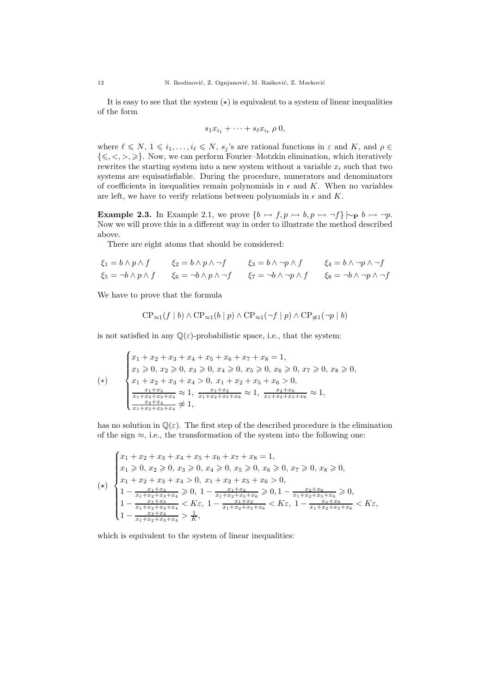It is easy to see that the system  $(x)$  is equivalent to a system of linear inequalities of the form

$$
s_1x_{i_1}+\cdots+s_{\ell}x_{i_{\ell}}\,\rho\,0,
$$

where  $\ell \leq N, 1 \leq i_1, \ldots, i_\ell \leq N, s_j$ 's are rational functions in  $\varepsilon$  and  $K$ , and  $\rho \in$  $\{\leq, <, >, \geq\}$ . Now, we can perform Fourier–Motzkin elimination, which iteratively rewrites the starting system into a new system without a variable  $x_i$  such that two systems are equisatisfiable. During the procedure, numerators and denominators of coefficients in inequalities remain polynomials in  $\epsilon$  and K. When no variables are left, we have to verify relations between polynomials in  $\epsilon$  and K.

**Example 2.3.** In Example 2.1, we prove  $\{b \rightarrow f, p \rightarrow b, p \rightarrow \neg f\} \sim_{\mathbf{P}} b \rightarrow \neg p$ . Now we will prove this in a different way in order to illustrate the method described above.

There are eight atoms that should be considered:

$$
\xi_1 = b \land p \land f \qquad \xi_2 = b \land p \land \neg f \qquad \xi_3 = b \land \neg p \land f \qquad \xi_4 = b \land \neg p \land \neg f
$$
  

$$
\xi_5 = \neg b \land p \land f \qquad \xi_6 = \neg b \land p \land \neg f \qquad \xi_7 = \neg b \land \neg p \land f \qquad \xi_8 = \neg b \land \neg p \land \neg f
$$

We have to prove that the formula

$$
CP_{\approx 1}(f | b) \wedge CP_{\approx 1}(b | p) \wedge CP_{\approx 1}(\neg f | p) \wedge CP_{\not\approx 1}(\neg p | b)
$$

is not satisfied in any  $\mathbb{Q}(\varepsilon)$ -probabilistic space, i.e., that the system:

$$
\begin{cases}\nx_1 + x_2 + x_3 + x_4 + x_5 + x_6 + x_7 + x_8 = 1, \\
x_1 \ge 0, x_2 \ge 0, x_3 \ge 0, x_4 \ge 0, x_5 \ge 0, x_6 \ge 0, x_7 \ge 0, x_8 \ge 0, \\
x_1 + x_2 + x_3 + x_4 > 0, x_1 + x_2 + x_5 + x_6 > 0, \\
\frac{x_1 + x_3}{x_1 + x_2 + x_3 + x_4} \approx 1, \frac{x_1 + x_2}{x_1 + x_2 + x_5 + x_6} \approx 1, \frac{x_2 + x_6}{x_1 + x_2 + x_5 + x_6} \approx 1,\n\end{cases}
$$

has no solution in  $\mathbb{Q}(\varepsilon)$ . The first step of the described procedure is the elimination of the sign  $\approx$ , i.e., the transformation of the system into the following one:

$$
(\star)\n\begin{cases}\nx_1 + x_2 + x_3 + x_4 + x_5 + x_6 + x_7 + x_8 = 1, \\
x_1 \geq 0, x_2 \geq 0, x_3 \geq 0, x_4 \geq 0, x_5 \geq 0, x_6 \geq 0, x_7 \geq 0, x_8 \geq 0, \\
x_1 + x_2 + x_3 + x_4 > 0, x_1 + x_2 + x_5 + x_6 > 0, \\
1 - \frac{x_1 + x_3}{x_1 + x_2 + x_3 + x_4} \geq 0, 1 - \frac{x_1 + x_2}{x_1 + x_2 + x_5 + x_6} \geq 0, 1 - \frac{x_2 + x_6}{x_1 + x_2 + x_5 + x_6} \geq 0, \\
1 - \frac{x_1 + x_3}{x_1 + x_2 + x_3 + x_4} < K\varepsilon, 1 - \frac{x_1 + x_2}{x_1 + x_2 + x_5 + x_6} < K\varepsilon, 1 - \frac{x_2 + x_6}{x_1 + x_2 + x_5 + x_6} < K\varepsilon,\n\end{cases}
$$

which is equivalent to the system of linear inequalities: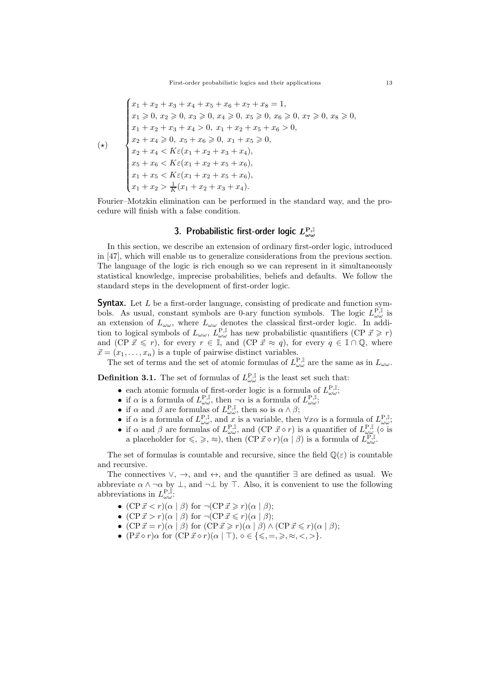$$
\begin{cases}\nx_1 + x_2 + x_3 + x_4 + x_5 + x_6 + x_7 + x_8 = 1, \\
x_1 \ge 0, x_2 \ge 0, x_3 \ge 0, x_4 \ge 0, x_5 \ge 0, x_6 \ge 0, x_7 \ge 0, x_8 \ge 0, \\
x_1 + x_2 + x_3 + x_4 > 0, x_1 + x_2 + x_5 + x_6 > 0, \\
x_2 + x_4 \ge 0, x_5 + x_6 \ge 0, x_1 + x_5 \ge 0, \\
x_2 + x_4 < K\varepsilon(x_1 + x_2 + x_3 + x_4), \\
x_5 + x_6 < K\varepsilon(x_1 + x_2 + x_5 + x_6), \\
x_1 + x_5 < K\varepsilon(x_1 + x_2 + x_5 + x_6), \\
x_1 + x_2 > \frac{1}{K}(x_1 + x_2 + x_3 + x_4).\n\end{cases}
$$

Fourier–Motzkin elimination can be performed in the standard way, and the procedure will finish with a false condition.

# 3. Probabilistic first-order logic  $L_{\omega \omega}^{\rm P, \mathbb{I}}$

In this section, we describe an extension of ordinary first-order logic, introduced in [47], which will enable us to generalize considerations from the previous section. The language of the logic is rich enough so we can represent in it simultaneously statistical knowledge, imprecise probabilities, beliefs and defaults. We follow the standard steps in the development of first-order logic.

**Syntax.** Let  $L$  be a first-order language, consisting of predicate and function symbols. As usual, constant symbols are 0-ary function symbols. The logic  $L_{\omega\omega}^{\text{P,I}}$  is an extension of  $L_{\omega\omega}$ , where  $L_{\omega\omega}$  denotes the classical first-order logic. In addition to logical symbols of  $L_{\omega\omega}$ ,  $L_{\omega\omega}^{\text{P,I}}$  has new probabilistic quantifiers (CP  $\vec{x} \geq r$ ) and (CP  $\vec{x} \leq r$ ), for every  $r \in \mathbb{I}$ , and (CP  $\vec{x} \approx q$ ), for every  $q \in \mathbb{I} \cap \mathbb{Q}$ , where  $\vec{x} = (x_1, \ldots, x_n)$  is a tuple of pairwise distinct variables.

The set of terms and the set of atomic formulas of  $L^{\mathbf{P},\mathbb{I}}_{\omega\omega}$  are the same as in  $L_{\omega\omega}$ .

**Definition 3.1.** The set of formulas of  $L^{\mathbf{P},\mathbb{I}}_{\omega\omega}$  is the least set such that:

- each atomic formula of first-order logic is a formula of  $L_{\omega\omega}^{\text{P},\mathbb{I}}$ ;
- if  $\alpha$  is a formula of  $L_{\omega\omega}^{\mathbf{P},\mathbb{I}}$ , then  $-\alpha$  is a formula of  $L_{\omega\omega}^{\mathbf{P},\mathbb{I}}$ ,
- if  $\alpha$  and  $\beta$  are formulas of  $L_{\omega\omega}^{\mathbf{P},\mathbb{I}}$ , then so is  $\alpha \wedge \beta$ ;
- if  $\alpha$  is a formula of  $L_{\omega\omega}^{\mathbf{P},\mathbb{I}},$  and  $x$  is a variable, then  $\forall x\alpha$  is a formula of  $L_{\omega\omega}^{\mathbf{P},\mathbb{I}},$
- if  $\alpha$  and  $\beta$  are formulas of  $L_{\omega\omega}^{\mathbf{P},\mathbb{I}}$ , and (CP  $\vec{x}\diamond r$ ) is a quantifier of  $L_{\omega\omega}^{\mathbf{P},\mathbb{I}}$  ( $\diamond$  is a placeholder for  $\leqslant$ ,  $\geqslant$ ,  $\approx$ ), then  $(CP\vec{x} \diamond r)(\alpha | \beta)$  is a formula of  $L_{\omega\omega}^{P,I}$ .

The set of formulas is countable and recursive, since the field  $\mathbb{Q}(\varepsilon)$  is countable and recursive.

The connectives  $\vee$ ,  $\rightarrow$ , and  $\leftrightarrow$ , and the quantifier  $\exists$  are defined as usual. We abbreviate  $\alpha \wedge \neg \alpha$  by  $\bot$ , and  $\neg \bot$  by  $\top$ . Also, it is convenient to use the following abbreviations in  $L_{\omega\omega}^{\text{P,I}}$ :

- $(CP\vec{x} < r)(\alpha | \beta)$  for  $\neg(CP\vec{x} \geq r)(\alpha | \beta);$
- $(CP\vec{x} > r)(\alpha | \beta)$  for  $\neg(CP\vec{x} \leq r)(\alpha | \beta);$
- $(CP\vec{x} = r)(\alpha | \beta)$  for  $(CP\vec{x} \geq r)(\alpha | \beta) \wedge (CP\vec{x} \leq r)(\alpha | \beta);$
- $(P\vec{x} \diamond r) \alpha$  for  $(CP\vec{x} \diamond r)(\alpha | \top)$ ,  $\diamond \in \{\leq, =, \geq, \approx, \lt,, \gt\}.$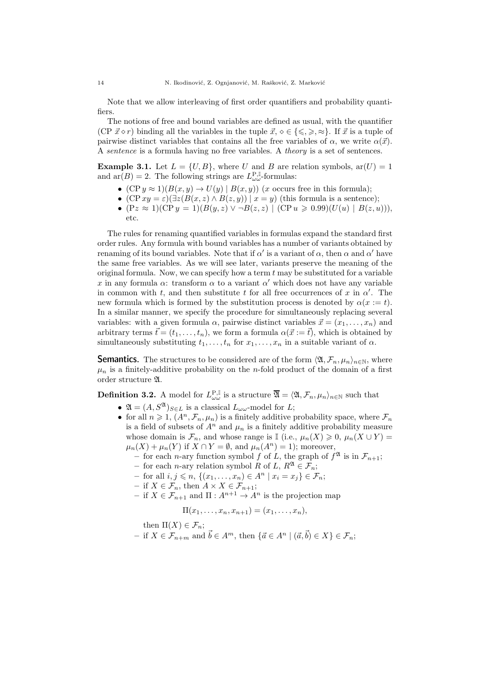Note that we allow interleaving of first order quantifiers and probability quantifiers.

The notions of free and bound variables are defined as usual, with the quantifier (CP  $\vec{x} \diamond r$ ) binding all the variables in the tuple  $\vec{x}, \diamond \in \{\leq \leq \geq \geq \}$ . If  $\vec{x}$  is a tuple of pairwise distinct variables that contains all the free variables of  $\alpha$ , we write  $\alpha(\vec{x})$ . A sentence is a formula having no free variables. A theory is a set of sentences.

**Example 3.1.** Let  $L = \{U, B\}$ , where U and B are relation symbols,  $ar(U) = 1$ and  $ar(B) = 2$ . The following strings are  $L_{\omega\omega}^{P,I}$ -formulas:

- $(CP y \approx 1)(B(x, y) \rightarrow U(y) | B(x, y))$  (*x* occurs free in this formula);
- (CP  $xy = \varepsilon$ )( $\exists z(B(x, z) \wedge B(z, y)) | x = y$ ) (this formula is a sentence);
- $(Pz \approx 1)(\text{CP } y = 1)(B(y, z) \vee \neg B(z, z) \mid (\text{CP } u \geq 0.99)(U(u) \mid B(z, u))),$ etc.

The rules for renaming quantified variables in formulas expand the standard first order rules. Any formula with bound variables has a number of variants obtained by renaming of its bound variables. Note that if  $\alpha'$  is a variant of  $\alpha$ , then  $\alpha$  and  $\alpha'$  have the same free variables. As we will see later, variants preserve the meaning of the original formula. Now, we can specify how a term  $t$  may be substituted for a variable x in any formula  $\alpha$ : transform  $\alpha$  to a variant  $\alpha'$  which does not have any variable in common with t, and then substitute t for all free occurrences of x in  $\alpha'$ . The new formula which is formed by the substitution process is denoted by  $\alpha(x := t)$ . In a similar manner, we specify the procedure for simultaneously replacing several variables: with a given formula  $\alpha$ , pairwise distinct variables  $\vec{x} = (x_1, \ldots, x_n)$  and arbitrary terms  $\vec{t} = (t_1, \ldots, t_n)$ , we form a formula  $\alpha(\vec{x} := \vec{t})$ , which is obtained by simultaneously substituting  $t_1, \ldots, t_n$  for  $x_1, \ldots, x_n$  in a suitable variant of  $\alpha$ .

**Semantics.** The structures to be considered are of the form  $\langle \mathfrak{A}, \mathcal{F}_n, \mu_n \rangle_{n \in \mathbb{N}}$ , where  $\mu_n$  is a finitely-additive probability on the *n*-fold product of the domain of a first order structure A.

**Definition 3.2.** A model for  $L_{\omega\omega}^{\text{P},\mathbb{I}}$  is a structure  $\overline{\mathfrak{A}} = \langle \mathfrak{A}, \mathcal{F}_n, \mu_n \rangle_{n \in \mathbb{N}}$  such that

- $\mathfrak{A} = (A, S^{\mathfrak{A}})_{S \in L}$  is a classical  $L_{\omega \omega}$ -model for L;
- for all  $n \geq 1$ ,  $(A^n, \mathcal{F}_n, \mu_n)$  is a finitely additive probability space, where  $\mathcal{F}_n$ is a field of subsets of  $A^n$  and  $\mu_n$  is a finitely additive probability measure whose domain is  $\mathcal{F}_n$ , and whose range is I (i.e.,  $\mu_n(X) \geq 0$ ,  $\mu_n(X \cup Y) =$  $\mu_n(X) + \mu_n(Y)$  if  $X \cap Y = \emptyset$ , and  $\mu_n(A^n) = 1$ ); moreover,
	- for each *n*-ary function symbol f of L, the graph of  $f^{\mathfrak{A}}$  is in  $\mathcal{F}_{n+1}$ ;
	- for each *n*-ary relation symbol R of L,  $R^{\mathfrak{A}} \in \mathcal{F}_n$ ;
	- for all *i*, *j* ≤ *n*, {( $x_1, ..., x_n$ ) ∈  $A^n | x_i = x_j$ } ∈  $\mathcal{F}_n$ ;
	- if  $X \in \mathcal{F}_n$ , then  $A \times X \in \mathcal{F}_{n+1}$ ;
	- if  $X \in \mathcal{F}_{n+1}$  and  $\Pi: A^{n+1} \to A^n$  is the projection map

$$
\Pi(x_1, \ldots, x_n, x_{n+1}) = (x_1, \ldots, x_n),
$$

then  $\Pi(X) \in \mathcal{F}_n$ ;

– if  $X \in \mathcal{F}_{n+m}$  and  $\vec{b} \in A^m$ , then  $\{\vec{a} \in A^n \mid (\vec{a}, \vec{b}) \in X\} \in \mathcal{F}_n$ ;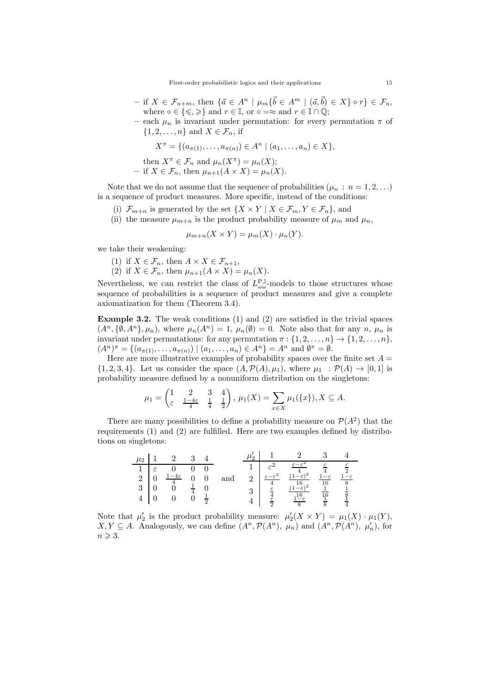- $-$  if  $X \in \mathcal{F}_{n+m}$ , then  $\{\vec{a} \in A^n \mid \mu_m\{\vec{b} \in A^m \mid (\vec{a}, \vec{b}) \in X\} \diamond r\} \in \mathcal{F}_n$ , where  $\diamond \in \{\leqslant,\geqslant\}$  and  $r \in \mathbb{I}$ , or  $\diamond =\approx$  and  $r \in \mathbb{I} \cap \mathbb{Q}$ ;
- each  $\mu_n$  is invariant under permutation: for every permutation  $\pi$  of  $\{1, 2, \ldots, n\}$  and  $X \in \mathcal{F}_n$ , if

$$
X^{\pi} = \{ (a_{\pi(1)}, \ldots, a_{\pi(n)}) \in A^n \mid (a_1, \ldots, a_n) \in X \},
$$

then 
$$
X^{\pi} \in \mathcal{F}_n
$$
 and  $\mu_n(X^{\pi}) = \mu_n(X)$ ;

- if 
$$
X \in \mathcal{F}_n
$$
, then  $\mu_{n+1}(A \times X) = \mu_n(X)$ .

Note that we do not assume that the sequence of probabilities  $(\mu_n : n = 1, 2, ...)$ is a sequence of product measures. More specific, instead of the conditions:

- (i)  $\mathcal{F}_{m+n}$  is generated by the set  $\{X \times Y \mid X \in \mathcal{F}_m, Y \in \mathcal{F}_n\}$ , and
- (ii) the measure  $\mu_{m+n}$  is the product probability measure of  $\mu_m$  and  $\mu_n$ ,

$$
\mu_{m+n}(X \times Y) = \mu_m(X) \cdot \mu_n(Y).
$$

we take their weakening:

- (1) if  $X \in \mathcal{F}_n$ , then  $A \times X \in \mathcal{F}_{n+1}$ ,
- (2) if  $X \in \mathcal{F}_n$ , then  $\mu_{n+1}(A \times X) = \mu_n(X)$ .

Nevertheless, we can restrict the class of  $L_{\omega\omega}^{\text{P},\mathbb{I}}$ -models to those structures whose sequence of probabilities is a sequence of product measures and give a complete axiomatization for them (Theorem 3.4).

Example 3.2. The weak conditions (1) and (2) are satisfied in the trivial spaces  $(A^n, \{\emptyset, A^n\}, \mu_n)$ , where  $\mu_n(A^n) = 1$ ,  $\mu_n(\emptyset) = 0$ . Note also that for any n,  $\mu_n$  is invariant under permutations: for any permutation  $\pi : \{1, 2, \ldots, n\} \rightarrow \{1, 2, \ldots, n\}$ ,  $(A^n)^{\pi} = \{ (a_{\pi(1)}, \ldots, a_{\pi(n)}) \mid (a_1, \ldots, a_n) \in A^n \} = A^n$  and  $\emptyset^{\pi} = \emptyset$ .

Here are more illustrative examples of probability spaces over the finite set  $A =$  $\{1, 2, 3, 4\}$ . Let us consider the space  $(A, \mathcal{P}(A), \mu_1)$ , where  $\mu_1 : \mathcal{P}(A) \to [0, 1]$  is probability measure defined by a nonuniform distribution on the singletons:

$$
\mu_1 = \begin{pmatrix} 1 & 2 & 3 & 4 \\ \varepsilon & \frac{1-4\varepsilon}{4} & \frac{1}{4} & \frac{1}{2} \end{pmatrix}, \ \mu_1(X) = \sum_{x \in X} \mu_1(\{x\}), X \subseteq A.
$$

There are many possibilities to define a probability measure on  $\mathcal{P}(A^2)$  that the requirements (1) and (2) are fulfilled. Here are two examples defined by distributions on singletons:

|  | $\mu_2$ 1 2 3 4                                                                                                                                                           |  |     |  | $\mu'_2$   1 2 3 4                                                                                                                                                                                                                                                                                                                                                                                                                                   |  |
|--|---------------------------------------------------------------------------------------------------------------------------------------------------------------------------|--|-----|--|------------------------------------------------------------------------------------------------------------------------------------------------------------------------------------------------------------------------------------------------------------------------------------------------------------------------------------------------------------------------------------------------------------------------------------------------------|--|
|  | $\begin{array}{c cccc} 1 & \varepsilon & 0 & 0 & 0 \\ 2 & 0 & \frac{1-4\varepsilon}{4} & 0 & 0 \\ 3 & 0 & 0 & \frac{1}{4} & 0 \\ 4 & 0 & 0 & 0 & \frac{1}{2} \end{array}$ |  | and |  | $\begin{array}{c cc} 1 & \varepsilon^2 & \frac{\varepsilon-\varepsilon^2}{4} & \frac{\varepsilon}{4} & \frac{\varepsilon}{2} \\ 2 & \frac{\varepsilon-\varepsilon^2}{4} & \frac{(1-\varepsilon)^2}{16} & \frac{1-\varepsilon}{16} & \frac{1-\varepsilon}{8} \\ 3 & \frac{\varepsilon}{4} & \frac{(1-\varepsilon)^2}{16} & \frac{1}{16} & \frac{1}{8} \\ 4 & \frac{\varepsilon}{2} & \frac{1-\varepsilon}{8} & \frac{1}{8} & \frac{1}{4} \end{array}$ |  |

Note that  $\mu'_2$  is the product probability measure:  $\mu'_2(X \times Y) = \mu_1(X) \cdot \mu_1(Y)$ ,  $X, Y \subseteq A$ . Analogously, we can define  $(A^n, \mathcal{P}(A^n), \mu_n)$  and  $(A^n, \mathcal{P}(A^n), \mu'_n)$ , for  $n \geqslant 3$ .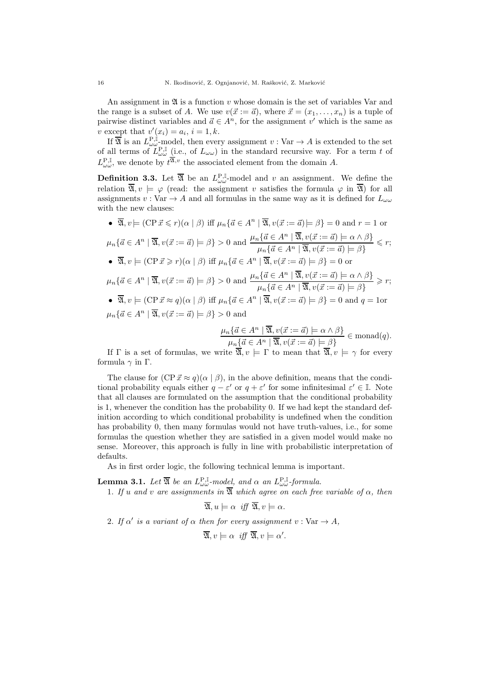An assignment in  $\mathfrak A$  is a function v whose domain is the set of variables Var and the range is a subset of A. We use  $v(\vec{x} := \vec{a})$ , where  $\vec{x} = (x_1, \ldots, x_n)$  is a tuple of pairwise distinct variables and  $\vec{a} \in A^n$ , for the assignment v' which is the same as v except that  $v'(x_i) = a_i, i = 1, k$ .

If  $\overline{\mathfrak{A}}$  is an  $L^{P,\mathbb{I}}_{\omega \omega}$ -model, then every assignment  $v : \text{Var} \to A$  is extended to the set of all terms of  $L_{\omega\omega}^{\text{P,I}}$  (i.e., of  $L_{\omega\omega}$ ) in the standard recursive way. For a term t of  $L^{\mathbf{P},\mathbb{I}}_{\omega\omega}$ , we denote by  $t^{\overline{\mathfrak{A}},v}$  the associated element from the domain A.

**Definition 3.3.** Let  $\overline{\mathfrak{A}}$  be an  $L^{\mathbf{P},\mathbb{I}}_{\omega\omega}$ -model and v an assignment. We define the relation  $\overline{\mathfrak{A}}, v \models \varphi$  (read: the assignment v satisfies the formula  $\varphi$  in  $\overline{\mathfrak{A}}$ ) for all assignments  $v : \text{Var} \to A$  and all formulas in the same way as it is defined for  $L_{\omega \omega}$ with the new clauses:

•  $\overline{\mathfrak{A}}, v \models (\text{CP} \vec{x} \leqslant r)(\alpha \mid \beta)$  iff  $\mu_n\{\vec{a} \in A^n \mid \overline{\mathfrak{A}}, v(\vec{x} := \vec{a}) \models \beta\} = 0$  and  $r = 1$  or  $\mu_n\{\vec{a}\in A^n\mid \overline{\mathfrak{A}}, v(\vec{x}:=\vec{a})\models \beta\} > 0$  and  $\frac{\mu_n\{\vec{a}\in A^n\mid \overline{\mathfrak{A}}, v(\vec{x}:=\vec{a})\models \alpha\wedge\beta\}}{\mathfrak{A}\{x\mid \overline{\mathfrak{A}}, v(\vec{x}:=\vec{a})\models \alpha\wedge\beta\}}$  $\frac{\mu_n(a \in A^n \mid \mathfrak{A}, v(x := a) \mid \neg a \land \neg p)}{\mu_n\{\vec{a} \in A^n \mid \mathfrak{A}, v(\vec{x} := \vec{a}) \mid \neg \beta\}} \leq r;$ •  $\overline{\mathfrak{A}}, v \models (\text{CP} \vec{x} \geq r)(\alpha \mid \beta)$  iff  $\mu_n\{\vec{a} \in A^n \mid \overline{\mathfrak{A}}, v(\vec{x} := \vec{a}) \models \beta\} = 0$  or  $\mu_n\{\vec{a}\in A^n\mid \overline{\mathfrak{A}}, v(\vec{x}:=\vec{a})\models \beta\} > 0$  and  $\frac{\mu_n\{\vec{a}\in A^n\mid \overline{\mathfrak{A}}, v(\vec{x}:=\vec{a})\models \alpha\wedge \beta\}}{\mathfrak{A}\{x\mid \overline{\mathfrak{A}}, v(\vec{x}:=\vec{a})\models \alpha\wedge \beta\}}$  $\frac{\mu_n(a \in A^n \mid \mathfrak{A}, v(x := a) \mid \neg a \land \neg p)}{\mu_n\{\vec{a} \in A^n \mid \mathfrak{A}, v(\vec{x} := \vec{a}) \mid \neg \beta\}} \geq r;$ •  $\overline{\mathfrak{A}}, v \models (\text{CP} \vec{x} \approx q)(\alpha \mid \beta)$  iff  $\mu_n \{ \vec{a} \in A^n \mid \overline{\mathfrak{A}}, v(\vec{x} := \vec{a}) \models \beta \} = 0$  and  $q = 1$ or  $\mu_n\{\vec{a}\in A^n\mid \overline{\mathfrak{A}}, v(\vec{x}:=\vec{a})\models \beta\} > 0$  and

$$
\frac{\mu_n\{\vec{a}\in A^n\mid \overline{\mathfrak{A}}, v(\vec{x}:=\vec{a})\models \alpha\land\beta\}}{\mu_n\{\vec{a}\in A^n\mid \overline{\mathfrak{A}}, v(\vec{x}:=\vec{a})\models \beta\}} \in \text{monad}(q).
$$

If  $\Gamma$  is a set of formulas, we write  $\overline{\mathfrak{A}}$ ,  $v \models \Gamma$  to mean that  $\overline{\mathfrak{A}}$ ,  $v \models \gamma$  for every formula γ in Γ.

The clause for  $(CP\vec{x} \approx q)(\alpha | \beta)$ , in the above definition, means that the conditional probability equals either  $q - \varepsilon'$  or  $q + \varepsilon'$  for some infinitesimal  $\varepsilon' \in \mathbb{I}$ . Note that all clauses are formulated on the assumption that the conditional probability is 1, whenever the condition has the probability 0. If we had kept the standard definition according to which conditional probability is undefined when the condition has probability 0, then many formulas would not have truth-values, i.e., for some formulas the question whether they are satisfied in a given model would make no sense. Moreover, this approach is fully in line with probabilistic interpretation of defaults.

As in first order logic, the following technical lemma is important.

**Lemma 3.1.** Let  $\overline{\mathfrak{A}}$  be an  $L_{\omega\omega}^{\mathbf{P},\mathbb{I}}$ -model, and  $\alpha$  an  $L_{\omega\omega}^{\mathbf{P},\mathbb{I}}$ -formula.

1. If u and v are assignments in  $\overline{\mathfrak{A}}$  which agree on each free variable of  $\alpha$ , then

$$
\overline{\mathfrak{A}}, u \models \alpha \ \text{iff } \overline{\mathfrak{A}}, v \models \alpha.
$$

2. If  $\alpha'$  is a variant of  $\alpha$  then for every assignment  $v : \text{Var} \to A$ ,

$$
\overline{\mathfrak{A}}, v \models \alpha \ \text{iff } \overline{\mathfrak{A}}, v \models \alpha'.
$$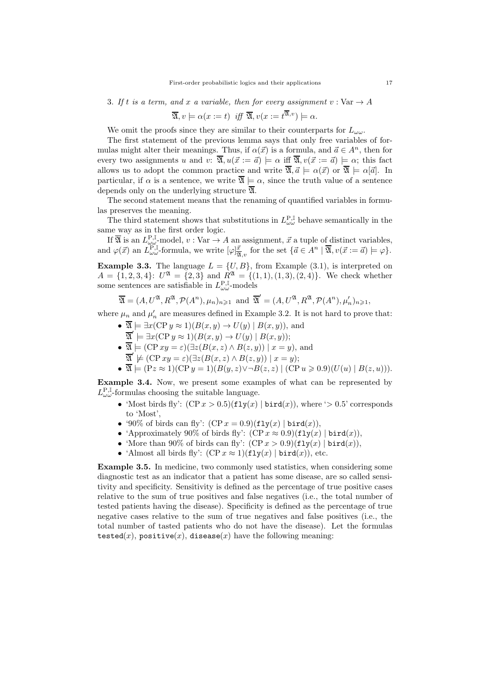#### 3. If t is a term, and x a variable, then for every assignment  $v : \text{Var} \to A$

$$
\overline{\mathfrak{A}}, v \models \alpha(x := t) \text{ iff } \overline{\mathfrak{A}}, v(x := t^{\overline{\mathfrak{A}}, v}) \models \alpha.
$$

We omit the proofs since they are similar to their counterparts for  $L_{\omega\omega}$ .

The first statement of the previous lemma says that only free variables of formulas might alter their meanings. Thus, if  $\alpha(\vec{x})$  is a formula, and  $\vec{a} \in A^n$ , then for every two assignments u and v:  $\overline{\mathfrak{A}}$ ,  $u(\vec{x} := \vec{a}) \models \alpha$  iff  $\overline{\mathfrak{A}}$ ,  $v(\vec{x} := \vec{a}) \models \alpha$ ; this fact allows us to adopt the common practice and write  $\overline{\mathfrak{A}}, \overline{a} \models \alpha(\overline{x})$  or  $\overline{\mathfrak{A}} \models \alpha[\overline{a}]$ . In particular, if  $\alpha$  is a sentence, we write  $\overline{\mathfrak{A}} \models \alpha$ , since the truth value of a sentence depends only on the underlying structure  $\overline{\mathfrak{A}}$ .

The second statement means that the renaming of quantified variables in formulas preserves the meaning.

The third statement shows that substitutions in  $L^{\mathbf{P},\mathbb{I}}_{\omega\omega}$  behave semantically in the same way as in the first order logic.

If  $\overline{\mathfrak{A}}$  is an  $L_{\omega\omega}^{\text{P},\mathbb{I}}$ -model,  $v: \text{Var} \to A$  an assignment,  $\vec{x}$  a tuple of distinct variables, and  $\varphi(\vec{x})$  an  $L_{\omega\omega}^{\mathbf{P},\mathbb{I}}$ -formula, we write  $[\varphi]_{\overline{\mathfrak{A}},v}^{\vec{x}}$  for the set  $\{\vec{a}\in A^n\mid \overline{\mathfrak{A}}, v(\vec{x}:=\vec{a})\models \varphi\}.$ 

**Example 3.3.** The language  $L = \{U, B\}$ , from Example (3.1), is interpreted on  $A = \{1, 2, 3, 4\}$ :  $U^{\mathfrak{A}} = \{2, 3\}$  and  $R^{\mathfrak{A}} = \{(1, 1), (1, 3), (2, 4)\}$ . We check whether some sentences are satisfiable in  $L_{\omega\omega}^{\text{P,I}}$ -models

$$
\overline{\mathfrak{A}} = (A, U^{\mathfrak{A}}, R^{\mathfrak{A}}, \mathcal{P}(A^n), \mu_n)_{n \geq 1}
$$
 and  $\overline{\mathfrak{A}}' = (A, U^{\mathfrak{A}}, R^{\mathfrak{A}}, \mathcal{P}(A^n), \mu'_n)_{n \geq 1}$ ,

where  $\mu_n$  and  $\mu'_n$  are measures defined in Example 3.2. It is not hard to prove that:

- $\overline{\mathfrak{A}} \models \exists x (\text{CP } y \approx 1)(B(x, y) \rightarrow U(y) \mid B(x, y))$ , and
	- $\overline{\mathfrak{A}}' \models \exists x (\text{CP } y \approx 1)(B(x, y) \rightarrow U(y) \mid B(x, y));$
- $\overline{\mathfrak{A}} \models (\text{CP } xy = \varepsilon)(\exists z (B(x, z) \land B(z, y)) \mid x = y)$ , and
- $\overline{\mathfrak{A}}' \not\models (\text{CP } xy = \varepsilon)(\exists z (B(x, z) \land B(z, y)) \mid x = y);$
- $\overline{\mathfrak{A}} \models (\text{Pz} \approx 1)(\text{CP } y = 1)(B(y, z) \lor \neg B(z, z))$   $(\text{CP } u \geq 0.9)(U(u) | B(z, u))).$

Example 3.4. Now, we present some examples of what can be represented by  $L_{\omega\omega}^{\text{P,I}}$ -formulas choosing the suitable language.

- 'Most birds fly':  $(CP x > 0.5)(f1y(x) | \text{bird}(x))$ , where ' $> 0.5$ ' corresponds to 'Most',
- '90% of birds can fly':  $(CP x = 0.9)(f1y(x) | bird(x)),$
- 'Approximately 90% of birds fly':  $(CP x \approx 0.9)(f1y(x) | \text{bird}(x)),$
- 'More than 90% of birds can fly':  $(CPx > 0.9)(\text{fly}(x) | \text{bird}(x)),$
- 'Almost all birds fly':  $(CP x \approx 1)(\text{fly}(x) | \text{bird}(x))$ , etc.

Example 3.5. In medicine, two commonly used statistics, when considering some diagnostic test as an indicator that a patient has some disease, are so called sensitivity and specificity. Sensitivity is defined as the percentage of true positive cases relative to the sum of true positives and false negatives (i.e., the total number of tested patients having the disease). Specificity is defined as the percentage of true negative cases relative to the sum of true negatives and false positives (i.e., the total number of tasted patients who do not have the disease). Let the formulas tested(x),  $\text{positive}(x)$ , disease(x) have the following meaning: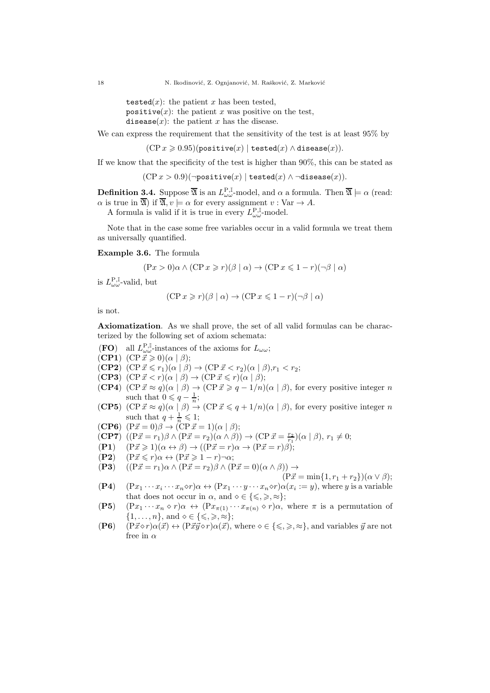tested $(x)$ : the patient x has been tested. positive $(x)$ : the patient x was positive on the test, disease $(x)$ : the patient x has the disease.

We can express the requirement that the sensitivity of the test is at least  $95\%$  by

 $(CP x \geq 0.95)($ positive $(x)$  | tested $(x) \wedge$  disease $(x)$ ).

If we know that the specificity of the test is higher than 90%, this can be stated as

 $(CP x > 0.9)(\neg positive(x) | tested(x) \land \neg disease(x)).$ 

**Definition 3.4.** Suppose  $\overline{\mathfrak{A}}$  is an  $L_{\omega\omega}^{\text{P},\mathbb{I}}$ -model, and  $\alpha$  a formula. Then  $\overline{\mathfrak{A}} \models \alpha$  (read:  $\alpha$  is true in  $\overline{\mathfrak{A}}$ ) if  $\overline{\mathfrak{A}}$ ,  $v \models \alpha$  for every assignment  $v : \text{Var} \rightarrow A$ .

A formula is valid if it is true in every  $L_{\omega\omega}^{\mathbf{P},\mathbb{I}}$ -model.

Note that in the case some free variables occur in a valid formula we treat them as universally quantified.

#### Example 3.6. The formula

$$
(\mathbf{P}x > 0)\alpha \wedge (\mathbf{C}\mathbf{P}x \ge r)(\beta \mid \alpha) \rightarrow (\mathbf{C}\mathbf{P}x \le 1 - r)(\neg \beta \mid \alpha)
$$

is  $L^{\mathbf{P},\mathbb{I}}_{\omega \omega}$ -valid, but

$$
(\mathbf{CP} \, x \ge r)(\beta \mid \alpha) \to (\mathbf{CP} \, x \le 1 - r)(\neg \beta \mid \alpha)
$$

is not.

Axiomatization. As we shall prove, the set of all valid formulas can be characterized by the following set of axiom schemata:

- **(FO)** all  $L^{\mathbf{P},\mathbb{I}}_{\omega\omega}$ -instances of the axioms for  $L_{\omega\omega}$ ;
- (CP1)  $(CP\vec{x} \geq 0)(\alpha | \beta);$
- $(CP2)$   $(CP\vec{x} \leq r_1)(\alpha | \beta) \rightarrow (CP\vec{x} < r_2)(\alpha | \beta), r_1 < r_2;$
- (CP3)  $(CP\vec{x} < r)(\alpha | \beta) \rightarrow (CP\vec{x} \leq r)(\alpha | \beta);$
- **(CP4)**  $(\text{CP }\vec{x} \approx q)(\alpha \mid \beta) \rightarrow (\text{CP }\vec{x} \geq q 1/n)(\alpha \mid \beta)$ , for every positive integer n such that  $0 \leqslant q - \frac{1}{n}$ ;
- **(CP5)**  $(\text{CP }\vec{x} \approx q)(\alpha \mid \beta) \rightarrow (\text{CP }\vec{x} \leq q + 1/n)(\alpha \mid \beta)$ , for every positive integer n such that  $q + \frac{1}{n} \leqslant 1$ ;

(CP6) 
$$
(P\vec{x} = 0)\beta \rightarrow (CP\vec{x} = 1)(\alpha \mid \beta);
$$

(CP7) 
$$
((P\vec{x} = r_1)\beta \wedge (P\vec{x} = r_2)(\alpha \wedge \beta)) \rightarrow (CP\vec{x} = \frac{r_2}{r_1})(\alpha \mid \beta), r_1 \neq 0;
$$

(P1)  $((x - r_1)\beta) \land (x - r_2)(\alpha \land \beta) \rightarrow ((x - r_1)\beta) \land ((x - r_2)\beta)$ 

- $(P2)$   $(P\vec{x} \leq r)\alpha \leftrightarrow (P\vec{x} \geq 1-r)\neg \alpha;$
- (P3)  $((P\vec{x} = r_1)\alpha \wedge (P\vec{x} = r_2)\beta \wedge (P\vec{x} = 0)(\alpha \wedge \beta)) \rightarrow$

$$
(\mathrm{P}\vec{x} = \min\{1, r_1 + r_2\})(\alpha \vee \beta);
$$

- $(P4)$   $(Px_1 \cdots x_i \cdots x_n \diamond r) \alpha \leftrightarrow (Px_1 \cdots y \cdots x_n \diamond r) \alpha(x_i := y)$ , where y is a variable that does not occur in  $\alpha$ , and  $\diamond \in \{\leqslant,\geqslant,\approx\};$
- (P5)  $(Px_1 \cdots x_n \diamond r)\alpha \leftrightarrow (Px_{\pi(1)} \cdots x_{\pi(n)} \diamond r)\alpha$ , where  $\pi$  is a permutation of  $\{1,\ldots,n\}$ , and  $\diamond \in \{\leqslant,\geqslant,\approx\};$
- (P6)  $(P\vec{x} \diamond r) \alpha(\vec{x}) \leftrightarrow (P\vec{x}\vec{y} \diamond r) \alpha(\vec{x})$ , where  $\diamond \in \{\leq, \geq, \approx\}$ , and variables  $\vec{y}$  are not free in  $\alpha$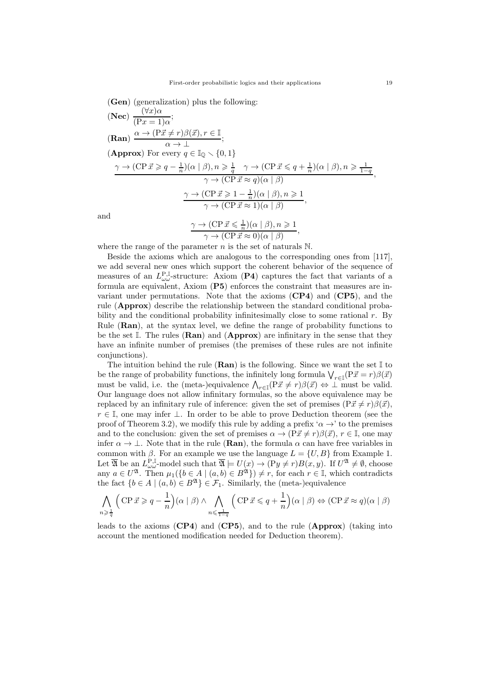(Gen) (generalization) plus the following:  
\n(Nec) 
$$
\frac{(\forall x)\alpha}{(Px = 1)\alpha}
$$
;  
\n(Ran)  $\frac{\alpha \to (P\vec{x} \neq r)\beta(\vec{x}), r \in \mathbb{I}}{\alpha \to \mathbb{L}}$ ;  
\n(Approx) For every  $q \in \mathbb{I}_{\mathbb{Q}} \setminus \{0, 1\}$   
\n $\frac{\gamma \to (CP\vec{x} \geq q - \frac{1}{n})(\alpha | \beta), n \geq \frac{1}{q} \quad \gamma \to (CP\vec{x} \leq q + \frac{1}{n})(\alpha | \beta), n \geq \frac{1}{1-q}}{\gamma \to (CP\vec{x} \approx q)(\alpha | \beta)}$ ,  
\n $\frac{\gamma \to (CP\vec{x} \geq 1 - \frac{1}{n})(\alpha | \beta), n \geq 1}{\gamma \to (CP\vec{x} \approx 1)(\alpha | \beta)}$ ,  
\n $\frac{\gamma \to (CP\vec{x} \leq \frac{1}{n})(\alpha | \beta), n \geq 1}{\gamma \to (CP\vec{x} \leq \frac{1}{n})(\alpha | \beta), n \geq 1}$ 

an

$$
\frac{\gamma \to (\text{CP } \vec{x} \leq \frac{1}{n})(\alpha \mid \beta), n \geq 1}{\gamma \to (\text{CP } \vec{x} \approx 0)(\alpha \mid \beta)},
$$

where the range of the parameter  $n$  is the set of naturals  $\mathbb N$ .

Beside the axioms which are analogous to the corresponding ones from [117], we add several new ones which support the coherent behavior of the sequence of measures of an  $L^{\mathbf{P},\mathbb{I}}_{\omega\omega}$ -structure: Axiom (P4) captures the fact that variants of a formula are equivalent, Axiom (P5) enforces the constraint that measures are invariant under permutations. Note that the axioms (CP4) and (CP5), and the rule (Approx) describe the relationship between the standard conditional probability and the conditional probability infinitesimally close to some rational  $r$ . By Rule  $(Ran)$ , at the syntax level, we define the range of probability functions to be the set I. The rules  $(Ran)$  and  $(Approx)$  are infinitary in the sense that they have an infinite number of premises (the premises of these rules are not infinite conjunctions).

The intuition behind the rule  $(Ran)$  is the following. Since we want the set  $\mathbb I$  to be the range of probability functions, the infinitely long formula  $\bigvee_{r\in\mathbb{I}} (P\vec{x}=r)\beta(\vec{x})$ must be valid, i.e. the (meta-)equivalence  $\bigwedge_{r\in\mathbb{I}}(P\vec{x}\neq r)\beta(\vec{x}) \Leftrightarrow \bot$  must be valid. Our language does not allow infinitary formulas, so the above equivalence may be replaced by an infinitary rule of inference: given the set of premises  $(P\vec{x} \neq r)\beta(\vec{x})$ ,  $r \in \mathbb{I}$ , one may infer  $\perp$ . In order to be able to prove Deduction theorem (see the proof of Theorem 3.2), we modify this rule by adding a prefix ' $\alpha \rightarrow '$  to the premises and to the conclusion: given the set of premises  $\alpha \to (P\vec{x} \neq r)\beta(\vec{x}), r \in \mathbb{I}$ , one may infer  $\alpha \to \perp$ . Note that in the rule (**Ran**), the formula  $\alpha$  can have free variables in common with  $\beta$ . For an example we use the language  $L = \{U, B\}$  from Example 1. Let  $\overline{\mathfrak{A}}$  be an  $L_{\omega \omega}^{\mathbf{P}, \mathbb{I}}$ -model such that  $\overline{\mathfrak{A}} \models U(x) \rightarrow (\mathbf{P}y \neq r)B(x, y)$ . If  $U^{\mathfrak{A}} \neq \emptyset$ , choose any  $a \in U^{\mathfrak{A}}$ . Then  $\mu_1(\{b \in A \mid (a, b) \in B^{\mathfrak{A}}\}) \neq r$ , for each  $r \in \mathbb{I}$ , which contradicts the fact  ${b \in A \mid (a, b) \in B^{\mathfrak{A}}} \in \mathcal{F}_1$ . Similarly, the (meta-)equivalence

$$
\bigwedge_{n \geq \frac{1}{q}} \left( \text{CP } \vec{x} \geq q - \frac{1}{n} \right) (\alpha \mid \beta) \land \bigwedge_{n \leq \frac{1}{1-q}} \left( \text{CP } \vec{x} \leq q + \frac{1}{n} \right) (\alpha \mid \beta) \Leftrightarrow (\text{CP } \vec{x} \approx q)(\alpha \mid \beta)
$$

leads to the axioms (CP4) and (CP5), and to the rule (Approx) (taking into account the mentioned modification needed for Deduction theorem).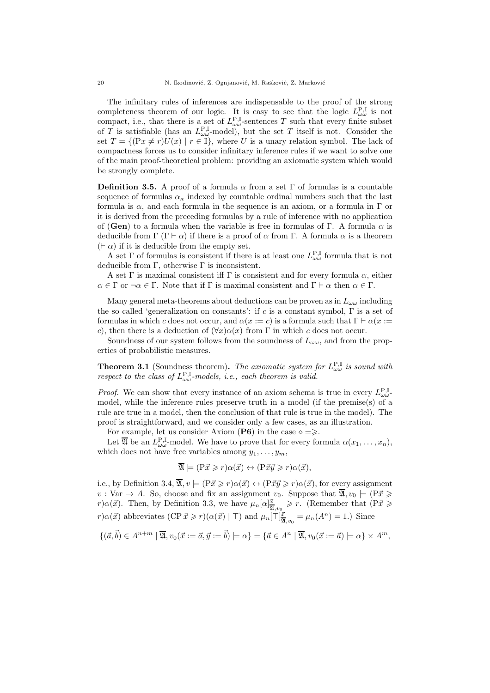The infinitary rules of inferences are indispensable to the proof of the strong completeness theorem of our logic. It is easy to see that the logic  $L_{\omega\omega}^{\text{P},\mathbb{I}}$  is not compact, i.e., that there is a set of  $L_{\omega\omega}^{\text{P,I}}$ -sentences T such that every finite subset of T is satisfiable (has an  $L_{\omega\omega}^{\text{P,I}}$ -model), but the set T itself is not. Consider the set  $T = \{(\Pr x \neq r)U(x) \mid r \in \mathbb{I}\}\$ , where U is a unary relation symbol. The lack of compactness forces us to consider infinitary inference rules if we want to solve one of the main proof-theoretical problem: providing an axiomatic system which would be strongly complete.

**Definition 3.5.** A proof of a formula  $\alpha$  from a set  $\Gamma$  of formulas is a countable sequence of formulas  $\alpha_{\kappa}$  indexed by countable ordinal numbers such that the last formula is  $\alpha$ , and each formula in the sequence is an axiom, or a formula in  $\Gamma$  or it is derived from the preceding formulas by a rule of inference with no application of (Gen) to a formula when the variable is free in formulas of Γ. A formula  $\alpha$  is deducible from  $\Gamma(\Gamma \vdash \alpha)$  if there is a proof of  $\alpha$  from  $\Gamma$ . A formula  $\alpha$  is a theorem  $(⊩ \alpha)$  if it is deducible from the empty set.

A set  $\Gamma$  of formulas is consistent if there is at least one  $L^{\mathbf{P},\mathbb{I}}_{\omega\omega}$  formula that is not deducible from  $\Gamma$ , otherwise  $\Gamma$  is inconsistent.

A set Γ is maximal consistent iff Γ is consistent and for every formula  $\alpha$ , either  $\alpha \in \Gamma$  or  $\neg \alpha \in \Gamma$ . Note that if  $\Gamma$  is maximal consistent and  $\Gamma \vdash \alpha$  then  $\alpha \in \Gamma$ .

Many general meta-theorems about deductions can be proven as in  $L_{\omega\omega}$  including the so called 'generalization on constants': if c is a constant symbol,  $\Gamma$  is a set of formulas in which c does not occur, and  $\alpha(x := c)$  is a formula such that  $\Gamma \vdash \alpha(x := c)$ c), then there is a deduction of  $(\forall x) \alpha(x)$  from  $\Gamma$  in which c does not occur.

Soundness of our system follows from the soundness of  $L_{\omega\omega}$ , and from the properties of probabilistic measures.

**Theorem 3.1** (Soundness theorem). The axiomatic system for  $L_{\omega\omega}^{\text{P,I}}$  is sound with respect to the class of  $L^{\mathbf{P},\mathbb{I}}_{\omega\omega}$ -models, i.e., each theorem is valid.

*Proof.* We can show that every instance of an axiom schema is true in every  $L_{\omega\omega}^{\text{P},\text{I}}$ model, while the inference rules preserve truth in a model (if the premise(s) of a rule are true in a model, then the conclusion of that rule is true in the model). The proof is straightforward, and we consider only a few cases, as an illustration.

For example, let us consider Axiom (P6) in the case  $\diamond = \geq$ .

Let  $\overline{\mathfrak{A}}$  be an  $L_{\omega\omega}^{\text{P},\mathbb{I}}$ -model. We have to prove that for every formula  $\alpha(x_1,\ldots,x_n)$ , which does not have free variables among  $y_1, \ldots, y_m$ ,

$$
\overline{\mathfrak{A}} \models (\mathbf{P}\vec{x} \geqslant r)\alpha(\vec{x}) \leftrightarrow (\mathbf{P}\vec{x}\vec{y} \geqslant r)\alpha(\vec{x}),
$$

i.e., by Definition 3.4,  $\overline{\mathfrak{A}}$ ,  $v \models (\overline{P} \vec{x} \geq r) \alpha(\vec{x}) \leftrightarrow (\overline{P} \vec{x} \vec{y} \geq r) \alpha(\vec{x})$ , for every assignment  $v: \text{Var} \to A$ . So, choose and fix an assignment  $v_0$ . Suppose that  $\overline{\mathfrak{A}}$ ,  $v_0 \models (\text{P}_{\vec{x}})$  $r\alpha(\vec{x})$ . Then, by Definition 3.3, we have  $\mu_n[\alpha]^{\vec{x}}_{\mathfrak{A},v_0} \geq r$ . (Remember that  $(P\vec{x}) \geq$  $r\alpha(\vec{x})$  abbreviates  $(CP\vec{x} \geq r)(\alpha(\vec{x}) \mid \top)$  and  $\mu_n[\top]\frac{\vec{x}}{\mathfrak{A},v_0} = \mu_n(A^n) = 1$ .) Since

$$
\{(\vec{a},\vec{b})\in A^{n+m}\mid \overline{\mathfrak{A}},v_0(\vec{x}:=\vec{a},\vec{y}:=\vec{b})\models\alpha\}=\{\vec{a}\in A^n\mid \overline{\mathfrak{A}},v_0(\vec{x}:=\vec{a})\models\alpha\}\times A^m,
$$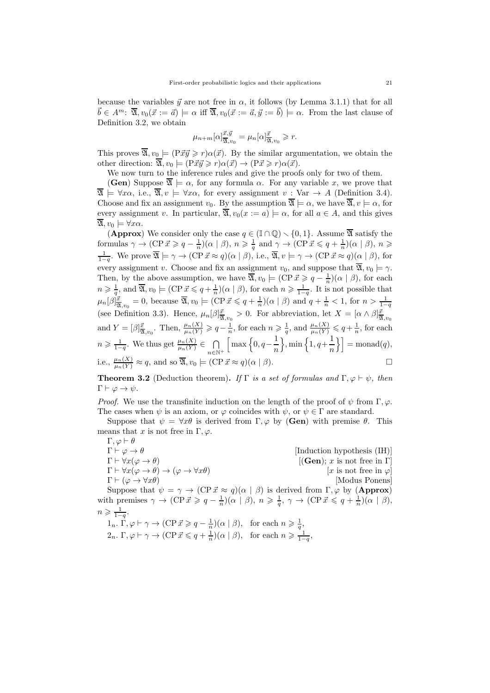because the variables  $\vec{y}$  are not free in  $\alpha$ , it follows (by Lemma 3.1.1) that for all  $\vec{b} \in A^m$ :  $\overline{\mathfrak{A}}, v_0(\vec{x} := \vec{a}) \models \alpha$  iff  $\overline{\mathfrak{A}}, v_0(\vec{x} := \vec{a}, \vec{y} := \vec{b}) \models \alpha$ . From the last clause of Definition 3.2, we obtain

$$
\mu_{n+m}[\alpha]_{\overline{\mathfrak{A}},v_0}^{\vec{x},\vec{y}} = \mu_n[\alpha]_{\overline{\mathfrak{A}},v_0}^{\vec{x}} \geq r.
$$

This proves  $\overline{\mathfrak{A}}$ ,  $v_0 \models (P\vec{x}\vec{y} \geq r)\alpha(\vec{x})$ . By the similar argumentation, we obtain the other direction:  $\overline{\mathfrak{A}}$ ,  $v_0 \models (\overrightarrow{P\vec{x}\vec{y}} \geq r) \alpha(\vec{x}) \rightarrow (\overrightarrow{P\vec{x}} \geq r) \alpha(\vec{x}).$ 

We now turn to the inference rules and give the proofs only for two of them.

**(Gen)** Suppose  $\overline{\mathfrak{A}} \models \alpha$ , for any formula  $\alpha$ . For any variable x, we prove that  $\overline{\mathfrak{A}} \models \forall x\alpha$ , i.e.,  $\overline{\mathfrak{A}}, v \models \forall x\alpha$ , for every assignment  $v : \text{Var} \rightarrow A$  (Definition 3.4). Choose and fix an assignment  $v_0$ . By the assumption  $\overline{\mathfrak{A}} \models \alpha$ , we have  $\overline{\mathfrak{A}}$ ,  $v \models \alpha$ , for every assignment v. In particular,  $\overline{\mathfrak{A}}$ ,  $v_0(x := a) \models \alpha$ , for all  $a \in A$ , and this gives  $\overline{\mathfrak{A}}, v_0 \models \forall x \alpha.$ 

(Approx) We consider only the case  $q \in (\mathbb{I} \cap \mathbb{Q}) \setminus \{0, 1\}$ . Assume  $\overline{\mathfrak{A}}$  satisfy the formulas  $\gamma \to (\text{CP } \vec{x} \geqslant q - \frac{1}{n})(\alpha \mid \beta), n \geqslant \frac{1}{q}$  and  $\gamma \to (\text{CP } \vec{x} \leqslant q + \frac{1}{n})(\alpha \mid \beta), n \geqslant$  $\frac{1}{1-q}$ . We prove  $\overline{\mathfrak{A}} \models \gamma \to (\text{CP } \vec{x} \approx q)(\alpha \mid \beta)$ , i.e.,  $\overline{\mathfrak{A}}$ ,  $v \models \gamma \to (\text{CP } \vec{x} \approx q)(\alpha \mid \beta)$ , for every assignment v. Choose and fix an assignment  $v_0$ , and suppose that  $\overline{\mathfrak{A}}$ ,  $v_0 \models \gamma$ . Then, by the above assumption, we have  $\overline{\mathfrak{A}}$ ,  $v_0 \models (\text{CP } \vec{x} \geqslant q - \frac{1}{n})(\alpha \mid \beta)$ , for each  $n \geqslant \frac{1}{q}$ , and  $\overline{\mathfrak{A}}$ ,  $v_0 \models (\text{CP } \vec{x} \leqslant q + \frac{1}{n})(\alpha \mid \beta)$ , for each  $n \geqslant \frac{1}{1-q}$ . It is not possible that  $\mu_n[\beta]_{\overline{\mathfrak{A}},v_0}^{\overline{x}} = 0$ , because  $\overline{\mathfrak{A}}, v_0 \models (\text{CP } \overline{x} \leqslant q + \frac{1}{n})(\alpha \mid \beta)$  and  $q + \frac{1}{n} < 1$ , for  $n > \frac{1}{1-q}$ (see Definition 3.3). Hence,  $\mu_n[\beta]_{\overline{x}_1,v_0}^{\overline{x}} > 0$ . For abbreviation, let  $X = [\alpha \wedge \beta]_{\overline{x}_1,v_0}^{\overline{x}}$ and  $Y = [\beta]_{\overline{\mathfrak{A}},v_0}^{\vec{x}}$ . Then,  $\frac{\mu_n(X)}{\mu_n(Y)} \geqslant q - \frac{1}{n}$ , for each  $n \geqslant \frac{1}{q}$ , and  $\frac{\mu_n(X)}{\mu_n(Y)} \leqslant q + \frac{1}{n}$ , for each  $n \geqslant \frac{1}{1-q}$ . We thus get  $\frac{\mu_n(X)}{\mu_n(Y)} \in \bigcap_{n=1}^{\infty}$  $n \in \mathbb{N}^+$  $\left[\max\left\{0,q-\frac{1}{\epsilon}\right.\right]$ n  $\{\, \min\,\{1, q+\frac{1}{\sigma}\}\}$  $\left\{\frac{1}{n}\right\}$  = monad(q), i.e.,  $\frac{\mu_n(X)}{\mu_n(Y)} \approx q$ , and so  $\overline{\mathfrak{A}}$ ,  $v_0 \models (\text{CP } \vec{x} \approx q)(\alpha \mid \beta)$ .

**Theorem 3.2** (Deduction theorem). If  $\Gamma$  is a set of formulas and  $\Gamma, \varphi \vdash \psi$ , then  $\Gamma \vdash \varphi \rightarrow \psi.$ 

*Proof.* We use the transfinite induction on the length of the proof of  $\psi$  from Γ,  $\varphi$ . The cases when  $\psi$  is an axiom, or  $\varphi$  coincides with  $\psi$ , or  $\psi \in \Gamma$  are standard.

Suppose that  $\psi = \forall x \theta$  is derived from  $\Gamma, \varphi$  by (Gen) with premise  $\theta$ . This means that x is not free in  $\Gamma, \varphi$ .

 $\Gamma, \varphi \vdash \theta$  $\Gamma \vdash \varphi \to \theta$  [Induction hypothesis (IH)]  $\Gamma \vdash \forall x (\varphi \to \theta)$  [(Gen); x is not free in  $\Gamma$ ]  $\Gamma \vdash \forall x (\varphi \to \theta) \to (\varphi \to \forall x \theta)$  [x is not free in  $\varphi$ ]  $\Gamma \vdash (\varphi \to \forall x \theta)$  [Modus Ponens] Suppose that  $\psi = \gamma \to (\text{CP } \vec{x} \approx q)(\alpha \mid \beta)$  is derived from  $\Gamma, \varphi$  by (Approx)

with premises  $\gamma \to (\text{CP } \vec{x} \geqslant q - \frac{1}{n}) (\alpha \mid \beta), n \geqslant \frac{1}{q}, \gamma \to (\text{CP } \vec{x} \leqslant q + \frac{1}{n}) (\alpha \mid \beta),$  $n \geqslant \frac{1}{1-q}.$ 

 $1_n$ .  $\Gamma, \varphi \vdash \gamma \to (\text{CP } \vec{x} \geqslant q - \frac{1}{n})(\alpha \mid \beta)$ , for each  $n \geqslant \frac{1}{q}$ ,  $2_n$ .  $\Gamma, \varphi \vdash \gamma \to (\text{CP } \vec{x} \leqslant q + \frac{1}{n})(\alpha \mid \beta)$ , for each  $n \geqslant \frac{1}{1-q}$ ,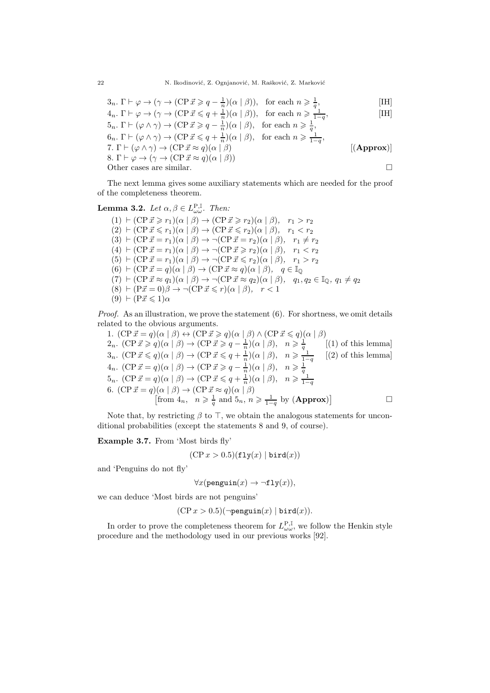22 N. Ikodinović, Z. Ognjanović, M. Rašković, Z. Marković

$$
3_n. \Gamma \vdash \varphi \to (\gamma \to (\text{CP } \vec{x} \geqslant q - \frac{1}{n})(\alpha \mid \beta)), \text{ for each } n \geqslant \frac{1}{q},
$$
 [IH]  
\n
$$
4_n. \Gamma \vdash \varphi \to (\gamma \to (\text{CP } \vec{x} \leqslant q + \frac{1}{n})(\alpha \mid \beta)), \text{ for each } n \geqslant \frac{1}{1-q},
$$
 [IH]  
\n
$$
5_n. \Gamma \vdash (\varphi \land \gamma) \to (\text{CP } \vec{x} \geqslant q - \frac{1}{n})(\alpha \mid \beta), \text{ for each } n \geqslant \frac{1}{q},
$$
 [IH]  
\n
$$
6_n. \Gamma \vdash (\varphi \land \gamma) \to (\text{CP } \vec{x} \leqslant q + \frac{1}{n})(\alpha \mid \beta), \text{ for each } n \geqslant \frac{1}{1-q},
$$

7. 
$$
\Gamma \vdash (\varphi \land \gamma) \rightarrow (\text{CP } \vec{x} \approx q)(\alpha \mid \beta)
$$
 [(Approx)]  
\n8.  $\Gamma \vdash \varphi \rightarrow (\gamma \rightarrow (\text{CP } \vec{x} \approx q)(\alpha \mid \beta))$  [(Approx)]  
\nOther cases are similar.

The next lemma gives some auxiliary statements which are needed for the proof of the completeness theorem.

**Lemma 3.2.** Let  $\alpha, \beta \in L^{\mathbf{P}, \mathbb{I}}_{\omega \omega}$ . Then:

 $(1)$  ⊢  $(CP\vec{x} \geq r_1)(\alpha | \beta)$  →  $(CP\vec{x} \geq r_2)(\alpha | \beta),$   $r_1 > r_2$  $(2)$  ⊢ (CP  $\vec{x} \leq r_1$ )( $\alpha \mid \beta$ ) → (CP  $\vec{x} \leq r_2$ )( $\alpha \mid \beta$ ),  $r_1 < r_2$  $(3) \vdash (CP\vec{x} = r_1)(\alpha \mid \beta) \rightarrow \neg(CP\vec{x} = r_2)(\alpha \mid \beta), \quad r_1 \neq r_2$ (4)  $\vdash$  (CP  $\vec{x} = r_1)(\alpha \mid \beta) \rightarrow \neg$  (CP  $\vec{x} \geq r_2)(\alpha \mid \beta)$ ,  $r_1 < r_2$ (5)  $\vdash$  (CP  $\vec{x} = r_1)(\alpha \mid \beta) \rightarrow \neg$  (CP  $\vec{x} \leq r_2)(\alpha \mid \beta)$ ,  $r_1 > r_2$ (6)  $\vdash$  (CP  $\vec{x} = q$ )( $\alpha \mid \beta$ )  $\rightarrow$  (CP  $\vec{x} \approx q$ )( $\alpha \mid \beta$ ),  $q \in \mathbb{I}_{\mathbb{Q}}$  $(7)$  ⊢  $(\text{CP } \vec{x} \approx q_1)(\alpha \mid \beta) \rightarrow \neg(\text{CP } \vec{x} \approx q_2)(\alpha \mid \beta), q_1, q_2 \in \mathbb{I}_{\mathbb{Q}}, q_1 \neq q_2$  $(8) \vdash (\overline{P\vec{x}} = 0)\beta \rightarrow \neg(\overline{CP\vec{x}} \leq r)(\alpha \mid \beta), \quad r < 1$  $(9)$  ⊢  $(P\vec{x} \leq 1)\alpha$ 

*Proof.* As an illustration, we prove the statement  $(6)$ . For shortness, we omit details related to the obvious arguments.

1.  $(CP \vec{x} = q)(\alpha | \beta) \leftrightarrow (CP \vec{x} \geq q)(\alpha | \beta) \wedge (CP \vec{x} \leq q)(\alpha | \beta)$ 2<sub>n</sub>.  $(\text{CP } \vec{x} \geq q)(\alpha | \beta) \rightarrow (\text{CP } \vec{x} \geq q - \frac{1}{n})(\alpha | \beta), \quad n \geq \frac{1}{q}$ <br>
3<sub>n</sub>.  $(\text{CP } \vec{x} \leq q)(\alpha | \beta) \rightarrow (\text{CP } \vec{x} \leq q + \frac{1}{n})(\alpha | \beta), \quad n \geq \frac{1}{1-q}$ <br>
4<sub>n</sub>.  $(\text{CP } \vec{x} = q)(\alpha | \beta) \rightarrow (\text{CP } \vec{x} \geq q - \frac{1}{n})(\alpha | \beta), \quad n \geq \frac{1}{q}$ <br>
5<sub>n</sub>.  $(1)$  of this lemma  $(2)$  of this lemma] [from  $4_n$ ,  $n \geqslant \frac{1}{q}$  and  $5_n$ ,  $n \geqslant \frac{1}{1-q}$  by  $(\mathbf{Approx})$ ]  $\Box$ 

Note that, by restricting  $\beta$  to  $\top$ , we obtain the analogous statements for unconditional probabilities (except the statements 8 and 9, of course).

Example 3.7. From 'Most birds fly'

$$
(CP x > 0.5)(\text{fly}(x) | \text{bird}(x))
$$

and 'Penguins do not fly'

 $\forall x$ (penguin $(x) \rightarrow \neg \texttt{fly}(x)$ ),

we can deduce 'Most birds are not penguins'

$$
(CP x > 0.5)(\neg \text{penguin}(x) | \text{bird}(x)).
$$

In order to prove the completeness theorem for  $L_{\omega\omega}^{\text{P},\mathbb{I}}$ , we follow the Henkin style procedure and the methodology used in our previous works [92].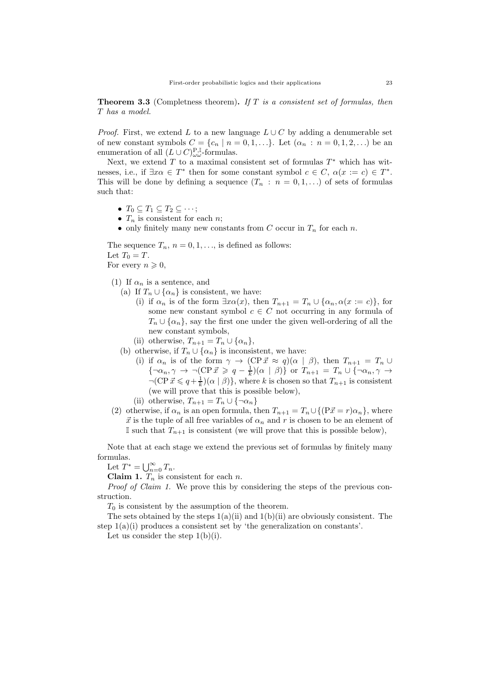**Theorem 3.3** (Completness theorem). If  $T$  is a consistent set of formulas, then T has a model.

*Proof.* First, we extend L to a new language  $L \cup C$  by adding a denumerable set of new constant symbols  $C = \{c_n \mid n = 0, 1, \ldots\}$ . Let  $(\alpha_n : n = 0, 1, 2, \ldots)$  be an enumeration of all  $(L\cup C)_{\omega_{\omega}}^{\mathbf{P},\mathbb{I}}$ -formulas.

Next, we extend  $T$  to a maximal consistent set of formulas  $T^*$  which has witnesses, i.e., if  $\exists x \alpha \in T^*$  then for some constant symbol  $c \in C$ ,  $\alpha(x := c) \in T^*$ . This will be done by defining a sequence  $(T_n : n = 0, 1, ...)$  of sets of formulas such that:

- $T_0 \subseteq T_1 \subseteq T_2 \subseteq \cdots;$
- $T_n$  is consistent for each n;
- only finitely many new constants from C occur in  $T_n$  for each n.

The sequence  $T_n$ ,  $n = 0, 1, \ldots$ , is defined as follows: Let  $T_0 = T$ . For every  $n \geqslant 0$ ,

- (1) If  $\alpha_n$  is a sentence, and
	- (a) If  $T_n \cup \{\alpha_n\}$  is consistent, we have:
		- (i) if  $\alpha_n$  is of the form  $\exists x \alpha(x)$ , then  $T_{n+1} = T_n \cup {\alpha_n, \alpha(x := c)}$ , for some new constant symbol  $c \in C$  not occurring in any formula of  $T_n \cup {\alpha_n}$ , say the first one under the given well-ordering of all the new constant symbols,
		- (ii) otherwise,  $T_{n+1} = T_n \cup \{\alpha_n\},\$
	- (b) otherwise, if  $T_n \cup {\alpha_n}$  is inconsistent, we have:
		- (i) if  $\alpha_n$  is of the form  $\gamma \to (CP\vec{x} \approx q)(\alpha | \beta)$ , then  $T_{n+1} = T_n \cup$  $\{\neg \alpha_n, \gamma \rightarrow \neg (\text{CP } \vec{x} \geqslant q - \frac{1}{k}) (\alpha \mid \beta) \}$  or  $T_{n+1} = T_n \cup \{\neg \alpha_n, \gamma \rightarrow \gamma \}$  $\neg(\text{CP } \vec{x} \leq q + \frac{1}{k})(\alpha \mid \beta)$ , where k is chosen so that  $T_{n+1}$  is consistent (we will prove that this is possible below),
		- (ii) otherwise,  $T_{n+1} = T_n \cup {\neg \alpha_n}$
- (2) otherwise, if  $\alpha_n$  is an open formula, then  $T_{n+1} = T_n \cup \{ (P\vec{x} = r)\alpha_n \}$ , where  $\vec{x}$  is the tuple of all free variables of  $\alpha_n$  and r is chosen to be an element of I such that  $T_{n+1}$  is consistent (we will prove that this is possible below),

Note that at each stage we extend the previous set of formulas by finitely many formulas.

Let  $T^* = \bigcup_{n=0}^{\infty} T_n$ .

Claim 1.  $T_n$  is consistent for each n.

Proof of Claim 1. We prove this by considering the steps of the previous construction.

 $T_0$  is consistent by the assumption of the theorem.

The sets obtained by the steps  $1(a)(ii)$  and  $1(b)(ii)$  are obviously consistent. The step  $1(a)(i)$  produces a consistent set by 'the generalization on constants'.

Let us consider the step  $1(b)(i)$ .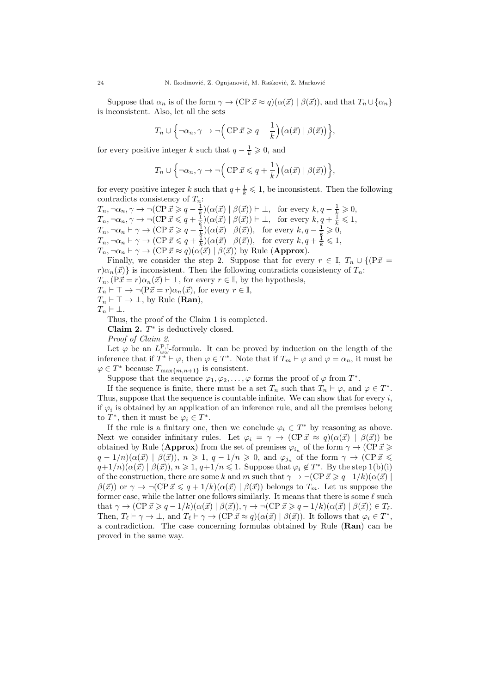Suppose that  $\alpha_n$  is of the form  $\gamma \to (\text{CP } \vec{x} \approx q)(\alpha(\vec{x}) \mid \beta(\vec{x}))$ , and that  $T_n \cup {\alpha_n}$ is inconsistent. Also, let all the sets

$$
T_n \cup \left\{ \neg \alpha_n, \gamma \to \neg \Big( \text{CP } \vec{x} \geqslant q - \frac{1}{k} \Big) \big( \alpha(\vec{x}) \mid \beta(\vec{x}) \big) \right\},\
$$

for every positive integer k such that  $q - \frac{1}{k} \geqslant 0$ , and

$$
T_n \cup \left\{ \neg \alpha_n, \gamma \to \neg \Big( \text{CP } \vec{x} \leqslant q + \frac{1}{k} \Big) \big( \alpha(\vec{x}) \mid \beta(\vec{x}) \big) \right\},\
$$

for every positive integer k such that  $q + \frac{1}{k} \leq 1$ , be inconsistent. Then the following contradicts consistency of  $T_n$ :

 $T_n, \neg \alpha_n, \gamma \to \neg (\text{CP } \vec{x} \geqslant q - \frac{1}{k}) (\alpha(\vec{x}) \mid \beta(\vec{x})) \vdash \bot, \text{ for every } k, q - \frac{1}{k} \geqslant 0,$  $T_n, \neg \alpha_n, \gamma \to \neg (\text{CP } \vec{x} \leqslant q + \frac{1}{k}) (\alpha(\vec{x}) \mid \beta(\vec{x})) \vdash \bot, \text{ for every } k, q + \frac{1}{k} \leqslant 1,$  $T_n, \neg \alpha_n \vdash \gamma \to (\text{CP } \vec{x} \geqslant q - \frac{1}{k}) (\alpha(\vec{x}) \mid \beta(\vec{x})), \text{ for every } k, q - \frac{1}{k} \geqslant 0,$  $T_n, \neg \alpha_n \vdash \gamma \to (\text{CP } \vec{x} \leqslant q + \frac{1}{k}) (\alpha(\vec{x}) \mid \beta(\vec{x})), \text{ for every } k, q + \frac{1}{k} \leqslant 1,$  $T_n, \neg \alpha_n \vdash \gamma \to (\text{CP } \vec{x} \approx q)(\alpha(\vec{x}) \mid \beta(\vec{x}))$  by Rule (Approx).

Finally, we consider the step 2. Suppose that for every  $r \in \mathbb{I}$ ,  $T_n \cup \{(\overline{P\vec{x}} =$  $r\alpha_n(\vec{x})$  is inconsistent. Then the following contradicts consistency of  $T_n$ :  $T_n, (\overrightarrow{P} \vec{x} = r)\alpha_n(\vec{x}) \vdash \bot$ , for every  $r \in \mathbb{I}$ , by the hypothesis,

 $T_n \vdash \top \rightarrow \neg (P\vec{x} = r)\alpha_n(\vec{x})$ , for every  $r \in \mathbb{I}$ ,

 $T_n \vdash \top \rightarrow \bot$ , by Rule (**Ran**),

$$
T_n \vdash \bot.
$$

Thus, the proof of the Claim 1 is completed.

Claim 2.  $T^*$  is deductively closed.

Proof of Claim 2.

Let  $\varphi$  be an  $L^{P,\mathbb{I}}_{\omega \omega}$ -formula. It can be proved by induction on the length of the inference that if  $T^* \vdash \varphi$ , then  $\varphi \in T^*$ . Note that if  $T_m \vdash \varphi$  and  $\varphi = \alpha_n$ , it must be  $\varphi \in T^*$  because  $T_{\max\{m,n+1\}}$  is consistent.

Suppose that the sequence  $\varphi_1, \varphi_2, \ldots, \varphi$  forms the proof of  $\varphi$  from  $T^*$ .

If the sequence is finite, there must be a set  $T_n$  such that  $T_n \vdash \varphi$ , and  $\varphi \in T^*$ . Thus, suppose that the sequence is countable infinite. We can show that for every  $i$ , if  $\varphi_i$  is obtained by an application of an inference rule, and all the premises belong to  $T^*$ , then it must be  $\varphi_i \in T^*$ .

If the rule is a finitary one, then we conclude  $\varphi_i \in T^*$  by reasoning as above. Next we consider infinitary rules. Let  $\varphi_i = \gamma \to (\text{CP } \vec{x} \approx q)(\alpha(\vec{x}) \mid \beta(\vec{x}))$  be obtained by Rule (Approx) from the set of premises  $\varphi_{i_n}$  of the form  $\gamma \to (\text{CP } \vec{x} \geqslant$  $q - 1/n(\alpha(\vec{x}) \mid \beta(\vec{x}))$ ,  $n \geq 1$ ,  $q - 1/n \geq 0$ , and  $\varphi_{j_n}$  of the form  $\gamma \to (\text{CP } \vec{x} \leq \vec{y})$  $q+1/n)(\alpha(\vec{x}) \mid \beta(\vec{x}), n \geq 1, q+1/n \leq 1$ . Suppose that  $\varphi_i \notin T^*$ . By the step  $1(b)(i)$ of the construction, there are some k and m such that  $\gamma \to \neg(\text{CP } \vec{x} \geq q-1/k)(\alpha(\vec{x}))$  $\beta(\vec{x})$  or  $\gamma \to \neg(\text{CP } \vec{x} \leqslant q + 1/k)(\alpha(\vec{x}) \mid \beta(\vec{x}))$  belongs to  $T_m$ . Let us suppose the former case, while the latter one follows similarly. It means that there is some  $\ell$  such that  $\gamma \to (\text{CP } \vec{x} \geqslant q - 1/k)(\alpha(\vec{x}) \mid \beta(\vec{x})), \gamma \to \neg(\text{CP } \vec{x} \geqslant q - 1/k)(\alpha(\vec{x}) \mid \beta(\vec{x})) \in T_{\ell}$ . Then,  $T_{\ell} \vdash \gamma \to \bot$ , and  $T_{\ell} \vdash \gamma \to (\text{CP } \vec{x} \approx q)(\alpha(\vec{x}) \mid \beta(\vec{x}))$ . It follows that  $\varphi_i \in T^*$ , a contradiction. The case concerning formulas obtained by Rule (Ran) can be proved in the same way.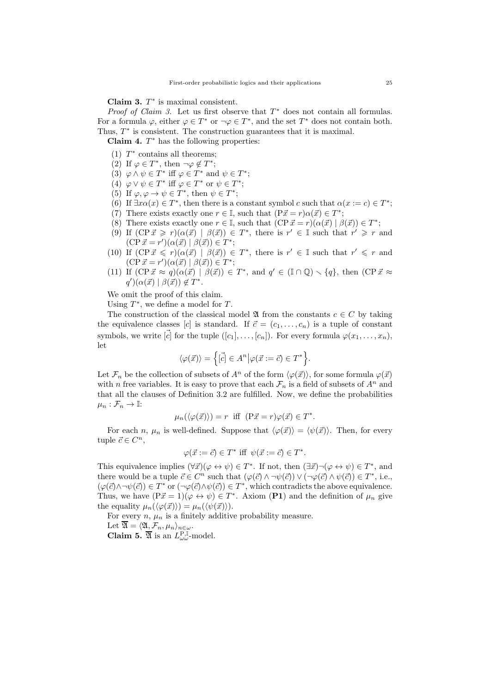Claim 3.  $T^*$  is maximal consistent.

*Proof of Claim 3.* Let us first observe that  $T^*$  does not contain all formulas. For a formula  $\varphi$ , either  $\varphi \in T^*$  or  $\neg \varphi \in T^*$ , and the set  $T^*$  does not contain both. Thus,  $T^*$  is consistent. The construction guarantees that it is maximal.

**Claim 4.**  $T^*$  has the following properties:

- (1)  $T^*$  contains all theorems;
- (2) If  $\varphi \in T^*$ , then  $\neg \varphi \notin T^*$ ;
- (3)  $\varphi \wedge \psi \in T^*$  iff  $\varphi \in T^*$  and  $\psi \in T^*$ ;
- (4)  $\varphi \vee \psi \in T^*$  iff  $\varphi \in T^*$  or  $\psi \in T^*$ ;
- (5) If  $\varphi, \varphi \to \psi \in T^*$ , then  $\psi \in T^*$ ;
- (6) If  $\exists x \alpha(x) \in T^*$ , then there is a constant symbol c such that  $\alpha(x := c) \in T^*$ ;
- (7) There exists exactly one  $r \in \mathbb{I}$ , such that  $(P\vec{x} = r)\alpha(\vec{x}) \in T^*$ ;
- (8) There exists exactly one  $r \in \mathbb{I}$ , such that  $(\text{CP } \vec{x} = r)(\alpha(\vec{x}) \mid \beta(\vec{x})) \in T^*$ ;
- (9) If  $(CP\vec{x} \geq r)(\alpha(\vec{x}) \mid \beta(\vec{x})) \in T^*$ , there is  $r' \in \mathbb{I}$  such that  $r' \geq r$  and  $(CP\vec{x} = r')(\alpha(\vec{x}) \mid \beta(\vec{x})) \in T^*;$
- (10) If  $(CP\vec{x} \leq r)(\alpha(\vec{x}) \mid \beta(\vec{x})) \in T^*$ , there is  $r' \in \mathbb{I}$  such that  $r' \leq r$  and  $(CP\vec{x} = r')(\alpha(\vec{x}) \mid \beta(\vec{x})) \in T^*;$
- (11) If  $(CP\vec{x} \approx q)(\alpha(\vec{x}) \mid \beta(\vec{x})) \in T^*$ , and  $q' \in (\mathbb{I} \cap \mathbb{Q}) \setminus \{q\}$ , then  $(CP\vec{x} \approx$  $q'(\alpha(\vec{x}) \mid \beta(\vec{x})) \notin T^*$ .

We omit the proof of this claim.

Using  $T^*$ , we define a model for  $T$ .

The construction of the classical model  $\mathfrak A$  from the constants  $c \in C$  by taking the equivalence classes [c] is standard. If  $\vec{c} = (c_1, \ldots, c_n)$  is a tuple of constant symbols, we write  $[\vec{c}]$  for the tuple  $([c_1], \ldots, [c_n])$ . For every formula  $\varphi(x_1, \ldots, x_n)$ , let

$$
\langle \varphi(\vec{x}) \rangle = \Big\{ [\vec{c}] \in A^n \big| \varphi(\vec{x} := \vec{c}) \in T^* \Big\}.
$$

Let  $\mathcal{F}_n$  be the collection of subsets of  $A^n$  of the form  $\langle \varphi(\vec{x}) \rangle$ , for some formula  $\varphi(\vec{x})$ with n free variables. It is easy to prove that each  $\mathcal{F}_n$  is a field of subsets of  $A^n$  and that all the clauses of Definition 3.2 are fulfilled. Now, we define the probabilities  $\mu_n : \mathcal{F}_n \to \mathbb{I}:$ 

$$
\mu_n(\langle \varphi(\vec{x}) \rangle) = r
$$
 iff  $(\mathbf{P}\vec{x} = r)\varphi(\vec{x}) \in T^*$ .

For each n,  $\mu_n$  is well-defined. Suppose that  $\langle \varphi(\vec{x}) \rangle = \langle \psi(\vec{x}) \rangle$ . Then, for every tuple  $\vec{c} \in C^n$ ,

$$
\varphi(\vec{x} := \vec{c}) \in T^* \text{ iff } \psi(\vec{x} := \vec{c}) \in T^*.
$$

This equivalence implies  $(\forall \vec{x}) (\varphi \leftrightarrow \psi) \in T^*$ . If not, then  $(\exists \vec{x}) \neg (\varphi \leftrightarrow \psi) \in T^*$ , and there would be a tuple  $\vec{c} \in C^n$  such that  $(\varphi(\vec{c}) \wedge \neg \psi(\vec{c})) \vee (\neg \varphi(\vec{c}) \wedge \psi(\vec{c})) \in T^*$ , i.e.,  $(\varphi(\vec{c}) \wedge \neg \psi(\vec{c})) \in T^*$  or  $(\neg \varphi(\vec{c}) \wedge \psi(\vec{c})) \in T^*$ , which contradicts the above equivalence. Thus, we have  $(P\vec{x} = 1)(\varphi \leftrightarrow \psi) \in T^*$ . Axiom  $(P1)$  and the definition of  $\mu_n$  give the equality  $\mu_n(\langle \varphi(\vec{x}) \rangle) = \mu_n(\langle \psi(\vec{x}) \rangle).$ 

For every  $n, \mu_n$  is a finitely additive probability measure.

Let  $\overline{\mathfrak{A}} = \langle \mathfrak{A}, \mathcal{F}_n, \mu_n \rangle_{n \in \omega}$ .

**Claim 5.**  $\overline{\mathfrak{A}}$  is an  $L_{\omega\omega}^{\text{P},\mathbb{I}}$ -model.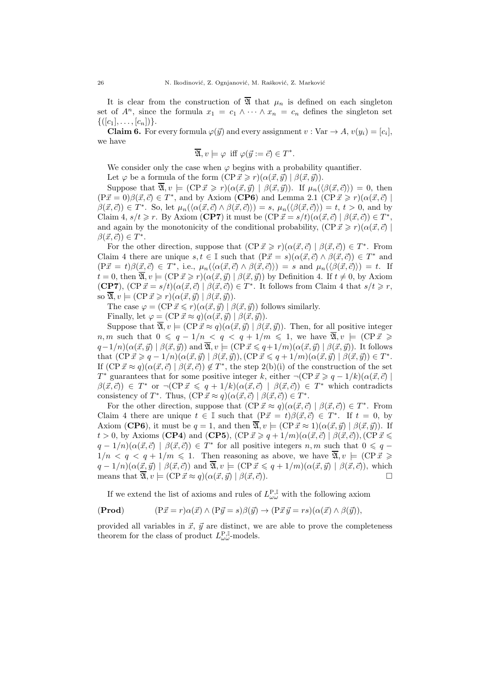It is clear from the construction of  $\overline{\mathfrak{A}}$  that  $\mu_n$  is defined on each singleton set of  $A^n$ , since the formula  $x_1 = c_1 \wedge \cdots \wedge x_n = c_n$  defines the singleton set  $\{([c_1], \ldots, [c_n])\}.$ 

**Claim 6.** For every formula  $\varphi(\vec{y})$  and every assignment  $v : \text{Var} \to A$ ,  $v(y_i) = [c_i]$ , we have

$$
\overline{\mathfrak{A}}, v \models \varphi \text{ iff } \varphi(\vec{y} := \vec{c}) \in T^*.
$$

We consider only the case when  $\varphi$  begins with a probability quantifier.

Let  $\varphi$  be a formula of the form  $(CP\vec{x} \geq r)(\alpha(\vec{x}, \vec{y}) \mid \beta(\vec{x}, \vec{y}))$ .

Suppose that  $\overline{\mathfrak{A}}, v \models (\text{CP } \vec{x} \geq r) (\alpha(\vec{x}, \vec{y}) \mid \beta(\vec{x}, \vec{y}))$ . If  $\mu_n(\langle \beta(\vec{x}, \vec{c}) \rangle) = 0$ , then  $(P\vec{x} = 0)\beta(\vec{x}, \vec{c}) \in T^*$ , and by Axiom (CP6) and Lemma 2.1 (CP $\vec{x} \ge r(\alpha(\vec{x}, \vec{c})$ )  $\beta(\vec{x}, \vec{c}) \in T^*$ . So, let  $\mu_n(\langle \alpha(\vec{x}, \vec{c}) \wedge \beta(\vec{x}, \vec{c}) \rangle) = s$ ,  $\mu_n(\langle \beta(\vec{x}, \vec{c}) \rangle) = t$ ,  $t > 0$ , and by Claim 4,  $s/t \geq r$ . By Axiom (**CP7**) it must be  $(\text{CP } \vec{x} = s/t)(\alpha(\vec{x}, \vec{c}) \mid \beta(\vec{x}, \vec{c})) \in T^*$ , and again by the monotonicity of the conditional probability,  $(CP\vec{x} \geq r)(\alpha(\vec{x}, \vec{c})$  $\beta(\vec{x}, \vec{c})\in T^*$ .

For the other direction, suppose that  $(CP \vec{x} \geq r)(\alpha(\vec{x}, \vec{c}) \mid \beta(\vec{x}, \vec{c})) \in T^*$ . From Claim 4 there are unique  $s, t \in \mathbb{I}$  such that  $(P\vec{x} = s)(\alpha(\vec{x}, \vec{c}) \wedge \beta(\vec{x}, \vec{c})) \in T^*$  and  $(P\vec{x} = t)\beta(\vec{x}, \vec{c}) \in T^*$ , i.e.,  $\mu_n(\langle \alpha(\vec{x}, \vec{c}) \wedge \beta(\vec{x}, \vec{c}) \rangle) = s$  and  $\mu_n(\langle \beta(\vec{x}, \vec{c}) \rangle) = t$ . If  $t = 0$ , then  $\overline{\mathfrak{A}}, v \models (\text{CP } \vec{x} \geq r)(\alpha(\vec{x}, \vec{y}) \mid \beta(\vec{x}, \vec{y}))$  by Definition 4. If  $t \neq 0$ , by Axiom **(CP7)**,  $(\text{CP } \vec{x} = s/t)(\alpha(\vec{x}, \vec{c}) \mid \beta(\vec{x}, \vec{c})) \in T^*$ . It follows from Claim 4 that  $s/t \geq r$ , so  $\overline{\mathfrak{A}}, v \models (\text{CP } \vec{x} \geq r)(\alpha(\vec{x}, \vec{y}) \mid \beta(\vec{x}, \vec{y})).$ 

The case  $\varphi = (\text{CP } \vec{x} \leq r) (\alpha(\vec{x}, \vec{y}) \mid \beta(\vec{x}, \vec{y}))$  follows similarly.

Finally, let  $\varphi = (\text{CP } \vec{x} \approx q)(\alpha(\vec{x}, \vec{y}) \mid \beta(\vec{x}, \vec{y})).$ 

Suppose that  $\overline{\mathfrak{A}}, v \models (\text{CP } \vec{x} \approx q)(\alpha(\vec{x}, \vec{y}) \mid \beta(\vec{x}, \vec{y}))$ . Then, for all positive integer n, m such that  $0 \leq q - 1/n < q < q + 1/m \leq 1$ , we have  $\overline{\mathfrak{A}}, v \models (\text{CP } \vec{x})$  $q-1/n(\alpha(\vec{x}, \vec{y}) \mid \beta(\vec{x}, \vec{y}))$  and  $\overline{\mathfrak{A}}, v \models (\text{CP } \vec{x} \leq q+1/m)(\alpha(\vec{x}, \vec{y}) \mid \beta(\vec{x}, \vec{y}))$ . It follows that  $(CP\vec{x} \geqslant q-1/n)(\alpha(\vec{x}, \vec{y}) \mid \beta(\vec{x}, \vec{y}))$ ,  $(CP\vec{x} \leqslant q+1/m)(\alpha(\vec{x}, \vec{y}) \mid \beta(\vec{x}, \vec{y})) \in T^*$ . If  $(CP \vec{x} \approx q)(\alpha(\vec{x}, \vec{c}) \mid \beta(\vec{x}, \vec{c})) \notin T^*$ , the step 2(b)(i) of the construction of the set T<sup>\*</sup> guarantees that for some positive integer k, either  $\neg(\text{CP } \vec{x} \geq q - 1/k)(\alpha(\vec{x}, \vec{c})$  $\beta(\vec{x}, \vec{c})$   $\in T^*$  or  $\neg(\text{CP } \vec{x} \leq q + 1/k)(\alpha(\vec{x}, \vec{c}) \mid \beta(\vec{x}, \vec{c})) \in T^*$  which contradicts consistency of  $T^*$ . Thus,  $(CP \vec{x} \approx q)(\alpha(\vec{x}, \vec{c}) \mid \beta(\vec{x}, \vec{c})) \in T^*$ .

For the other direction, suppose that  $(\text{CP } \vec{x} \approx q)(\alpha(\vec{x}, \vec{c}) \mid \beta(\vec{x}, \vec{c})) \in T^*$ . From Claim 4 there are unique  $t \in \mathbb{I}$  such that  $(P\vec{x} = t)\beta(\vec{x}, \vec{c}) \in T^*$ . If  $t = 0$ , by Axiom (CP6), it must be  $q = 1$ , and then  $\overline{\mathfrak{A}}$ ,  $v \models (\text{CP } \vec{x} \approx 1)(\alpha(\vec{x}, \vec{y}) \mid \beta(\vec{x}, \vec{y}))$ . If  $t > 0$ , by Axioms (CP4) and (CP5), (CP  $\vec{x} \geq q + 1/m$ )( $\alpha(\vec{x}, \vec{c}) \mid \beta(\vec{x}, \vec{c})$ ),(CP  $\vec{x} \leq$  $q-1/n(\alpha(\vec{x}, \vec{c}) | \beta(\vec{x}, \vec{c})) \in T^*$  for all positive integers  $n, m$  such that  $0 \leq q$  $1/n < q < q + 1/m \leq 1$ . Then reasoning as above, we have  $\overline{\mathfrak{A}}, v \models (\text{CP } \vec{x})$  $q-1/n(\alpha(\vec{x}, \vec{y}) \mid \beta(\vec{x}, \vec{c}))$  and  $\overline{\mathfrak{A}}, v \models (\text{CP } \vec{x} \leq q+1/m)(\alpha(\vec{x}, \vec{y}) \mid \beta(\vec{x}, \vec{c}))$ , which means that  $\overline{\mathfrak{A}}$ ,  $v \models (\text{CP } \vec{x} \approx q)(\alpha(\vec{x}, \vec{y}) \mid \beta(\vec{x}, \vec{c}))$ .

If we extend the list of axioms and rules of  $L_{\omega\omega}^{\text{P,I}}$  with the following axiom

$$
(\mathbf{Prod}) \qquad (\mathbf{P}\vec{x} = r)\alpha(\vec{x}) \land (\mathbf{P}\vec{y} = s)\beta(\vec{y}) \rightarrow (\mathbf{P}\vec{x}\vec{y} = rs)(\alpha(\vec{x}) \land \beta(\vec{y})),
$$

provided all variables in  $\vec{x}$ ,  $\vec{y}$  are distinct, we are able to prove the completeness theorem for the class of product  $L^{\mathbf{P}, \mathbb{I}}_{\omega \omega}$ -models.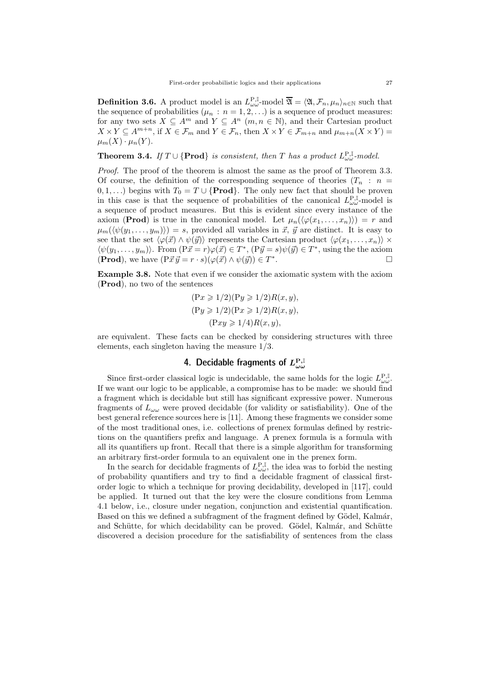**Definition 3.6.** A product model is an  $L_{\omega\omega}^{P,\mathbb{I}}$ -model  $\overline{\mathfrak{A}} = \langle \mathfrak{A}, \mathcal{F}_n, \mu_n \rangle_{n \in \mathbb{N}}$  such that the sequence of probabilities  $(\mu_n : n = 1, 2, ...)$  is a sequence of product measures: for any two sets  $X \subseteq A^m$  and  $Y \subseteq A^n$   $(m, n \in \mathbb{N})$ , and their Cartesian product  $X \times Y \subseteq A^{m+n}$ , if  $X \in \mathcal{F}_m$  and  $Y \in \mathcal{F}_n$ , then  $X \times Y \in \mathcal{F}_{m+n}$  and  $\mu_{m+n}(X \times Y) =$  $\mu_m(X) \cdot \mu_n(Y)$ .

**Theorem 3.4.** If  $T \cup \{Prod\}$  is consistent, then  $T$  has a product  $L_{\omega\omega}^{P,I}$ -model.

Proof. The proof of the theorem is almost the same as the proof of Theorem 3.3. Of course, the definition of the corresponding sequence of theories  $(T_n : n =$  $(0, 1, \ldots)$  begins with  $T_0 = T \cup \{Prod\}$ . The only new fact that should be proven in this case is that the sequence of probabilities of the canonical  $L_{\omega\omega}^{\text{P},\mathbb{I}}$ -model is a sequence of product measures. But this is evident since every instance of the axiom (**Prod**) is true in the canonical model. Let  $\mu_n(\langle \varphi(x_1, \ldots, x_n) \rangle) = r$  and  $\mu_m(\langle \psi(y_1, \ldots, y_m) \rangle) = s$ , provided all variables in  $\vec{x}, \vec{y}$  are distinct. It is easy to see that the set  $\langle \varphi(\vec{x}) \wedge \psi(\vec{y}) \rangle$  represents the Cartesian product  $\langle \varphi(x_1, \ldots, x_n) \rangle \times$  $\langle \psi(y_1, \ldots, y_m) \rangle$ . From  $(P\vec{x} = r)\varphi(\vec{x}) \in T^*$ ,  $(P\vec{y} = s)\psi(\vec{y}) \in T^*$ , using the the axiom (Prod), we have  $(P\vec{x}\vec{y} = r \cdot s)(\varphi(\vec{x}) \wedge \psi(\vec{y})) \in T^*$ .

Example 3.8. Note that even if we consider the axiomatic system with the axiom (Prod), no two of the sentences

$$
(Px \ge 1/2)(Py \ge 1/2)R(x, y),
$$
  
\n
$$
(Py \ge 1/2)(Px \ge 1/2)R(x, y),
$$
  
\n
$$
(Pxy \ge 1/4)R(x, y),
$$

are equivalent. These facts can be checked by considering structures with three elements, each singleton having the measure 1/3.

# 4. Decidable fragments of  $L_{\omega \omega}^{\rm P, \mathbb{I}}$

Since first-order classical logic is undecidable, the same holds for the logic  $L^{\mathbf{P},\mathbb{I}}_{\omega\omega}$ . If we want our logic to be applicable, a compromise has to be made: we should find a fragment which is decidable but still has significant expressive power. Numerous fragments of  $L_{\omega\omega}$  were proved decidable (for validity or satisfiability). One of the best general reference sources here is [11]. Among these fragments we consider some of the most traditional ones, i.e. collections of prenex formulas defined by restrictions on the quantifiers prefix and language. A prenex formula is a formula with all its quantifiers up front. Recall that there is a simple algorithm for transforming an arbitrary first-order formula to an equivalent one in the prenex form.

In the search for decidable fragments of  $L_{\omega\omega}^{\text{P},\mathbb{I}}$ , the idea was to forbid the nesting of probability quantifiers and try to find a decidable fragment of classical firstorder logic to which a technique for proving decidability, developed in [117], could be applied. It turned out that the key were the closure conditions from Lemma 4.1 below, i.e., closure under negation, conjunction and existential quantification. Based on this we defined a subfragment of the fragment defined by Gödel, Kalmár, and Schütte, for which decidability can be proved. Gödel, Kalmár, and Schütte discovered a decision procedure for the satisfiability of sentences from the class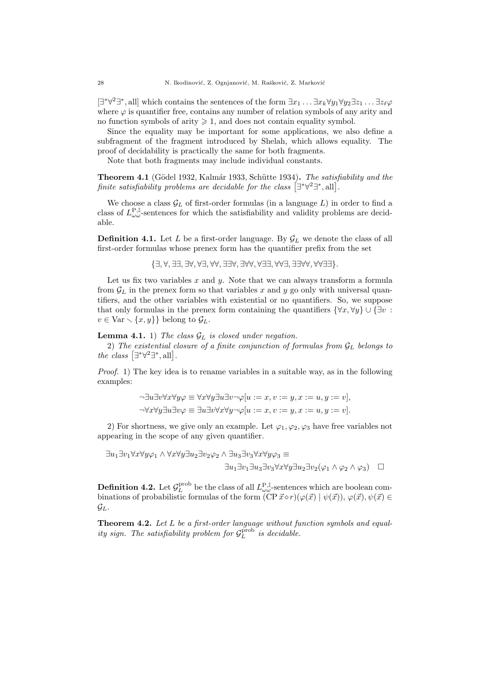$[\exists^*\forall^2 \exists^*,\text{all}]$  which contains the sentences of the form  $\exists x_1 \ldots \exists x_k \forall y_1 \forall y_2 \exists z_1 \ldots \exists z_\ell \varphi$ where  $\varphi$  is quantifier free, contains any number of relation symbols of any arity and no function symbols of arity  $\geq 1$ , and does not contain equality symbol.

Since the equality may be important for some applications, we also define a subfragment of the fragment introduced by Shelah, which allows equality. The proof of decidability is practically the same for both fragments.

Note that both fragments may include individual constants.

Theorem 4.1 (Gödel 1932, Kalmár 1933, Schütte 1934). The satisfiability and the finite satisfiability problems are decidable for the class  $[\exists^*\forall^2\exists^*,\text{all}]$ .

We choose a class  $\mathcal{G}_L$  of first-order formulas (in a language  $L$ ) in order to find a class of  $L^{P,I}_{\omega \omega}$ -sentences for which the satisfiability and validity problems are decidable.

**Definition 4.1.** Let L be a first-order language. By  $\mathcal{G}_L$  we denote the class of all first-order formulas whose prenex form has the quantifier prefix from the set

{∃, ∀, ∃∃, ∃∀, ∀∃, ∀∀, ∃∃∀, ∃∀∀, ∀∃∃, ∀∀∃, ∃∃∀∀, ∀∀∃∃}.

Let us fix two variables  $x$  and  $y$ . Note that we can always transform a formula from  $\mathcal{G}_L$  in the prenex form so that variables x and y go only with universal quantifiers, and the other variables with existential or no quantifiers. So, we suppose that only formulas in the prenex form containing the quantifiers  $\{\forall x, \forall y\} \cup \{\exists v$ :  $v \in \text{Var} \setminus \{x, y\}$  belong to  $\mathcal{G}_L$ .

### **Lemma 4.1.** 1) The class  $\mathcal{G}_L$  is closed under negation.

2) The existential closure of a finite conjunction of formulas from  $\mathcal{G}_L$  belongs to the class  $[\exists^*\forall^2 \exists^*,\text{all}].$ 

Proof. 1) The key idea is to rename variables in a suitable way, as in the following examples:

$$
\neg \exists u \exists v \forall x \forall y \varphi \equiv \forall x \forall y \exists u \exists v \neg \varphi [u := x, v := y, x := u, y := v],
$$
  

$$
\neg \forall x \forall y \exists u \exists v \varphi \equiv \exists u \exists v \forall x \forall y \neg \varphi [u := x, v := y, x := u, y := v].
$$

2) For shortness, we give only an example. Let  $\varphi_1, \varphi_2, \varphi_3$  have free variables not appearing in the scope of any given quantifier.

$$
\exists u_1 \exists v_1 \forall x \forall y \varphi_1 \land \forall x \forall y \exists u_2 \exists v_2 \varphi_2 \land \exists u_3 \exists v_3 \forall x \forall y \varphi_3 \equiv
$$
  

$$
\exists u_1 \exists v_1 \exists u_3 \exists v_3 \forall x \forall y \exists u_2 \exists v_2 (\varphi_1 \land \varphi_2 \land \varphi_3) \quad \Box
$$

**Definition 4.2.** Let  $\mathcal{G}_L^{\text{prob}}$  be the class of all  $L_{\omega\omega}^{\text{P,I}}$ -sentences which are boolean combinations of probabilistic formulas of the form  $(CP\vec{x} \circ r)(\varphi(\vec{x}) | \psi(\vec{x}))$ ,  $\varphi(\vec{x}), \psi(\vec{x}) \in$  $\mathcal{G}_L$ .

Theorem 4.2. Let L be a first-order language without function symbols and equality sign. The satisfiability problem for  $\mathcal{G}_L^{\rm prob}$  is decidable.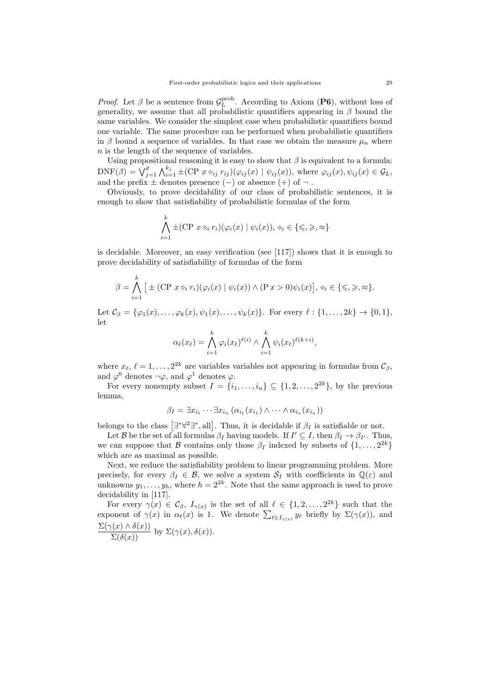*Proof.* Let  $\beta$  be a sentence from  $\mathcal{G}_L^{\text{prob}}$ . According to Axiom (P6), without loss of generality, we assume that all probabilistic quantifiers appearing in  $\beta$  bound the same variables. We consider the simplest case when probabilistic quantifiers bound one variable. The same procedure can be performed when probabilistic quantifiers in β bound a sequence of variables. In that case we obtain the measure  $\mu_n$  where n is the length of the sequence of variables.

Using propositional reasoning it is easy to show that  $\beta$  is equivalent to a formula:  $\text{DNF}(\beta) = \bigvee_{j=1}^d \bigwedge_{i=1}^{k_j} \pm (\text{CP } x \diamond_{ij} r_{ij}) (\varphi_{ij}(x) \mid \psi_{ij}(x))$ , where  $\varphi_{ij}(x), \psi_{ij}(x) \in \mathcal{G}_L$ , and the prefix  $\pm$  denotes presence  $(-)$  or absence  $(+)$  of  $\neg$ .

Obviously, to prove decidability of our class of probabilistic sentences, it is enough to show that satisfiability of probabilistic formulas of the form

$$
\bigwedge_{i=1}^k \pm (\text{CP } x \diamond_i r_i)(\varphi_i(x) \mid \psi_i(x)), \diamond_i \in \{\leqslant, \geqslant, \approx\}
$$

is decidable. Moreover, an easy verification (see [117]) shows that it is enough to prove decidability of satisfiability of formulas of the form

$$
\beta = \bigwedge_{i=1}^k \left[ \pm (\text{CP } x \diamond_i r_i)(\varphi_i(x) \mid \psi_i(x)) \land (\text{P } x > 0)\psi_i(x) \right], \diamond_i \in \{\leqslant, \geqslant, \approx\}.
$$

Let  $\mathcal{C}_{\beta} = {\varphi_1(x), \ldots, \varphi_k(x), \psi_1(x), \ldots, \psi_k(x)}$ . For every  $\ell : \{1, \ldots, 2k\} \to \{0, 1\}$ , let

$$
\alpha_{\ell}(x_{\ell}) = \bigwedge_{i=1}^{k} \varphi_{i}(x_{\ell})^{\ell(i)} \wedge \bigwedge_{i=1}^{k} \psi_{i}(x_{\ell})^{\ell(k+i)},
$$

where  $x_{\ell}, \ell = 1, \ldots, 2^{2k}$  are variables variables not appearing in formulas from  $\mathcal{C}_{\beta}$ , and  $\varphi^0$  denotes  $\neg \varphi$ , and  $\varphi^1$  denotes  $\varphi$ .

For every nonempty subset  $I = \{i_1, \ldots, i_n\} \subseteq \{1, 2, \ldots, 2^{2k}\},$  by the previous lemma,

$$
\beta_I = \exists x_{i_1} \cdots \exists x_{i_n} \left( \alpha_{i_1}(x_{i_1}) \wedge \cdots \wedge \alpha_{i_n}(x_{i_n}) \right)
$$

belongs to the class  $[\exists^*\forall^2\exists^*,\text{all}]$ . Thus, it is decidable if  $\beta_I$  is satisfiable or not.

Let B be the set of all formulas  $\beta_I$  having models. If  $I' \subseteq I$ , then  $\beta_I \to \beta_{I'}$ . Thus, we can suppose that  $\mathcal B$  contains only those  $\beta_I$  indexed by subsets of  $\{1, \ldots, 2^{2k}\}\$ which are as maximal as possible.

Next, we reduce the satisfiability problem to linear programming problem. More precisely, for every  $\beta_I \in \mathcal{B}$ , we solve a system  $\mathcal{S}_I$  with coefficients in  $\mathbb{Q}(\varepsilon)$  and unknowns  $y_1, \ldots, y_h$ , where  $h = 2^{2k}$ . Note that the same approach is used to prove decidability in [117].

For every  $\gamma(x) \in \mathcal{C}_{\beta}$ ,  $I_{\gamma(x)}$  is the set of all  $\ell \in \{1, 2, ..., 2^{2k}\}$  such that the exponent of  $\gamma(x)$  in  $\alpha_{\ell}(x)$  is 1. We denote  $\sum_{\ell \in I_{\gamma(x)}} y_{\ell}$  briefly by  $\Sigma(\gamma(x))$ , and  $\frac{\Sigma(\gamma(x) \wedge \delta(x))}{\Sigma(\delta(x))}$  by  $\Sigma(\gamma(x), \delta(x)).$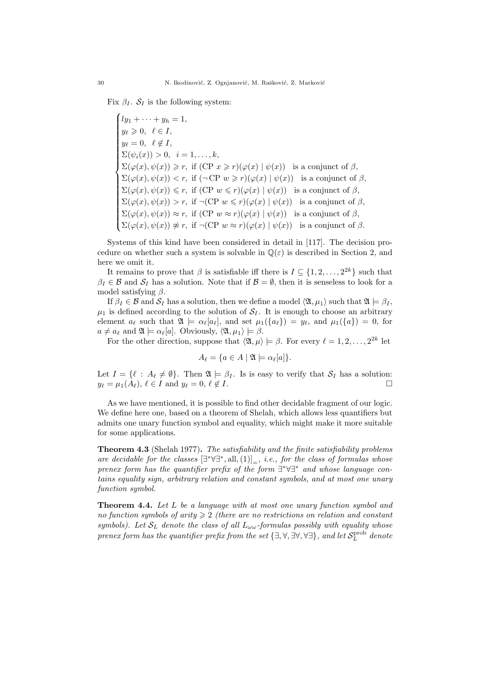Fix  $\beta_I$ .  $S_I$  is the following system:

 $\sqrt{ }$  $\overline{\phantom{a}}$  $\begin{array}{c} \hline \end{array}$  $ly_1 + \cdots + y_h = 1,$  $y_{\ell} \geqslant 0, \ \ \ell \in I,$  $y_{\ell}=0, \ \ \ell \notin I,$  $\Sigma(\psi_i(x)) > 0, \ \ i = 1, \ldots, k,$  $\Sigma(\varphi(x), \psi(x)) \geq r$ , if  $(CP \ x \geq r)(\varphi(x) | \psi(x))$  is a conjunct of  $\beta$ ,  $\Sigma(\varphi(x), \psi(x)) < r$ , if  $(\neg \text{CP } w \geq r)(\varphi(x) | \psi(x))$  is a conjunct of  $\beta$ ,  $\Sigma(\varphi(x), \psi(x)) \leq r$ , if  $(CP \ w \leq r)(\varphi(x) | \psi(x))$  is a conjunct of  $\beta$ ,  $\Sigma(\varphi(x), \psi(x)) > r$ , if  $\neg(CP \ w \leq r)(\varphi(x) | \psi(x))$  is a conjunct of  $\beta$ ,  $\Sigma(\varphi(x), \psi(x)) \approx r$ , if  $(CP \ w \approx r)(\varphi(x) | \psi(x))$  is a conjunct of  $\beta$ ,  $\Sigma(\varphi(x), \psi(x)) \ncong r$ , if  $\neg(\text{CP } w \approx r)(\varphi(x) | \psi(x))$  is a conjunct of  $\beta$ .

Systems of this kind have been considered in detail in [117]. The decision procedure on whether such a system is solvable in  $\mathbb{Q}(\varepsilon)$  is described in Section 2, and here we omit it.

It remains to prove that  $\beta$  is satisfiable iff there is  $I \subseteq \{1, 2, ..., 2^{2k}\}\$  such that  $\beta_I \in \mathcal{B}$  and  $\mathcal{S}_I$  has a solution. Note that if  $\mathcal{B} = \emptyset$ , then it is senseless to look for a model satisfying  $\beta$ .

If  $\beta_I \in \mathcal{B}$  and  $\mathcal{S}_I$  has a solution, then we define a model  $\langle \mathfrak{A}, \mu_1 \rangle$  such that  $\mathfrak{A} \models \beta_I$ ,  $\mu_1$  is defined according to the solution of  $S_I$ . It is enough to choose an arbitrary element  $a_{\ell}$  such that  $\mathfrak{A} \models \alpha_{\ell}[a_{\ell}],$  and set  $\mu_1(\{a_{\ell}\}) = y_{\ell}$ , and  $\mu_1(\{a\}) = 0$ , for  $a \neq a_{\ell}$  and  $\mathfrak{A} \models \alpha_{\ell}[a]$ . Obviously,  $\langle \mathfrak{A}, \mu_1 \rangle \models \beta$ .

For the other direction, suppose that  $\langle \mathfrak{A}, \mu \rangle \models \beta$ . For every  $\ell = 1, 2, \ldots, 2^{2k}$  let

$$
A_{\ell} = \{ a \in A \mid \mathfrak{A} \models \alpha_{\ell}[a] \}.
$$

Let  $I = \{ \ell : A_{\ell} \neq \emptyset \}$ . Then  $\mathfrak{A} \models \beta_I$ . Is is easy to verify that  $S_I$  has a solution:  $y_{\ell} = \mu_1(A_{\ell}), \ell \in I$  and  $y_{\ell} = 0, \ell \notin I$ .

As we have mentioned, it is possible to find other decidable fragment of our logic. We define here one, based on a theorem of Shelah, which allows less quantifiers but admits one unary function symbol and equality, which might make it more suitable for some applications.

Theorem 4.3 (Shelah 1977). The satisfiability and the finite satisfiability problems are decidable for the classes  $[\exists^*\forall \exists^*,\text{all},(1)]_=$ , i.e., for the class of formulas whose prenex form has the quantifier prefix of the form  $\exists^* \forall \exists^*$  and whose language contains equality sign, arbitrary relation and constant symbols, and at most one unary function symbol.

**Theorem 4.4.** Let L be a language with at most one unary function symbol and no function symbols of arity  $\geqslant 2$  (there are no restrictions on relation and constant symbols). Let  $S_L$  denote the class of all  $L_{\omega\omega}$ -formulas possibly with equality whose prenex form has the quantifier prefix from the set  $\{\exists, \forall, \exists \forall, \forall \exists\}$ , and let  $\mathcal{S}^{\text{prob}}_L$  denote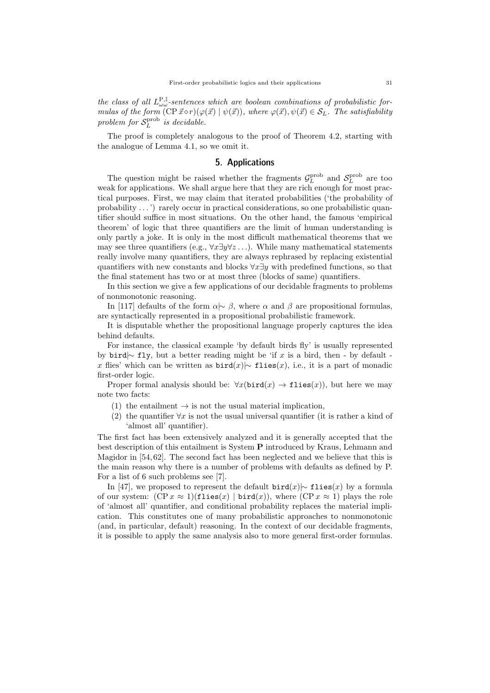the class of all  $L^{\mathbf{P},\mathbb{I}}_{\omega\omega}$ -sentences which are boolean combinations of probabilistic formulas of the form  $(\text{CP } \vec{x} \diamond r)(\varphi(\vec{x}) | \psi(\vec{x}))$ , where  $\varphi(\vec{x}), \psi(\vec{x}) \in \mathcal{S}_L$ . The satisfiability problem for  $S_L^{\text{prob}}$  is decidable.

The proof is completely analogous to the proof of Theorem 4.2, starting with the analogue of Lemma 4.1, so we omit it.

## 5. Applications

The question might be raised whether the fragments  $\mathcal{G}_L^{\text{prob}}$  and  $\mathcal{S}_L^{\text{prob}}$  are too weak for applications. We shall argue here that they are rich enough for most practical purposes. First, we may claim that iterated probabilities ('the probability of probability . . . ') rarely occur in practical considerations, so one probabilistic quantifier should suffice in most situations. On the other hand, the famous 'empirical theorem' of logic that three quantifiers are the limit of human understanding is only partly a joke. It is only in the most difficult mathematical theorems that we may see three quantifiers (e.g.,  $\forall x \exists y \forall z$ ...). While many mathematical statements really involve many quantifiers, they are always rephrased by replacing existential quantifiers with new constants and blocks  $\forall x \exists y$  with predefined functions, so that the final statement has two or at most three (blocks of same) quantifiers.

In this section we give a few applications of our decidable fragments to problems of nonmonotonic reasoning.

In [117] defaults of the form  $\alpha \sim \beta$ , where  $\alpha$  and  $\beta$  are propositional formulas, are syntactically represented in a propositional probabilistic framework.

It is disputable whether the propositional language properly captures the idea behind defaults.

For instance, the classical example 'by default birds fly' is usually represented by bird $\sim$  fly, but a better reading might be 'if x is a bird, then - by default x flies' which can be written as  $\text{bird}(x)$ |∼ flies(x), i.e., it is a part of monadic first-order logic.

Proper formal analysis should be:  $\forall x(\text{bird}(x) \rightarrow \text{flies}(x))$ , but here we may note two facts:

- (1) the entailment  $\rightarrow$  is not the usual material implication,
- (2) the quantifier  $\forall x$  is not the usual universal quantifier (it is rather a kind of 'almost all' quantifier).

The first fact has been extensively analyzed and it is generally accepted that the best description of this entailment is System P introduced by Kraus, Lehmann and Magidor in [54, 62]. The second fact has been neglected and we believe that this is the main reason why there is a number of problems with defaults as defined by P. For a list of 6 such problems see [7].

In [47], we proposed to represent the default bird(x)  $\sim$  flies(x) by a formula of our system:  $(CP x \approx 1)(f \text{lies}(x) | \text{bird}(x))$ , where  $(CP x \approx 1)$  plays the role of 'almost all' quantifier, and conditional probability replaces the material implication. This constitutes one of many probabilistic approaches to nonmonotonic (and, in particular, default) reasoning. In the context of our decidable fragments, it is possible to apply the same analysis also to more general first-order formulas.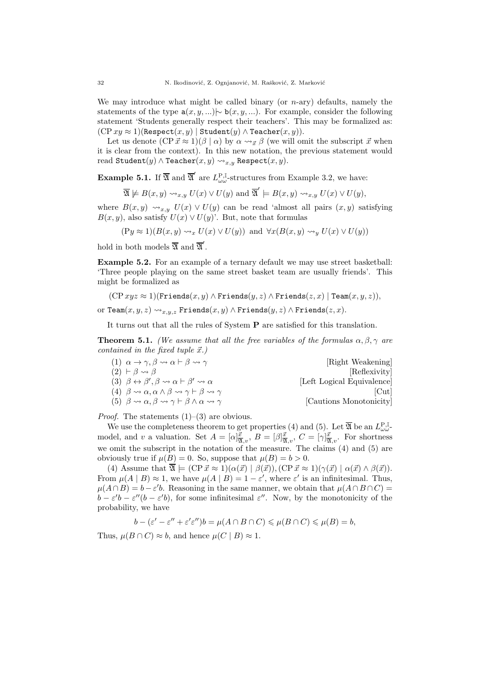We may introduce what might be called binary (or  $n$ -ary) defaults, namely the statements of the type  $a(x, y, ...)$   $\rightarrow$  b(x, y, ...). For example, consider the following statement 'Students generally respect their teachers'. This may be formalized as:  $(CP xy \approx 1)$ (Respect $(x, y)$  | Student $(y) \wedge$  Teacher $(x, y)$ ).

Let us denote  $(\text{CP } \vec{x} \approx 1)(\beta \mid \alpha)$  by  $\alpha \rightarrow_{\vec{x}} \beta$  (we will omit the subscript  $\vec{x}$  when it is clear from the context). In this new notation, the previous statement would read Student $(y) \wedge$  Teacher $(x, y) \leadsto_{x,y}$  Respect $(x, y)$ .

**Example 5.1.** If  $\overline{\mathfrak{A}}$  and  $\overline{\mathfrak{A}}'$  are  $L^{\mathbf{P},\mathbb{I}}_{\omega\omega}$ -structures from Example 3.2, we have:

$$
\overline{\mathfrak{A}} \not\models B(x,y) \rightsquigarrow_{x,y} U(x) \vee U(y) \text{ and } \overline{\mathfrak{A}}' \models B(x,y) \rightsquigarrow_{x,y} U(x) \vee U(y),
$$

where  $B(x, y) \rightsquigarrow_{x,y} U(x) \vee U(y)$  can be read 'almost all pairs  $(x, y)$  satisfying  $B(x, y)$ , also satisfy  $U(x) \vee U(y)$ . But, note that formulas

$$
(Py \approx 1)(B(x, y) \rightsquigarrow_x U(x) \vee U(y))
$$
 and  $\forall x (B(x, y) \rightsquigarrow_y U(x) \vee U(y))$ 

hold in both models  $\overline{\mathfrak{A}}$  and  $\overline{\mathfrak{A}}'$ .

Example 5.2. For an example of a ternary default we may use street basketball: 'Three people playing on the same street basket team are usually friends'. This might be formalized as

 $(CP xyz \approx 1)(Friends(x, y) \wedge Friends(y, z) \wedge Friends(z, x) | Team(x, y, z)),$ 

$$
\text{or } \texttt{Team}(x,y,z) \leadsto_{x,y,z} \texttt{Friends}(x,y) \land \texttt{Friends}(y,z) \land \texttt{Friends}(z,x).
$$

It turns out that all the rules of System P are satisfied for this translation.

**Theorem 5.1.** (We assume that all the free variables of the formulas  $\alpha, \beta, \gamma$  are contained in the fixed tuple  $\vec{x}$ .)

(1)  $\alpha \to \gamma, \beta \leadsto \alpha \vdash \beta \leadsto \gamma$  [Right Weakening]  $(2)$   $\vdash \beta \leadsto \beta$  [Reflexivity] (3)  $\beta \leftrightarrow \beta', \beta \leadsto \alpha \vdash \beta$ [Left Logical Equivalence] (4)  $\beta \rightsquigarrow \alpha, \alpha \wedge \beta \rightsquigarrow \gamma \vdash \beta \rightsquigarrow \gamma$  [Cut] (5)  $\beta \rightsquigarrow \alpha, \beta \rightsquigarrow \gamma \vdash \beta \wedge \alpha \rightsquigarrow \gamma$  [Cautions Monotonicity]

*Proof.* The statements  $(1)$ – $(3)$  are obvious.

We use the completeness theorem to get properties (4) and (5). Let  $\overline{\mathfrak{A}}$  be an  $L_{\omega\omega}^{\mathbf{P},\mathbb{I}}$ model, and v a valuation. Set  $A = [\alpha]_{\overline{X},v}^{\vec{x}}, B = [\beta]_{\overline{X},v}^{\vec{x}}, C = [\gamma]_{\overline{X},v}^{\vec{x}}$ . For shortness we omit the subscript in the notation of the measure. The claims (4) and (5) are obviously true if  $\mu(B) = 0$ . So, suppose that  $\mu(B) = b > 0$ .

(4) Assume that  $\overline{\mathfrak{A}} \models (\text{CP } \vec{x} \approx 1)(\alpha(\vec{x}) \mid \beta(\vec{x}))$ ,  $(\text{CP } \vec{x} \approx 1)(\gamma(\vec{x}) \mid \alpha(\vec{x}) \land \beta(\vec{x}))$ . From  $\mu(A | B) \approx 1$ , we have  $\mu(A | B) = 1 - \varepsilon'$ , where  $\varepsilon'$  is an infinitesimal. Thus,  $\mu(A \cap B) = b - \varepsilon' b$ . Reasoning in the same manner, we obtain that  $\mu(A \cap B \cap C) =$  $b - \varepsilon' b - \varepsilon''(b - \varepsilon' b)$ , for some infinitesimal  $\varepsilon''$ . Now, by the monotonicity of the probability, we have

$$
b - (\varepsilon' - \varepsilon'' + \varepsilon' \varepsilon'')b = \mu(A \cap B \cap C) \leq \mu(B \cap C) \leq \mu(B) = b,
$$

Thus,  $\mu(B \cap C) \approx b$ , and hence  $\mu(C | B) \approx 1$ .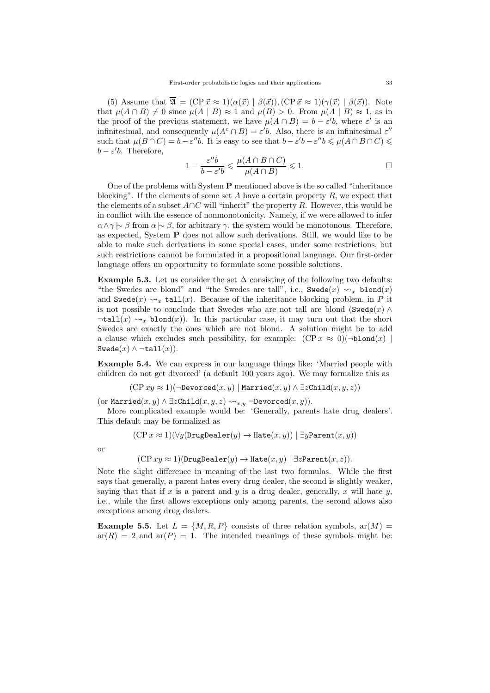(5) Assume that  $\overline{\mathfrak{A}} \models (\text{CP } \vec{x} \approx 1)(\alpha(\vec{x}) \mid \beta(\vec{x}))$ ,  $(\text{CP } \vec{x} \approx 1)(\gamma(\vec{x}) \mid \beta(\vec{x}))$ . Note that  $\mu(A \cap B) \neq 0$  since  $\mu(A \mid B) \approx 1$  and  $\mu(B) > 0$ . From  $\mu(A \mid B) \approx 1$ , as in the proof of the previous statement, we have  $\mu(A \cap B) = b - \varepsilon' b$ , where  $\varepsilon'$  is an infinitesimal, and consequently  $\mu(A^c \cap B) = \varepsilon' b$ . Also, there is an infinitesimal  $\varepsilon''$ such that  $\mu(B \cap C) = b - \varepsilon''b$ . It is easy to see that  $b - \varepsilon'b - \varepsilon''b \leq \mu(A \cap B \cap C) \leq$  $b - \varepsilon' b$ . Therefore,

$$
1 - \frac{\varepsilon'' b}{b - \varepsilon' b} \leqslant \frac{\mu(A \cap B \cap C)}{\mu(A \cap B)} \leqslant 1.
$$

One of the problems with System  $P$  mentioned above is the so called "inheritance" blocking". If the elements of some set A have a certain property  $R$ , we expect that the elements of a subset  $A\cap C$  will "inherit" the property R. However, this would be in conflict with the essence of nonmonotonicity. Namely, if we were allowed to infer  $\alpha \wedge \gamma \vdash \beta$  from  $\alpha \vdash \beta$ , for arbitrary  $\gamma$ , the system would be monotonous. Therefore, as expected, System  $P$  does not allow such derivations. Still, we would like to be able to make such derivations in some special cases, under some restrictions, but such restrictions cannot be formulated in a propositional language. Our first-order language offers un opportunity to formulate some possible solutions.

Example 5.3. Let us consider the set  $\Delta$  consisting of the following two defaults: "the Swedes are blond" and "the Swedes are tall", i.e., Swede $(x) \rightsquigarrow_x$  blond $(x)$ and Swede(x)  $\rightsquigarrow_x$  tall(x). Because of the inheritance blocking problem, in P it is not possible to conclude that Swedes who are not tall are blond (Swede $(x) \wedge$  $\forall$   $\forall$   $\exists$   $\mathbf{L}(x) \rightsquigarrow_x \mathbf{blond}(x)$ . In this particular case, it may turn out that the short Swedes are exactly the ones which are not blond. A solution might be to add a clause which excludes such possibility, for example:  $(CP x \approx 0)(\neg \text{blond}(x))$  $Swede(x) \wedge \neg \texttt{tall}(x)$ .

Example 5.4. We can express in our language things like: 'Married people with children do not get divorced' (a default 100 years ago). We may formalize this as

 $(CP xy \approx 1)(\neg\text{Devored}(x, y) | \text{Married}(x, y) \land \exists z \text{Child}(x, y, z))$ 

 $(\text{or Married}(x, y) \land \exists z \texttt{Child}(x, y, z) \leadsto_{x, y} \neg \texttt{Devored}(x, y)).$ 

More complicated example would be: 'Generally, parents hate drug dealers'. This default may be formalized as

$$
(\operatorname{CP} x \approx 1)(\forall y (\mathtt{DrugDealer}(y) \rightarrow \mathtt{Hate}(x, y)) \mid \exists y \mathtt{Parent}(x, y))
$$

or

 $(CP xy \approx 1)(DrugDealer(y) \rightarrow Hate(x, y) | \exists zParent(x, z)).$ 

Note the slight difference in meaning of the last two formulas. While the first says that generally, a parent hates every drug dealer, the second is slightly weaker, saying that that if x is a parent and y is a drug dealer, generally, x will hate y, i.e., while the first allows exceptions only among parents, the second allows also exceptions among drug dealers.

**Example 5.5.** Let  $L = \{M, R, P\}$  consists of three relation symbols,  $ar(M)$  $ar(R) = 2$  and  $ar(P) = 1$ . The intended meanings of these symbols might be: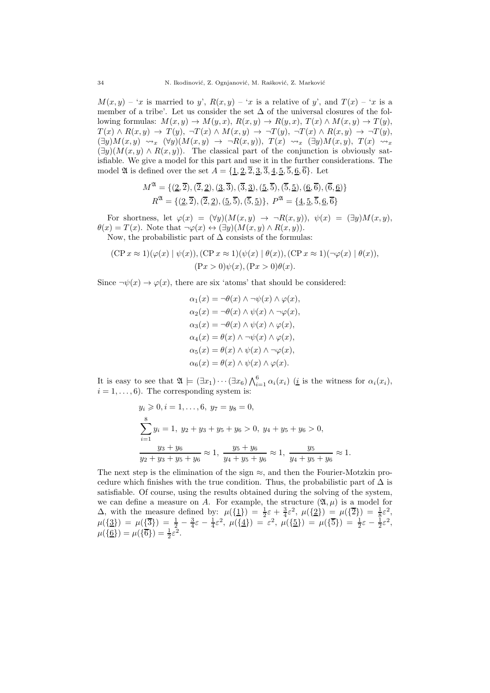$M(x, y) - x$  is married to y',  $R(x, y) - x$  is a relative of y', and  $T(x) - x$  is a member of a tribe'. Let us consider the set  $\Delta$  of the universal closures of the following formulas:  $M(x, y) \to M(y, x), R(x, y) \to R(y, x), T(x) \wedge M(x, y) \to T(y),$  $T(x) \wedge R(x,y) \rightarrow T(y), \neg T(x) \wedge M(x,y) \rightarrow \neg T(y), \neg T(x) \wedge R(x,y) \rightarrow \neg T(y),$  $(\exists y)M(x,y) \rightsquigarrow_x (\forall y)(M(x,y) \rightarrow \neg R(x,y)), T(x) \rightsquigarrow_x (\exists y)M(x,y), T(x) \rightsquigarrow_x$  $(\exists y)(M(x, y) \wedge R(x, y))$ . The classical part of the conjunction is obviously satisfiable. We give a model for this part and use it in the further considerations. The model 24 is defined over the set  $A = \{1, 2, 2, 3, 3, 4, 5, 5, 6, 6\}$ . Let

$$
M^{\mathfrak{A}} = \{ (2, \overline{2}), (\overline{2}, 2), (3, \overline{3}), (\overline{3}, \underline{3}), (5, \overline{5}), (\overline{5}, \underline{5}), (\underline{6}, \overline{6}), (\overline{6}, \underline{6}) \} R^{\mathfrak{A}} = \{ (2, \overline{2}), (\overline{2}, \underline{2}), (\underline{5}, \overline{5}), (\overline{5}, \underline{5}) \}, P^{\mathfrak{A}} = \{ 4, 5, \overline{5}, \underline{6}, \overline{6} \}
$$

For shortness, let  $\varphi(x) = (\forall y)(M(x, y) \rightarrow \neg R(x, y)), \psi(x) = (\exists y)M(x, y),$  $\theta(x) = T(x)$ . Note that  $\neg \varphi(x) \leftrightarrow (\exists y)(M(x,y) \wedge R(x,y)).$ Now, the probabilistic part of  $\Delta$  consists of the formulas:

$$
(\text{CP } x \approx 1)(\varphi(x) \mid \psi(x)), (\text{CP } x \approx 1)(\psi(x) \mid \theta(x)), (\text{CP } x \approx 1)(\neg \varphi(x) \mid \theta(x)),
$$

$$
(\text{P} x > 0)\psi(x), (\text{P} x > 0)\theta(x).
$$

Since  $\neg \psi(x) \rightarrow \varphi(x)$ , there are six 'atoms' that should be considered:

$$
\alpha_1(x) = \neg \theta(x) \land \neg \psi(x) \land \varphi(x),
$$
  
\n
$$
\alpha_2(x) = \neg \theta(x) \land \psi(x) \land \neg \varphi(x),
$$
  
\n
$$
\alpha_3(x) = \neg \theta(x) \land \psi(x) \land \varphi(x),
$$
  
\n
$$
\alpha_4(x) = \theta(x) \land \neg \psi(x) \land \varphi(x),
$$
  
\n
$$
\alpha_5(x) = \theta(x) \land \psi(x) \land \neg \varphi(x),
$$
  
\n
$$
\alpha_6(x) = \theta(x) \land \psi(x) \land \varphi(x).
$$

It is easy to see that  $\mathfrak{A} \models (\exists x_1) \cdots (\exists x_6) \bigwedge_{i=1}^6 \alpha_i(x_i)$  (*i* is the witness for  $\alpha_i(x_i)$ ,  $i = 1, \ldots, 6$ . The corresponding system is:

$$
y_i \geqslant 0, i = 1, ..., 6, \ y_7 = y_8 = 0,
$$
  

$$
\sum_{i=1}^{8} y_i = 1, \ y_2 + y_3 + y_5 + y_6 > 0, \ y_4 + y_5 + y_6 > 0,
$$
  

$$
\frac{y_3 + y_6}{y_2 + y_3 + y_5 + y_6} \approx 1, \ \frac{y_5 + y_6}{y_4 + y_5 + y_6} \approx 1, \ \frac{y_5}{y_4 + y_5 + y_6} \approx 1.
$$

The next step is the elimination of the sign  $\approx$ , and then the Fourier-Motzkin procedure which finishes with the true condition. Thus, the probabilistic part of  $\Delta$  is satisfiable. Of course, using the results obtained during the solving of the system, we can define a measure on A. For example, the structure  $(\mathfrak{A}, \mu)$  is a model for  $\Delta$ , with the measure defined by:  $\mu({1}) = \frac{1}{2}\varepsilon + \frac{3}{4}\varepsilon^2$ ,  $\mu({2}) = \mu({\overline{2}}) = \frac{1}{8}\varepsilon^2$ ,  $\mu(\{\underline{3}\}) = \mu(\{\overline{3}\}) = \frac{1}{2} - \frac{3}{4}\varepsilon - \frac{1}{4}\varepsilon^2, \ \mu(\{\underline{4}\}) = \varepsilon^2, \ \mu(\{\underline{5}\}) = \mu(\{\overline{5}\}) = \frac{1}{2}\varepsilon - \frac{1}{2}\varepsilon^2,$  $\mu({\frac{6}{}) = \mu({\overline{6}}) = \frac{1}{2}\varepsilon^2}.$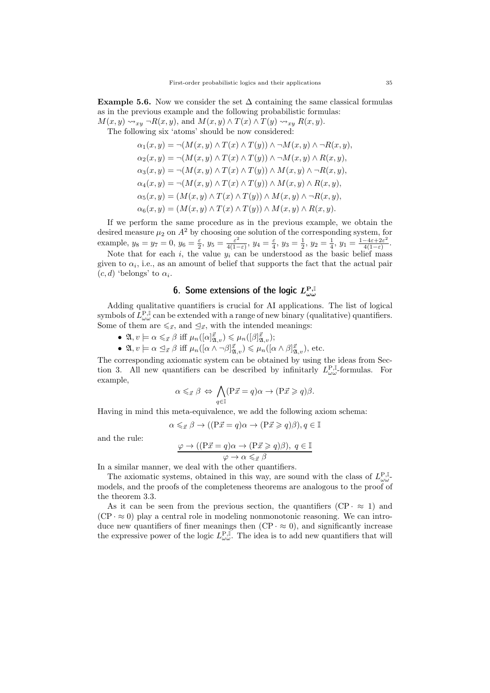**Example 5.6.** Now we consider the set  $\Delta$  containing the same classical formulas as in the previous example and the following probabilistic formulas:  $M(x, y) \rightarrow_{xy} \neg R(x, y)$ , and  $M(x, y) \wedge T(x) \wedge T(y) \rightarrow_{xy} R(x, y)$ .

The following six 'atoms' should be now considered:

$$
\alpha_1(x, y) = \neg(M(x, y) \land T(x) \land T(y)) \land \neg M(x, y) \land \neg R(x, y),
$$
  
\n
$$
\alpha_2(x, y) = \neg(M(x, y) \land T(x) \land T(y)) \land \neg M(x, y) \land R(x, y),
$$
  
\n
$$
\alpha_3(x, y) = \neg(M(x, y) \land T(x) \land T(y)) \land M(x, y) \land \neg R(x, y),
$$
  
\n
$$
\alpha_4(x, y) = \neg(M(x, y) \land T(x) \land T(y)) \land M(x, y) \land R(x, y),
$$
  
\n
$$
\alpha_5(x, y) = (M(x, y) \land T(x) \land T(y)) \land M(x, y) \land \neg R(x, y),
$$
  
\n
$$
\alpha_6(x, y) = (M(x, y) \land T(x) \land T(y)) \land M(x, y) \land R(x, y).
$$

If we perform the same procedure as in the previous example, we obtain the desired measure  $\mu_2$  on  $A^2$  by choosing one solution of the corresponding system, for example,  $y_8 = y_7 = 0$ ,  $y_6 = \frac{\varepsilon}{2}$ ,  $y_5 = \frac{\varepsilon^2}{4(1-\varepsilon)^2}$  $\frac{\varepsilon^2}{4(1-\varepsilon)}$ ,  $y_4 = \frac{\varepsilon}{4}$ ,  $y_3 = \frac{1}{2}$ ,  $y_2 = \frac{1}{4}$ ,  $y_1 = \frac{1-4\varepsilon+2\varepsilon^2}{4(1-\varepsilon)}$  $\frac{-4\varepsilon+2\varepsilon^2}{4(1-\varepsilon)}$ .

Note that for each i, the value  $y_i$  can be understood as the basic belief mass given to  $\alpha_i$ , i.e., as an amount of belief that supports the fact that the actual pair  $(c, d)$  'belongs' to  $\alpha_i$ .

# 6. Some extensions of the logic  $L_{\omega \omega}^{\rm P, \mathbb{I}}$

Adding qualitative quantifiers is crucial for AI applications. The list of logical symbols of  $L_{\omega\omega}^{\text{P,I}}$  can be extended with a range of new binary (qualitative) quantifiers. Some of them are  $\leq_{\vec{x}}$ , and  $\leq_{\vec{x}}$ , with the intended meanings:

- $\mathfrak{A}, v \models \alpha \leqslant_{\vec{x}} \beta \text{ iff } \mu_n([\alpha]_{\mathfrak{A},v}^{\vec{x}}) \leqslant \mu_n([\beta]_{\mathfrak{A},v}^{\vec{x}});$
- $\mathfrak{A}, v \models \alpha \subseteq_{\vec{x}} \beta \text{ iff } \mu_n([\alpha \wedge \neg \beta]_{\mathfrak{A},v}^{\vec{x}}) \leq \mu_n([\alpha \wedge \beta]_{\mathfrak{A},v}^{\vec{x}}), \text{ etc.}$

The corresponding axiomatic system can be obtained by using the ideas from Section 3. All new quantifiers can be described by infinitarly  $L_{\omega\omega}^{\text{P},\mathbb{I}}$ -formulas. For example,

$$
\alpha \leqslant_{\vec{x}} \beta \Leftrightarrow \bigwedge_{q \in \mathbb{I}} (\mathbf{P}\vec{x} = q)\alpha \to (\mathbf{P}\vec{x} \geqslant q)\beta.
$$

Having in mind this meta-equivalence, we add the following axiom schema:

$$
\alpha \leqslant_{\vec{x}} \beta \to ((P\vec{x} = q)\alpha \to (P\vec{x} \geqslant q)\beta), q \in \mathbb{I}
$$

and the rule:

$$
\frac{\varphi \to ((\mathbf{P}\vec{x} = q)\alpha \to (\mathbf{P}\vec{x} \geq q)\beta), \ q \in \mathbb{I}}{\varphi \to \alpha \leq_{\vec{x}} \beta}
$$

In a similar manner, we deal with the other quantifiers.

The axiomatic systems, obtained in this way, are sound with the class of  $L^{\mathbf{P},\mathbb{I}}_{\omega\omega}$ models, and the proofs of the completeness theorems are analogous to the proof of the theorem 3.3.

As it can be seen from the previous section, the quantifiers  $(CP \cdot \approx 1)$  and  $(CP \cdot \approx 0)$  play a central role in modeling nonmonotonic reasoning. We can introduce new quantifiers of finer meanings then  $(CP \cdot \approx 0)$ , and significantly increase the expressive power of the logic  $L^{\mathbf{P},\mathbb{I}}_{\omega\omega}$ . The idea is to add new quantifiers that will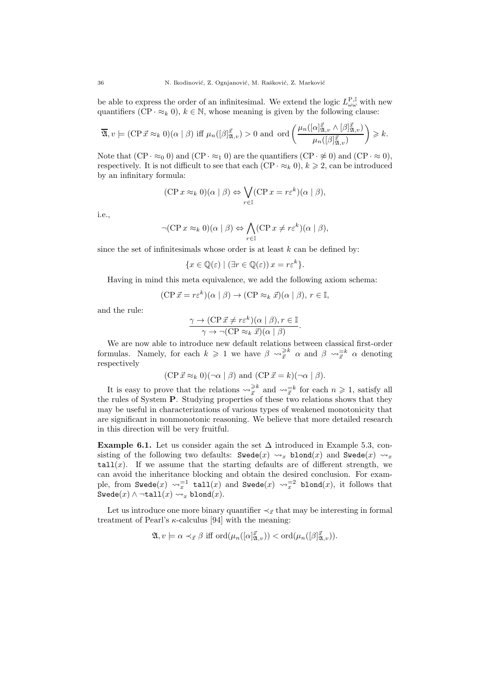be able to express the order of an infinitesimal. We extend the logic  $L^{\mathbf{P},\mathbb{I}}_{\omega\omega}$  with new quantifiers  $(CP \cdot \approx_k 0)$ ,  $k \in \mathbb{N}$ , whose meaning is given by the following clause:

$$
\overline{\mathfrak{A}}, v \models (\text{CP } \vec{x} \approx_k 0)(\alpha \mid \beta) \text{ iff } \mu_n([\beta]_{\mathfrak{A},v}^{\vec{x}}) > 0 \text{ and } \text{ord}\left(\frac{\mu_n([\alpha]_{\mathfrak{A},v}^{\vec{x}} \wedge [\beta]_{\mathfrak{A},v}^{\vec{x}})}{\mu_n([\beta]_{\mathfrak{A},v}^{\vec{x}})}\right) \geq k.
$$

Note that  $(CP \cdot \approx_0 0)$  and  $(CP \cdot \approx_1 0)$  are the quantifiers  $(CP \cdot \approx_0 0)$  and  $(CP \cdot \approx_0 0)$ , respectively. It is not difficult to see that each  $(CP \cdot \approx_k 0)$ ,  $k \geq 2$ , can be introduced by an infinitary formula:

$$
(\mathbf{CP} x \approx_k 0)(\alpha \mid \beta) \Leftrightarrow \bigvee_{r \in \mathbb{I}} (\mathbf{CP} x = r\varepsilon^k)(\alpha \mid \beta),
$$

i.e.,

$$
\neg (\text{CP } x \approx_k 0)(\alpha \mid \beta) \Leftrightarrow \bigwedge_{r \in \mathbb{I}} (\text{CP } x \neq r\varepsilon^k)(\alpha \mid \beta),
$$

since the set of infinitesimals whose order is at least  $k$  can be defined by:

$$
\{x \in \mathbb{Q}(\varepsilon) \mid (\exists r \in \mathbb{Q}(\varepsilon)) x = r\varepsilon^k\}.
$$

Having in mind this meta equivalence, we add the following axiom schema:

$$
(\text{CP } \vec{x} = r\varepsilon^k)(\alpha \mid \beta) \to (\text{CP } \approx_k \vec{x})(\alpha \mid \beta), r \in \mathbb{I},
$$

and the rule:

$$
\frac{\gamma \to (\text{CP } \vec{x} \neq r\varepsilon^k)(\alpha \mid \beta), r \in \mathbb{I}}{\gamma \to \neg(\text{CP } \approx_k \vec{x})(\alpha \mid \beta)}
$$

.

We are now able to introduce new default relations between classical first-order formulas. Namely, for each  $k \geq 1$  we have  $\beta \leadsto_{\vec{x}}^{\geq k} \alpha$  and  $\beta \leadsto_{\vec{x}}^{\equiv k} \alpha$  denoting respectively

$$
(CP \vec{x} \approx_k 0)(\neg \alpha \mid \beta)
$$
 and  $(CP \vec{x} = k)(\neg \alpha \mid \beta)$ .

It is easy to prove that the relations  $\leadsto_{\vec{x}}^{\geq k}$  and  $\leadsto_{\vec{x}}^{\equiv k}$  for each  $n \geq 1$ , satisfy all the rules of System P. Studying properties of these two relations shows that they may be useful in characterizations of various types of weakened monotonicity that are significant in nonmonotonic reasoning. We believe that more detailed research in this direction will be very fruitful.

Example 6.1. Let us consider again the set  $\Delta$  introduced in Example 5.3, consisting of the following two defaults:  $\texttt{Swede}(x) \rightsquigarrow_x \texttt{blond}(x)$  and  $\texttt{Swede}(x) \rightsquigarrow_x$  $\text{tail}(x)$ . If we assume that the starting defaults are of different strength, we can avoid the inheritance blocking and obtain the desired conclusion. For example, from Swede $(x) \sim_x^{-1}$  tall $(x)$  and Swede $(x) \sim_x^{-2}$  blond $(x)$ , it follows that Swede $(x) \wedge \neg \texttt{tall}(x) \leadsto_x \texttt{blond}(x).$ 

Let us introduce one more binary quantifier  $\prec_{\vec{x}}$  that may be interesting in formal treatment of Pearl's  $\kappa$ -calculus [94] with the meaning:

$$
\mathfrak{A}, v \models \alpha \prec_{\vec{x}} \beta \text{ iff } \mathrm{ord}(\mu_n([\alpha]^\vec{x}_{\mathfrak{A},v})) < \mathrm{ord}(\mu_n([\beta]^\vec{x}_{\mathfrak{A},v})).
$$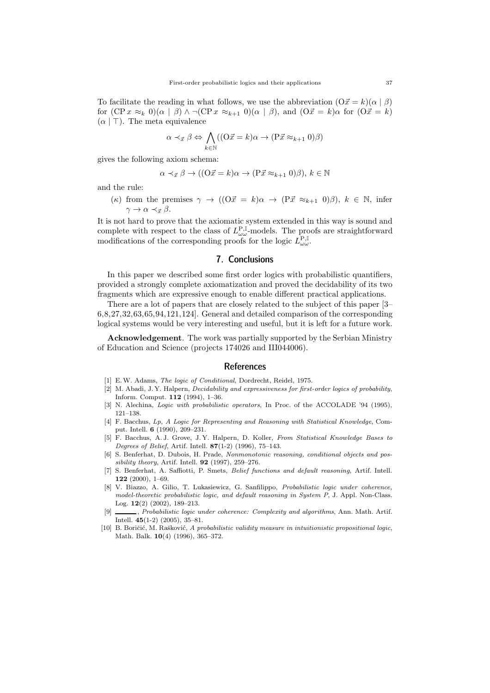To facilitate the reading in what follows, we use the abbreviation  $(O\vec{x} = k)(\alpha | \beta)$ for  $(CP x \approx_k 0)(\alpha | \beta) \wedge \neg(CP x \approx_{k+1} 0)(\alpha | \beta)$ , and  $(O\vec{x} = k)\alpha$  for  $(O\vec{x} = k)$  $(\alpha \mid \top)$ . The meta equivalence

$$
\alpha \prec_{\vec{x}} \beta \Leftrightarrow \bigwedge_{k \in \mathbb{N}} ((\mathcal{O}\vec{x} = k)\alpha \to (\mathcal{P}\vec{x} \approx_{k+1} 0)\beta)
$$

gives the following axiom schema:

$$
\alpha \prec_{\vec{x}} \beta \to ((\mathcal{O}\vec{x} = k)\alpha \to (\mathcal{P}\vec{x} \approx_{k+1} 0)\beta), k \in \mathbb{N}
$$

and the rule:

(
$$
\kappa
$$
) from the premises  $\gamma \to ((\Omega \vec{x} = k)\alpha \to (\mathbf{P}\vec{x} \approx_{k+1} 0)\beta), k \in \mathbb{N}$ , infer  $\gamma \to \alpha \prec_{\vec{x}} \beta$ .

It is not hard to prove that the axiomatic system extended in this way is sound and complete with respect to the class of  $L^{\mathbf{P},\mathbb{I}}_{\omega \omega}$ -models. The proofs are straightforward modifications of the corresponding proofs for the logic  $L_{\omega\omega}^{\mathbf{P},\mathbb{I}}$ .

## 7. Conclusions

In this paper we described some first order logics with probabilistic quantifiers, provided a strongly complete axiomatization and proved the decidability of its two fragments which are expressive enough to enable different practical applications.

There are a lot of papers that are closely related to the subject of this paper [3– 6,8,27,32,63,65,94,121,124]. General and detailed comparison of the corresponding logical systems would be very interesting and useful, but it is left for a future work.

Acknowledgement. The work was partially supported by the Serbian Ministry of Education and Science (projects 174026 and III044006).

### References

- [1] E. W. Adams, *The logic of Conditional*, Dordrecht, Reidel, 1975.
- [2] M. Abadi, J. Y. Halpern, *Decidability and expressiveness for first-order logics of probability*, Inform. Comput. 112 (1994), 1–36.
- [3] N. Alechina, *Logic with probabilistic operators*, In Proc. of the ACCOLADE '94 (1995), 121–138.
- [4] F. Bacchus, *Lp, A Logic for Representing and Reasoning with Statistical Knowledge*, Comput. Intell. 6 (1990), 209–231.
- [5] F. Bacchus, A. J. Grove, J. Y. Halpern, D. Koller, *From Statistical Knowledge Bases to Degrees of Belief*, Artif. Intell. 87(1-2) (1996), 75–143.
- [6] S. Benferhat, D. Dubois, H. Prade, *Nonmonotonic reasoning, conditional objects and possibility theory*, Artif. Intell. 92 (1997), 259–276.
- [7] S. Benferhat, A. Saffiotti, P. Smets, *Belief functions and default reasoning*, Artif. Intell.  $122$  (2000), 1–69.
- [8] V. Biazzo, A. Gilio, T. Lukasiewicz, G. Sanfilippo, *Probabilistic logic under coherence, model-theoretic probabilistic logic, and default reasoning in System P*, J. Appl. Non-Class. Log. 12(2) (2002), 189–213.
- [9] , *Probabilistic logic under coherence: Complexity and algorithms*, Ann. Math. Artif. Intell. 45(1-2) (2005), 35–81.
- [10] B. Boriˇci´c, M. Raˇskovi´c, *A probabilistic validity measure in intuitionistic propositional logic*, Math. Balk. 10(4) (1996), 365–372.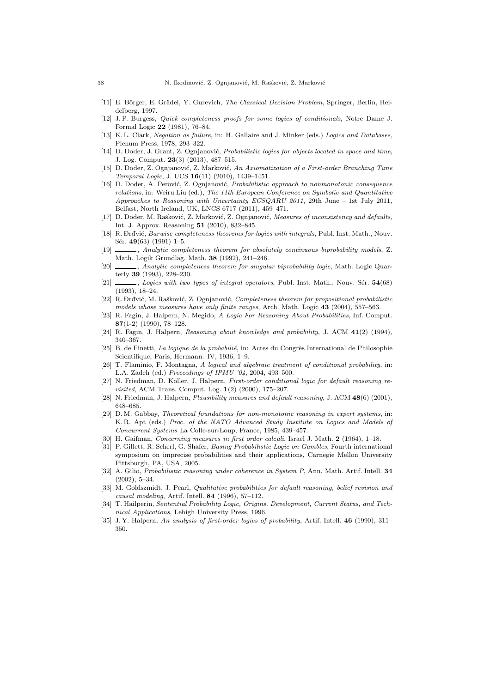- [11] E. B¨orger, E. Gr¨adel, Y. Gurevich, *The Classical Decision Problem*, Springer, Berlin, Heidelberg, 1997.
- [12] J. P. Burgess, *Quick completeness proofs for some logics of conditionals*, Notre Dame J. Formal Logic 22 (1981), 76–84.
- [13] K. L. Clark, *Negation as failure*, in: H. Gallaire and J. Minker (eds.) *Logics and Databases*, Plenum Press, 1978, 293–322.
- [14] D. Doder, J. Grant, Z. Ognjanović, *Probabilistic logics for objects located in space and time*, J. Log. Comput. 23(3) (2013), 487–515.
- [15] D. Doder, Z. Ognjanovi´c, Z. Markovi´c, *An Axiomatization of a First-order Branching Time Temporal Logic*, J. UCS 16(11) (2010), 1439–1451.
- [16] D. Doder, A. Perović, Z. Ognjanović, *Probabilistic approach to nonmonotonic consequence relations*, in: Weiru Liu (ed.), *The 11th European Conference on Symbolic and Quantitative Approaches to Reasoning with Uncertainty ECSQARU 2011*, 29th June – 1st July 2011, Belfast, North Ireland, UK, LNCS 6717 (2011), 459–471.
- [17] D. Doder, M. Rašković, Z. Marković, Z. Ognjanović, *Measures of inconsistency and defaults*, Int. J. Approx. Reasoning 51 (2010), 832–845.
- [18] R. Drđvić, *Barwise completeness theorems for logics with integrals*, Publ. Inst. Math., Nouv. Sér. 49(63) (1991) 1–5.
- [19] , *Analytic completeness theorem for absolutely continuous biprobability models*, Z. Math. Logik Grundlag. Math. 38 (1992), 241–246.
- [20] , *Analytic completeness theorem for singular biprobability logic*, Math. Logic Quarterly 39 (1993), 228–230.
- [21] , *Logics with two types of integral operators*, Publ. Inst. Math., Nouv. Sér.  $54(68)$ (1993), 18–24.
- [22] R. Drđvić, M. Rašković, Z. Ognjanović, Completeness theorem for propositional probabilistic *models whose measures have only finite ranges*, Arch. Math. Logic 43 (2004), 557–563.
- [23] R. Fagin, J. Halpern, N. Megido, *A Logic For Reasoning About Probabilities*, Inf. Comput. 87(1-2) (1990), 78–128.
- [24] R. Fagin, J. Halpern, *Reasoning about knowledge and probability*, J. ACM 41(2) (1994), 340–367.
- [25] B. de Finetti, *La logique de la probabilié*, in: Actes du Congrès International de Philosophie Scientifique, Paris, Hermann: IV, 1936, 1–9.
- [26] T. Flaminio, F. Montagna, *A logical and algebraic treatment of conditional probability*, in: L.A. Zadeh (ed.) *Proceedings of IPMU '04*, 2004, 493–500.
- [27] N. Friedman, D. Koller, J. Halpern, *First-order conditional logic for default reasoning revisited*, ACM Trans. Comput. Log. 1(2) (2000), 175–207.
- [28] N. Friedman, J. Halpern, *Plausibility measures and default reasoning*, J. ACM 48(6) (2001), 648–685.
- [29] D. M. Gabbay, *Theoretical foundations for non-monotonic reasoning in expert systems*, in: K. R. Apt (eds.) *Proc. of the NATO Advanced Study Institute on Logics and Models of Concurrent Systems* La Colle-sur-Loup, France, 1985, 439–457.
- [30] H. Gaifman, *Concerning measures in first order calculi*, Israel J. Math. 2 (1964), 1–18.
- [31] P. Gillett, R. Scherl, G. Shafer, *Basing Probabilistic Logic on Gambles*, Fourth international symposium on imprecise probabilities and their applications, Carnegie Mellon University Pittsburgh, PA, USA, 2005.
- [32] A. Gilio, *Probabilistic reasoning under coherence in System P*, Ann. Math. Artif. Intell. 34 (2002), 5–34.
- [33] M. Goldszmidt, J. Pearl, *Qualitative probabilities for default reasoning, belief revision and causal modeling*, Artif. Intell. 84 (1996), 57–112.
- [34] T. Hailperin, *Sentential Probability Logic, Origins, Development, Current Status, and Technical Applications*, Lehigh University Press, 1996.
- [35] J. Y. Halpern, *An analysis of first-order logics of probability*, Artif. Intell. 46 (1990), 311– 350.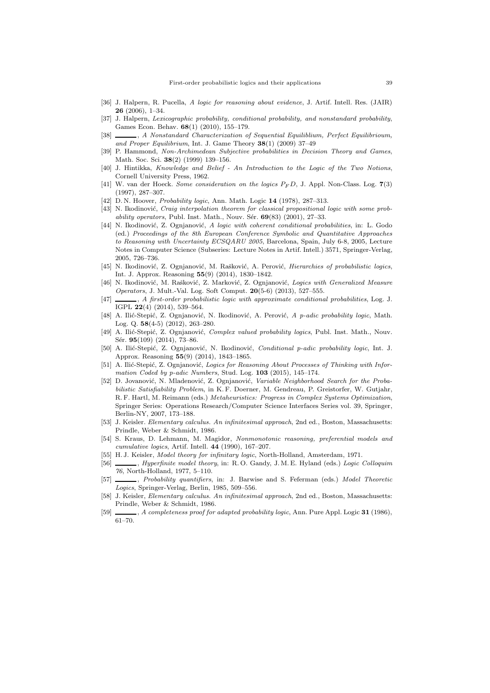- [36] J. Halpern, R. Pucella, *A logic for reasoning about evidence*, J. Artif. Intell. Res. (JAIR) 26 (2006), 1–34.
- [37] J. Halpern, *Lexicographic probability, conditional probability, and nonstandard probability*, Games Econ. Behav. 68(1) (2010), 155–179.
- [38] , *A Nonstandard Characterization of Sequential Equiliblium, Perfect Equilibrioum, and Proper Equilibrium*, Int. J. Game Theory 38(1) (2009) 37–49
- [39] P. Hammond, *Non-Archimedean Subjective probabilities in Decision Theory and Games*, Math. Soc. Sci. 38(2) (1999) 139–156.
- [40] J. Hintikka, *Knowledge and Belief An Introduction to the Logic of the Two Notions*, Cornell University Press, 1962.
- [41] W. van der Hoeck. *Some consideration on the logics* P<sup>F</sup> D, J. Appl. Non-Class. Log. 7(3) (1997), 287–307.
- [42] D. N. Hoover, *Probability logic*, Ann. Math. Logic 14 (1978), 287–313.
- [43] N. Ikodinović, *Craig interpolation theorem for classical propositional logic with some probability operators*, Publ. Inst. Math., Nouv. Sér. 69(83) (2001), 27–33.
- [44] N. Ikodinović, Z. Ognjanović, *A logic with coherent conditional probabilities*, in: L. Godo (ed.) *Proceedings of the 8th European Conference Symbolic and Quantitative Approaches to Reasoning with Uncertainty ECSQARU 2005*, Barcelona, Spain, July 6-8, 2005, Lecture Notes in Computer Science (Subseries: Lecture Notes in Artif. Intell.) 3571, Springer-Verlag, 2005, 726–736.
- [45] N. Ikodinović, Z. Ognjanović, M. Rašković, A. Perović, *Hierarchies of probabilistic logics*, Int. J. Approx. Reasoning 55(9) (2014), 1830–1842.
- [46] N. Ikodinović, M. Rašković, Z. Marković, Z. Ognjanović, *Logics with Generalized Measure Operators*, J. Mult.-Val. Log. Soft Comput. 20(5-6) (2013), 527–555.
- [47] , *A first-order probabilistic logic with approximate conditional probabilities*, Log. J. IGPL 22(4) (2014), 539–564.
- [48] A. Ilić-Stepić, Z. Ognjanović, N. Ikodinović, A. Perović, A p-adic probability logic, Math. Log. Q. 58(4-5) (2012), 263–280.
- [49] A. Ilić-Stepić, Z. Ognjanović, *Complex valued probability logics*, Publ. Inst. Math., Nouv. Sér. 95(109) (2014), 73-86.
- [50] A. Ili´c-Stepi´c, Z. Ognjanovi´c, N. Ikodinovi´c, *Conditional p-adic probability logic*, Int. J. Approx. Reasoning 55(9) (2014), 1843–1865.
- [51] A. Ilić-Stepić, Z. Ognjanović, *Logics for Reasoning About Processes of Thinking with Information Coded by p-adic Numbers*, Stud. Log. 103 (2015), 145–174.
- [52] D. Jovanović, N. Mladenović, Z. Ognjanović, *Variable Neighborhood Search for the Probabilistic Satisfiability Problem*, in K. F. Doerner, M. Gendreau, P. Greistorfer, W. Gutjahr, R. F. Hartl, M. Reimann (eds.) *Metaheuristics: Progress in Complex Systems Optimization*, Springer Series: Operations Research/Computer Science Interfaces Series vol. 39, Springer, Berlin-NY, 2007, 173–188.
- [53] J. Keisler. *Elementary calculus. An infinitesimal approach*, 2nd ed., Boston, Massachusetts: Prindle, Weber & Schmidt, 1986.
- [54] S. Kraus, D. Lehmann, M. Magidor, *Nonmonotonic reasoning, preferential models and cumulative logics*, Artif. Intell. 44 (1990), 167–207.
- [55] H. J. Keisler, *Model theory for infinitary logic*, North-Holland, Amsterdam, 1971.
- [56] , *Hyperfinite model theory*, in: R. O. Gandy, J. M. E. Hyland (eds.) *Logic Colloquim 76*, North-Holland, 1977, 5–110.
- [57] , *Probability quantifiers*, in: J. Barwise and S. Feferman (eds.) *Model Theoretic Logics*, Springer-Verlag, Berlin, 1985, 509–556.
- [58] J. Keisler, *Elementary calculus. An infinitesimal approach*, 2nd ed., Boston, Massachusetts: Prindle, Weber & Schmidt, 1986.
- [59] , *A completeness proof for adapted probability logic*, Ann. Pure Appl. Logic 31 (1986), 61–70.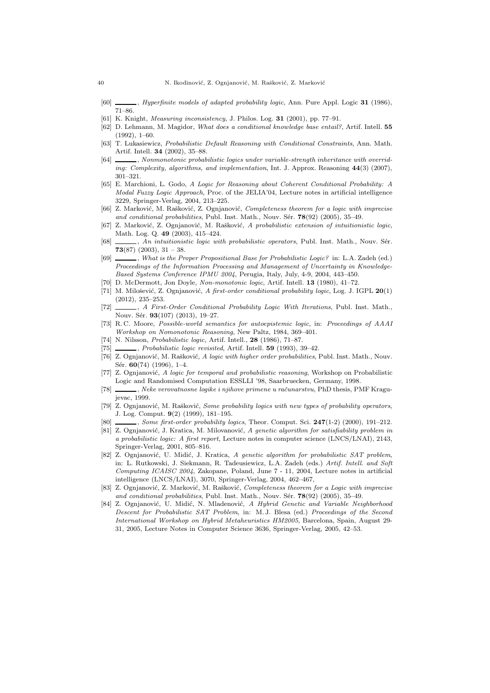- [60] , *Hyperfinite models of adapted probability logic*, Ann. Pure Appl. Logic 31 (1986), 71–86.
- [61] K. Knight, *Measuring inconsistency*, J. Philos. Log. 31 (2001), pp. 77–91.
- [62] D. Lehmann, M. Magidor, *What does a conditional knowledge base entail?*, Artif. Intell. 55 (1992), 1–60.
- [63] T. Lukasiewicz, *Probabilistic Default Reasoning with Conditional Constraints*, Ann. Math. Artif. Intell. 34 (2002), 35–88.
- [64] \_\_\_\_\_\_, *Nonmonotonic probabilistic logics under variable-strength inheritance with overriding: Complexity, algorithms, and implementation*, Int. J. Approx. Reasoning 44(3) (2007), 301–321.
- [65] E. Marchioni, L. Godo, *A Logic for Reasoning about Coherent Conditional Probability: A Modal Fuzzy Logic Approach*, Proc. of the JELIA'04, Lecture notes in artificial intelligence 3229, Springer-Verlag, 2004, 213–225.
- [66] Z. Marković, M. Rašković, Z. Ognjanović, *Completeness theorem for a logic with imprecise* and conditional probabilities, Publ. Inst. Math., Nouv. Sér.  $78(92)$  (2005), 35–49.
- [67] Z. Marković, Z. Ognjanović, M. Rašković, A probabilistic extension of intuitionistic logic, Math. Log. Q. 49 (2003), 415–424.
- [68] , *An intuitionistic logic with probabilistic operators*, Publ. Inst. Math., Nouv. Sér. 73(87) (2003),  $31 - 38$ .
- [69] , *What is the Proper Propositional Base for Probabilistic Logic?* in: L.A. Zadeh (ed.) *Proceedings of the Information Processing and Management of Uncertainty in Knowledge-Based Systems Conference IPMU 2004*, Perugia, Italy, July, 4-9, 2004, 443–450.
- [70] D. McDermott, Jon Doyle, *Non-monotonic logic*, Artif. Intell. 13 (1980), 41–72.
- [71] M. Milošević, Z. Ognjanović, *A first-order conditional probability logic*, Log. J. IGPL  $20(1)$ (2012), 235–253.
- [72] , *A First-Order Conditional Probability Logic With Iterations*, Publ. Inst. Math., Nouv. Sér. 93(107) (2013), 19-27.
- [73] R. C. Moore, *Possible-world semantics for autoepistemic logic*, in: *Proceedings of AAAI Workshop on Nomonotonic Reasoning*, New Paltz, 1984, 369–401.
- [74] N. Nilsson, *Probabilistic logic*, Artif. Intell., 28 (1986), 71–87.
- [75] , *Probabilistic logic revisited*, Artif. Intell. 59 (1993), 39–42.
- [76] Z. Ognjanović, M. Rašković, *A logic with higher order probabilities*, Publ. Inst. Math., Nouv. Sér. 60(74) (1996), 1-4.
- [77] Z. Ognjanovi´c, *A logic for temporal and probabilistic reasoning*, Workshop on Probabilistic Logic and Randomised Computation ESSLLI '98, Saarbruecken, Germany, 1998.
- [78] , *Neke verovatnosne logike i njihove primene u raˇcunarstvu*, PhD thesis, PMF Kragujevac, 1999.
- [79] Z. Ognjanović, M. Rašković, *Some probability logics with new types of probability operators*, J. Log. Comput. 9(2) (1999), 181–195.
- [80] , *Some first-order probability logics*, Theor. Comput. Sci. 247(1-2) (2000), 191–212.
- [81] Z. Ognjanović, J. Kratica, M. Milovanović, A genetic algorithm for satisfiability problem in *a probabilistic logic: A first report*, Lecture notes in computer science (LNCS/LNAI), 2143, Springer-Verlag, 2001, 805–816.
- [82] Z. Ognjanovi´c, U. Midi´c, J. Kratica, *A genetic algorithm for probabilistic SAT problem*, in: L. Rutkowski, J. Siekmann, R. Tadeusiewicz, L.A. Zadeh (eds.) *Artif. Intell. and Soft Computing ICAISC 2004*, Zakopane, Poland, June 7 - 11, 2004, Lecture notes in artificial intelligence (LNCS/LNAI), 3070, Springer-Verlag, 2004, 462–467,
- [83] Z. Ognjanović, Z. Marković, M. Rašković, *Completeness theorem for a Logic with imprecise* and conditional probabilities, Publ. Inst. Math., Nouv. Sér. 78(92) (2005), 35-49.
- [84] Z. Ognjanović, U. Midić, N. Mladenović, *A Hybrid Genetic and Variable Neighborhood Descent for Probabilistic SAT Problem*, in: M. J. Blesa (ed.) *Proceedings of the Second International Workshop on Hybrid Metaheuristics HM2005*, Barcelona, Spain, August 29- 31, 2005, Lecture Notes in Computer Science 3636, Springer-Verlag, 2005, 42–53.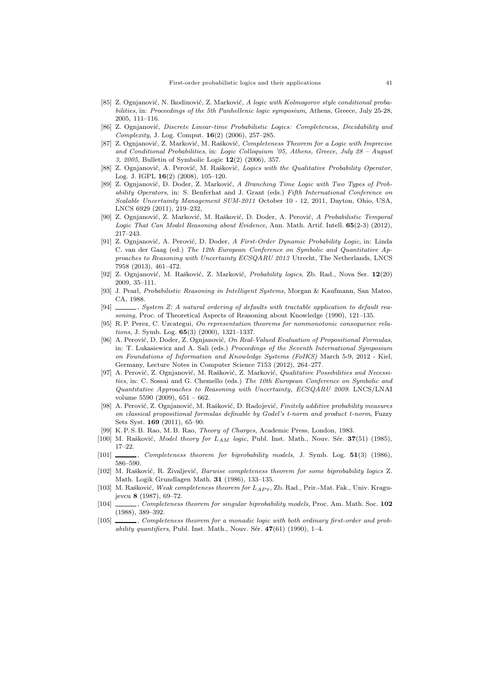- [85] Z. Ognianović, N. Ikodinović, Z. Marković, A logic with Kolmogorov style conditional proba*bilities*, in: *Proceedings of the 5th Panhellenic logic symposium*, Athens, Greece, July 25-28, 2005, 111–116.
- [86] Z. Ognjanović, *Discrete Linear-time Probabilistic Logics: Completeness, Decidability and Complexity*, J. Log. Comput. 16(2) (2006), 257–285.
- [87] Z. Ognjanović, Z. Marković, M. Rašković, *Completeness Theorem for a Logic with Imprecise and Conditional Probabilities*, in: *Logic Colloquium '05, Athens, Greece, July 28 – August 3, 2005*, Bulletin of Symbolic Logic 12(2) (2006), 357.
- [88] Z. Ognjanović, A. Perović, M. Rašković, *Logics with the Qualitative Probability Operator*, Log. J. IGPL 16(2) (2008), 105–120.
- [89] Z. Ognjanović, D. Doder, Z. Marković, *A Branching Time Logic with Two Types of Probability Operators*, in: S. Benferhat and J. Grant (eds.) *Fifth International Conference on Scalable Uncertainty Management SUM-2011* October 10 - 12, 2011, Dayton, Ohio, USA, LNCS 6929 (2011), 219–232,
- [90] Z. Ognjanović, Z. Marković, M. Rašković, D. Doder, A. Perović, A Probabilistic Temporal *Logic That Can Model Reasoning about Evidence*, Ann. Math. Artif. Intell. 65(2-3) (2012), 217–243.
- [91] Z. Ognjanovi´c, A. Perovi´c, D. Doder, *A First-Order Dynamic Probability Logic*, in: Linda C. van der Gaag (ed.) *The 12th European Conference on Symbolic and Quantitative Approaches to Reasoning with Uncertainty ECSQARU 2013* Utrecht, The Netherlands, LNCS 7958 (2013), 461–472.
- [92] Z. Ognjanović, M. Rašković, Z. Marković, *Probability logics*, Zb. Rad., Nova Ser. 12(20) 2009, 35–111.
- [93] J. Pearl, *Probabilistic Reasoning in Intelligent Systems*, Morgan & Kaufmann, San Mateo, CA, 1988.
- [94] , *System Z: A natural ordering of defaults with tractable application to default reasoning*, Proc. of Theoretical Aspects of Reasoning about Knowledge (1990), 121–135.
- [95] R. P. Perez, C. Uzcategui, *On representation theorems for nonmonotonic consequence relations*, J. Symb. Log. 65(3) (2000), 1321–1337.
- [96] A. Perović, D. Doder, Z. Ognjanović, *On Real-Valued Evaluation of Propositional Formulas*, in: T. Lukasiewicz and A. Sali (eds.) *Proceedings of the Seventh International Symposium on Foundations of Information and Knowledge Systems (FoIKS)* March 5-9, 2012 - Kiel, Germany, Lecture Notes in Computer Science 7153 (2012), 264–277.
- [97] A. Perović, Z. Ognjanović, M. Rašković, Z. Marković, *Qualitative Possibilities and Necessities*, in: C. Sossai and G. Chemello (eds.) *The 10th European Conference on Symbolic and Quantitative Approaches to Reasoning with Uncertainty, ECSQARU 2009*. LNCS/LNAI volume 5590 (2009), 651 – 662.
- [98] A. Perović, Z. Ognjanović, M. Rašković, D. Radojević, *Finitely additive probability measures on classical propositional formulas definable by Godel's t-norm and product t-norm*, Fuzzy Sets Syst. 169 (2011), 65–90.
- [99] K. P. S. B. Rao, M. B. Rao, *Theory of Charges*, Academic Press, London, 1983.
- [100] M. Rašković, *Model theory for* L<sub>AM</sub> logic, Publ. Inst. Math., Nouv. Sér. 37(51) (1985), 17–22.
- [101] , *Completeness theorem for biprobability models*, J. Symb. Log. 51(3) (1986), 586–590.
- [102] M. Rašković, R. Živaljević, *Barwise completeness theorem for some biprobability logics* Z. Math. Logik Grundlagen Math. 31 (1986), 133–135.
- [103] M. Rašković, *Weak completeness theorem for L<sub>AP</sub>* y, Zb. Rad., Prir.-Mat. Fak., Univ. Kragujevcu 8 (1987), 69–72.
- [104] , *Completeness theorem for singular biprobability models*, Proc. Am. Math. Soc. 102 (1988), 389–392.
- [105] , *Completeness theorem for a monadic logic with both ordinary first-order and probability quantifiers*, Publ. Inst. Math., Nouv. Sér.  $47(61)$  (1990), 1–4.